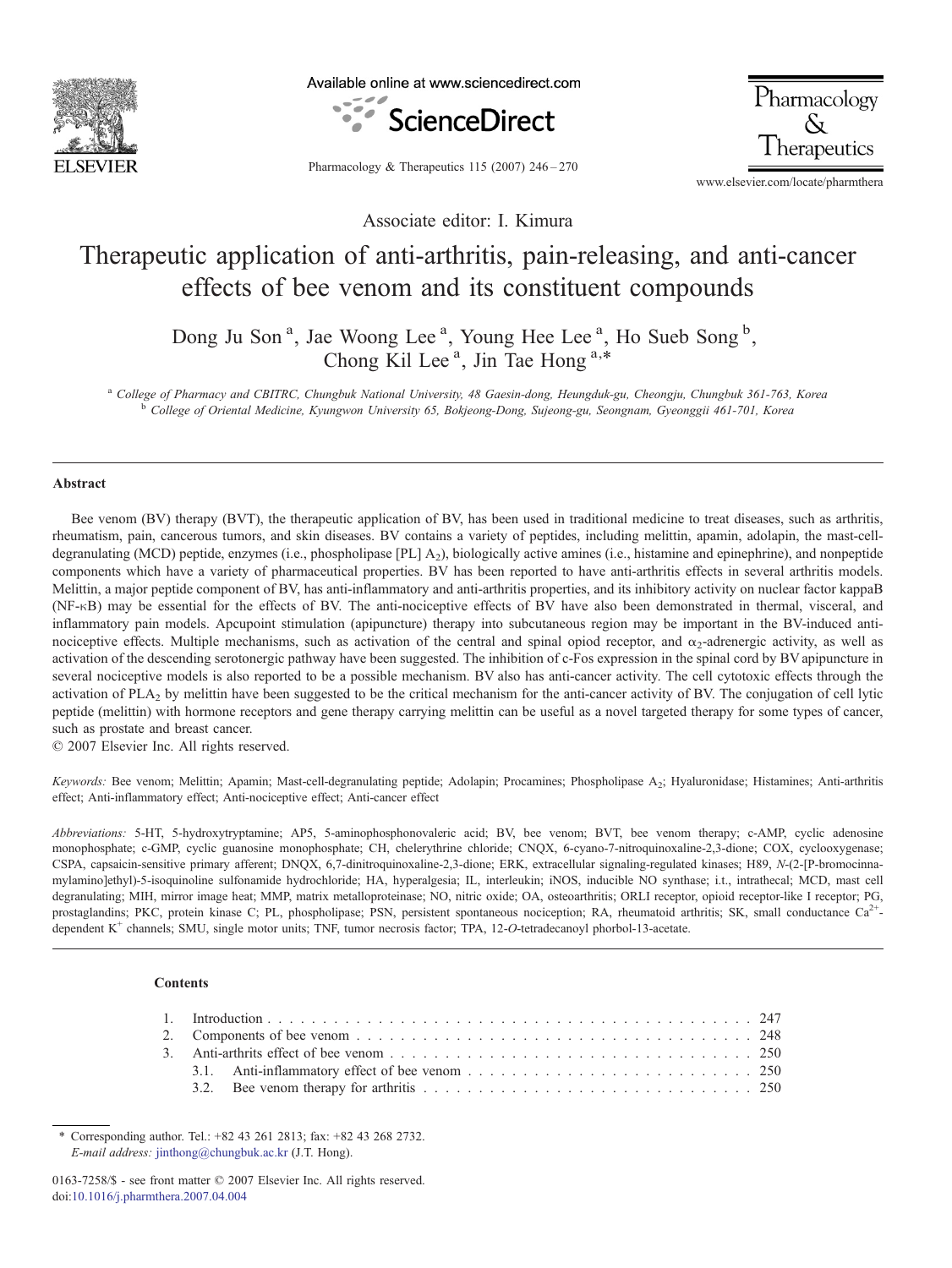

Available online at www.sciencedirect.com





Pharmacology & Therapeutics 115 (2007)  $246 - 270$ 

www.elsevier.com/locate/pharmthera

Associate editor: I. Kimura

# Therapeutic application of anti-arthritis, pain-releasing, and anti-cancer effects of bee venom and its constituent compounds

Dong Ju Son<sup>a</sup>, Jae Woong Lee<sup>a</sup>, Young Hee Lee<sup>a</sup>, Ho Sueb Song<sup>b</sup>, Chong Kil Lee<sup>a</sup>, Jin Tae Hong<sup>a,\*</sup>

<sup>a</sup> College of Pharmacy and CBITRC, Chungbuk National University, 48 Gaesin-dong, Heungduk-gu, Cheongju, Chungbuk 361-763, Korea<br><sup>b</sup> College of Oriental Medicine. Kvungwon University 65. Bokieong-Dong. Suieong-gu. Seongnam

#### Abstract

Bee venom (BV) therapy (BVT), the therapeutic application of BV, has been used in traditional medicine to treat diseases, such as arthritis, rheumatism, pain, cancerous tumors, and skin diseases. BV contains a variety of peptides, including melittin, apamin, adolapin, the mast-celldegranulating (MCD) peptide, enzymes (i.e., phospholipase  $[PL]$  A<sub>2</sub>), biologically active amines (i.e., histamine and epinephrine), and nonpeptide components which have a variety of pharmaceutical properties. BV has been reported to have anti-arthritis effects in several arthritis models. Melittin, a major peptide component of BV, has anti-inflammatory and anti-arthritis properties, and its inhibitory activity on nuclear factor kappaB (NF-κB) may be essential for the effects of BV. The anti-nociceptive effects of BV have also been demonstrated in thermal, visceral, and inflammatory pain models. Apcupoint stimulation (apipuncture) therapy into subcutaneous region may be important in the BV-induced antinociceptive effects. Multiple mechanisms, such as activation of the central and spinal opiod receptor, and  $\alpha_2$ -adrenergic activity, as well as activation of the descending serotonergic pathway have been suggested. The inhibition of c-Fos expression in the spinal cord by BV apipuncture in several nociceptive models is also reported to be a possible mechanism. BV also has anti-cancer activity. The cell cytotoxic effects through the activation of PLA<sub>2</sub> by melittin have been suggested to be the critical mechanism for the anti-cancer activity of BV. The conjugation of cell lytic peptide (melittin) with hormone receptors and gene therapy carrying melittin can be useful as a novel targeted therapy for some types of cancer, such as prostate and breast cancer.

© 2007 Elsevier Inc. All rights reserved.

Keywords: Bee venom; Melittin; Apamin; Mast-cell-degranulating peptide; Adolapin; Procamines; Phospholipase A2; Hyaluronidase; Histamines; Anti-arthritis effect; Anti-inflammatory effect; Anti-nociceptive effect; Anti-cancer effect

Abbreviations: 5-HT, 5-hydroxytryptamine; AP5, 5-aminophosphonovaleric acid; BV, bee venom; BVT, bee venom therapy; c-AMP, cyclic adenosine monophosphate; c-GMP, cyclic guanosine monophosphate; CH, chelerythrine chloride; CNQX, 6-cyano-7-nitroquinoxaline-2,3-dione; COX, cyclooxygenase; CSPA, capsaicin-sensitive primary afferent; DNQX, 6,7-dinitroquinoxaline-2,3-dione; ERK, extracellular signaling-regulated kinases; H89, N-(2-[P-bromocinnamylamino]ethyl)-5-isoquinoline sulfonamide hydrochloride; HA, hyperalgesia; IL, interleukin; iNOS, inducible NO synthase; i.t., intrathecal; MCD, mast cell degranulating; MIH, mirror image heat; MMP, matrix metalloproteinase; NO, nitric oxide; OA, osteoarthritis; ORLI receptor, opioid receptor-like I receptor; PG, prostaglandins; PKC, protein kinase C; PL, phospholipase; PSN, persistent spontaneous nociception; RA, rheumatoid arthritis; SK, small conductance Ca<sup>2+</sup>dependent K<sup>+</sup> channels; SMU, single motor units; TNF, tumor necrosis factor; TPA, 12-O-tetradecanoyl phorbol-13-acetate.

#### **Contents**

⁎ Corresponding author. Tel.: +82 43 261 2813; fax: +82 43 268 2732. E-mail address: [jinthong@chungbuk.ac.kr](mailto:jinthong@chungbuk.ac.kr) (J.T. Hong).

0163-7258/\$ - see front matter © 2007 Elsevier Inc. All rights reserved. doi:[10.1016/j.pharmthera.2007.04.004](http://dx.doi.org/10.1016/j.pharmthera.2007.04.004)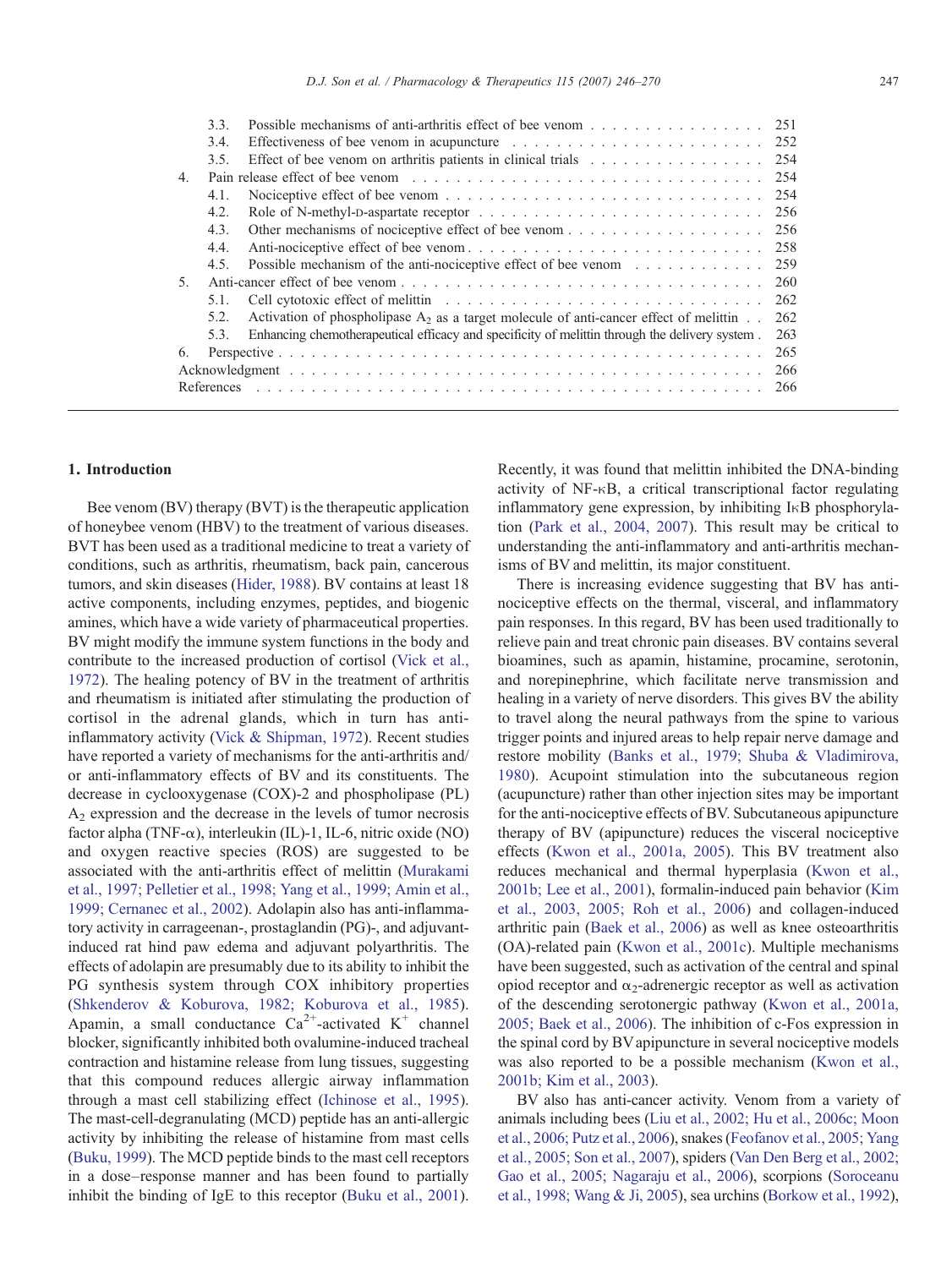|     | 3.3.    | Possible mechanisms of anti-arthritis effect of bee venom 251                                       |     |  |  |
|-----|---------|-----------------------------------------------------------------------------------------------------|-----|--|--|
|     | 3.4.    | Effectiveness of bee venom in acupuncture $\ldots \ldots \ldots \ldots \ldots \ldots \ldots \ldots$ | 252 |  |  |
|     | 3.5.    |                                                                                                     | 254 |  |  |
| 4.  |         |                                                                                                     | 254 |  |  |
|     | 4.1.    |                                                                                                     | 254 |  |  |
|     | 4.2.    |                                                                                                     | 256 |  |  |
|     | 4.3.    |                                                                                                     | 256 |  |  |
|     | 4.4.    |                                                                                                     | 258 |  |  |
|     | 4.5.    | Possible mechanism of the anti-nociceptive effect of bee venom                                      | 259 |  |  |
| 5.  |         |                                                                                                     | 260 |  |  |
|     | $5.1$ . |                                                                                                     | 262 |  |  |
|     | 5.2.    | Activation of phospholipase $A_2$ as a target molecule of anti-cancer effect of melittin            | 262 |  |  |
|     | 5.3.    | Enhancing chemotherapeutical efficacy and specificity of melittin through the delivery system.      | 263 |  |  |
| 6.  |         |                                                                                                     | 265 |  |  |
|     |         |                                                                                                     | 266 |  |  |
| 266 |         |                                                                                                     |     |  |  |
|     |         |                                                                                                     |     |  |  |

## 1. Introduction

Bee venom (BV) therapy (BVT) is the therapeutic application of honeybee venom (HBV) to the treatment of various diseases. BVT has been used as a traditional medicine to treat a variety of conditions, such as arthritis, rheumatism, back pain, cancerous tumors, and skin diseases ([Hider, 1988\)](#page-21-0). BV contains at least 18 active components, including enzymes, peptides, and biogenic amines, which have a wide variety of pharmaceutical properties. BV might modify the immune system functions in the body and contribute to the increased production of cortisol ([Vick et al.,](#page-23-0) [1972](#page-23-0)). The healing potency of BV in the treatment of arthritis and rheumatism is initiated after stimulating the production of cortisol in the adrenal glands, which in turn has antiinflammatory activity ([Vick & Shipman, 1972](#page-23-0)). Recent studies have reported a variety of mechanisms for the anti-arthritis and/ or anti-inflammatory effects of BV and its constituents. The decrease in cyclooxygenase (COX)-2 and phospholipase (PL)  $A<sub>2</sub>$  expression and the decrease in the levels of tumor necrosis factor alpha (TNF-α), interleukin (IL)-1, IL-6, nitric oxide (NO) and oxygen reactive species (ROS) are suggested to be associated with the anti-arthritis effect of melittin [\(Murakami](#page-22-0) [et al., 1997; Pelletier et al., 1998; Yang et al., 1999; Amin et al.,](#page-22-0) [1999; Cernanec et al., 2002](#page-22-0)). Adolapin also has anti-inflammatory activity in carrageenan-, prostaglandin (PG)-, and adjuvantinduced rat hind paw edema and adjuvant polyarthritis. The effects of adolapin are presumably due to its ability to inhibit the PG synthesis system through COX inhibitory properties ([Shkenderov & Koburova, 1982; Koburova et al., 1985\)](#page-23-0). Apamin, a small conductance  $Ca^{2+}$ -activated K<sup>+</sup> channel blocker, significantly inhibited both ovalumine-induced tracheal contraction and histamine release from lung tissues, suggesting that this compound reduces allergic airway inflammation through a mast cell stabilizing effect ([Ichinose et al., 1995\)](#page-21-0). The mast-cell-degranulating (MCD) peptide has an anti-allergic activity by inhibiting the release of histamine from mast cells ([Buku, 1999\)](#page-20-0). The MCD peptide binds to the mast cell receptors in a dose–response manner and has been found to partially inhibit the binding of IgE to this receptor [\(Buku et al., 2001\)](#page-20-0). Recently, it was found that melittin inhibited the DNA-binding activity of NF-κB, a critical transcriptional factor regulating inflammatory gene expression, by inhibiting IκB phosphorylation [\(Park et al., 2004, 2007\)](#page-23-0). This result may be critical to understanding the anti-inflammatory and anti-arthritis mechanisms of BV and melittin, its major constituent.

There is increasing evidence suggesting that BV has antinociceptive effects on the thermal, visceral, and inflammatory pain responses. In this regard, BV has been used traditionally to relieve pain and treat chronic pain diseases. BV contains several bioamines, such as apamin, histamine, procamine, serotonin, and norepinephrine, which facilitate nerve transmission and healing in a variety of nerve disorders. This gives BV the ability to travel along the neural pathways from the spine to various trigger points and injured areas to help repair nerve damage and restore mobility ([Banks et al., 1979; Shuba & Vladimirova,](#page-20-0) [1980\)](#page-20-0). Acupoint stimulation into the subcutaneous region (acupuncture) rather than other injection sites may be important for the anti-nociceptive effects of BV. Subcutaneous apipuncture therapy of BV (apipuncture) reduces the visceral nociceptive effects [\(Kwon et al., 2001a, 2005\)](#page-21-0). This BV treatment also reduces mechanical and thermal hyperplasia ([Kwon et al.,](#page-21-0) [2001b; Lee et al., 2001](#page-21-0)), formalin-induced pain behavior ([Kim](#page-21-0) [et al., 2003, 2005; Roh et al., 2006\)](#page-21-0) and collagen-induced arthritic pain ([Baek et al., 2006](#page-20-0)) as well as knee osteoarthritis (OA)-related pain [\(Kwon et al., 2001c](#page-21-0)). Multiple mechanisms have been suggested, such as activation of the central and spinal opiod receptor and  $α_2$ -adrenergic receptor as well as activation of the descending serotonergic pathway ([Kwon et al., 2001a,](#page-21-0) [2005; Baek et al., 2006](#page-21-0)). The inhibition of c-Fos expression in the spinal cord by BVapipuncture in several nociceptive models was also reported to be a possible mechanism ([Kwon et al.,](#page-21-0) [2001b; Kim et al., 2003\)](#page-21-0).

BV also has anti-cancer activity. Venom from a variety of animals including bees [\(Liu et al., 2002; Hu et al., 2006c; Moon](#page-22-0) [et al., 2006; Putz et al., 2006\)](#page-22-0), snakes [\(Feofanov et al., 2005; Yang](#page-21-0) [et al., 2005; Son et al., 2007](#page-21-0)), spiders [\(Van Den Berg et al., 2002;](#page-23-0) [Gao et al., 2005; Nagaraju et al., 2006](#page-23-0)), scorpions [\(Soroceanu](#page-23-0) [et al., 1998; Wang & Ji, 2005](#page-23-0)), sea urchins ([Borkow et al., 1992\)](#page-20-0),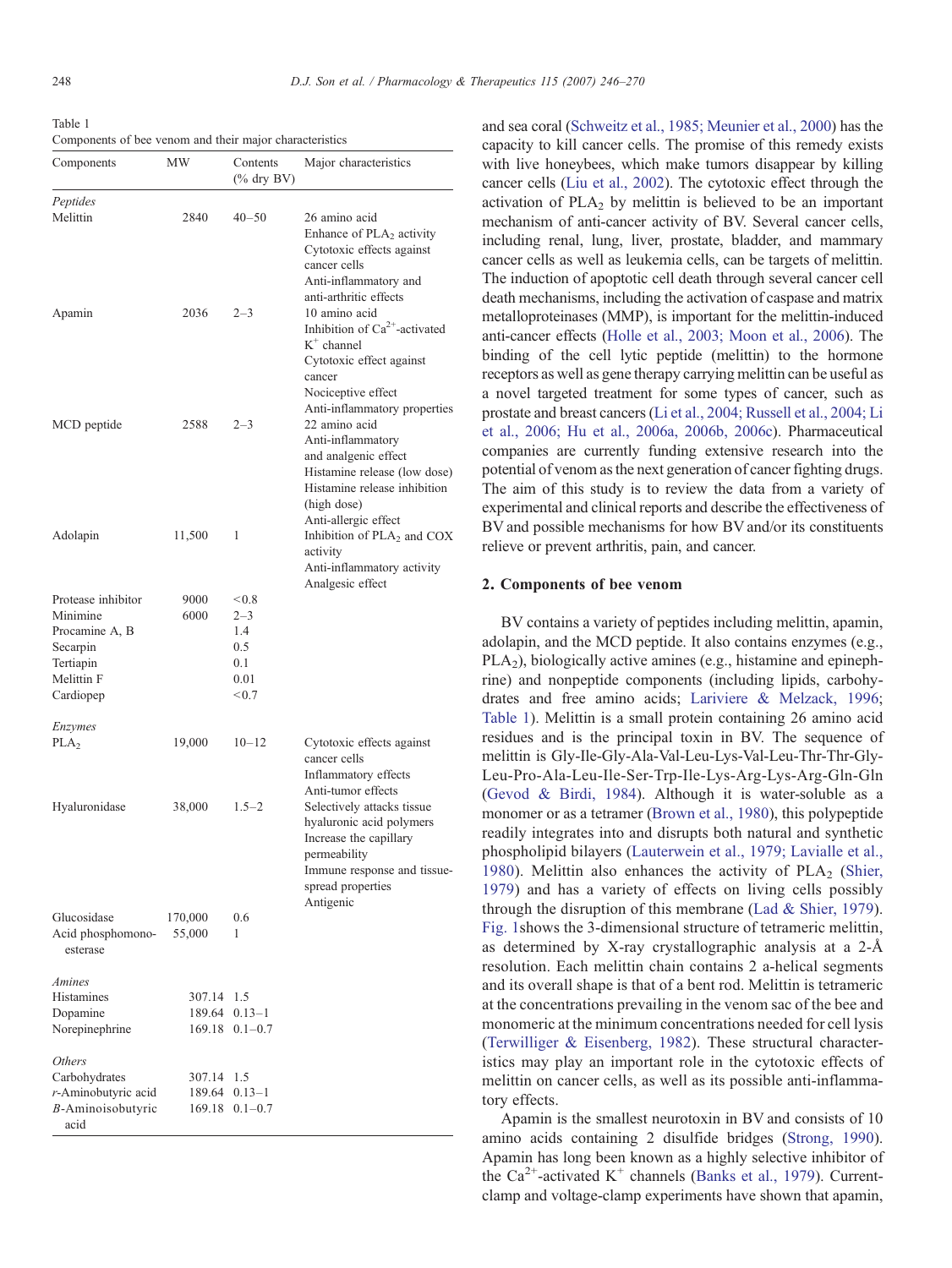Table 1 Components of bee venom and their major characteristics

| Components                                       | MW                | Contents<br>$(\%$ dry BV) | Major characteristics                                                                                                                                                     |
|--------------------------------------------------|-------------------|---------------------------|---------------------------------------------------------------------------------------------------------------------------------------------------------------------------|
| Peptides                                         |                   |                           |                                                                                                                                                                           |
| Melittin                                         | 2840              | $40 - 50$                 | 26 amino acid<br>Enhance of PLA <sub>2</sub> activity<br>Cytotoxic effects against<br>cancer cells<br>Anti-inflammatory and                                               |
| Apamin                                           | 2036              | $2 - 3$                   | anti-arthritic effects<br>10 amino acid<br>Inhibition of $Ca^{2+}$ -activated<br>$K^+$ channel<br>Cytotoxic effect against<br>cancer<br>Nociceptive effect                |
| MCD peptide                                      | 2588              | $2 - 3$                   | Anti-inflammatory properties<br>22 amino acid<br>Anti-inflammatory<br>and analgenic effect<br>Histamine release (low dose)<br>Histamine release inhibition<br>(high dose) |
| Adolapin                                         | 11,500            | 1                         | Anti-allergic effect<br>Inhibition of PLA2 and COX<br>activity<br>Anti-inflammatory activity<br>Analgesic effect                                                          |
| Protease inhibitor                               | 9000              | < 0.8                     |                                                                                                                                                                           |
| Minimine                                         | 6000              | $2 - 3$                   |                                                                                                                                                                           |
| Procamine A, B<br>Secarpin                       |                   | 1.4<br>0.5                |                                                                                                                                                                           |
| Tertiapin                                        |                   | 0.1                       |                                                                                                                                                                           |
| Melittin F                                       |                   | 0.01                      |                                                                                                                                                                           |
| Cardiopep                                        |                   | < 0.7                     |                                                                                                                                                                           |
| Enzymes<br>PLA <sub>2</sub>                      | 19,000            | $10 - 12$                 | Cytotoxic effects against                                                                                                                                                 |
|                                                  |                   |                           | cancer cells<br>Inflammatory effects<br>Anti-tumor effects                                                                                                                |
| Hyaluronidase                                    | 38,000            | $1.5 - 2$                 | Selectively attacks tissue<br>hyaluronic acid polymers<br>Increase the capillary<br>permeability<br>Immune response and tissue-<br>spread properties<br>Antigenic         |
| Glucosidase<br>Acid phosphomono-<br>esterase     | 170,000<br>55,000 | 0.6<br>1                  |                                                                                                                                                                           |
| Amines                                           |                   |                           |                                                                                                                                                                           |
| Histamines                                       | 307.14<br>189.64  | 1.5                       |                                                                                                                                                                           |
| Dopamine<br>Norepinephrine                       | 169.18            | $0.13 - 1$<br>$0.1 - 0.7$ |                                                                                                                                                                           |
| <i>Others</i>                                    |                   |                           |                                                                                                                                                                           |
| Carbohydrates                                    | 307.14<br>189.64  | 1.5                       |                                                                                                                                                                           |
| r-Aminobutyric acid<br>B-Aminoisobutyric<br>acid | 169.18            | $0.13 - 1$<br>$0.1 - 0.7$ |                                                                                                                                                                           |

and sea coral [\(Schweitz et al., 1985; Meunier et al., 2000](#page-23-0)) has the capacity to kill cancer cells. The promise of this remedy exists with live honeybees, which make tumors disappear by killing cancer cells [\(Liu et al., 2002\)](#page-22-0). The cytotoxic effect through the activation of  $PLA<sub>2</sub>$  by melittin is believed to be an important mechanism of anti-cancer activity of BV. Several cancer cells, including renal, lung, liver, prostate, bladder, and mammary cancer cells as well as leukemia cells, can be targets of melittin. The induction of apoptotic cell death through several cancer cell death mechanisms, including the activation of caspase and matrix metalloproteinases (MMP), is important for the melittin-induced anti-cancer effects ([Holle et al., 2003; Moon et al., 2006](#page-21-0)). The binding of the cell lytic peptide (melittin) to the hormone receptors as well as gene therapy carrying melittin can be useful as a novel targeted treatment for some types of cancer, such as prostate and breast cancers [\(Li et al., 2004; Russell et al., 2004; Li](#page-22-0) [et al., 2006; Hu et al., 2006a, 2006b, 2006c](#page-22-0)). Pharmaceutical companies are currently funding extensive research into the potential of venom as the next generation of cancer fighting drugs. The aim of this study is to review the data from a variety of experimental and clinical reports and describe the effectiveness of BV and possible mechanisms for how BV and/or its constituents relieve or prevent arthritis, pain, and cancer.

## 2. Components of bee venom

BV contains a variety of peptides including melittin, apamin, adolapin, and the MCD peptide. It also contains enzymes (e.g., PLA2), biologically active amines (e.g., histamine and epinephrine) and nonpeptide components (including lipids, carbohydrates and free amino acids; [Lariviere & Melzack, 1996](#page-22-0); Table 1). Melittin is a small protein containing 26 amino acid residues and is the principal toxin in BV. The sequence of melittin is Gly-Ile-Gly-Ala-Val-Leu-Lys-Val-Leu-Thr-Thr-Gly-Leu-Pro-Ala-Leu-Ile-Ser-Trp-Ile-Lys-Arg-Lys-Arg-Gln-Gln ([Gevod & Birdi, 1984](#page-21-0)). Although it is water-soluble as a monomer or as a tetramer [\(Brown et al., 1980](#page-20-0)), this polypeptide readily integrates into and disrupts both natural and synthetic phospholipid bilayers [\(Lauterwein et al., 1979; Lavialle et al.,](#page-22-0) [1980](#page-22-0)). Melittin also enhances the activity of  $PLA_2$  [\(Shier,](#page-23-0) [1979](#page-23-0)) and has a variety of effects on living cells possibly through the disruption of this membrane ([Lad & Shier, 1979\)](#page-22-0). [Fig. 1](#page-3-0)shows the 3-dimensional structure of tetrameric melittin, as determined by X-ray crystallographic analysis at a 2-Å resolution. Each melittin chain contains 2 a-helical segments and its overall shape is that of a bent rod. Melittin is tetrameric at the concentrations prevailing in the venom sac of the bee and monomeric at the minimum concentrations needed for cell lysis ([Terwilliger & Eisenberg, 1982\)](#page-23-0). These structural characteristics may play an important role in the cytotoxic effects of melittin on cancer cells, as well as its possible anti-inflammatory effects.

Apamin is the smallest neurotoxin in BV and consists of 10 amino acids containing 2 disulfide bridges ([Strong, 1990](#page-23-0)). Apamin has long been known as a highly selective inhibitor of the Ca<sup>2+</sup>-activated K<sup>+</sup> channels ([Banks et al., 1979](#page-20-0)). Currentclamp and voltage-clamp experiments have shown that apamin,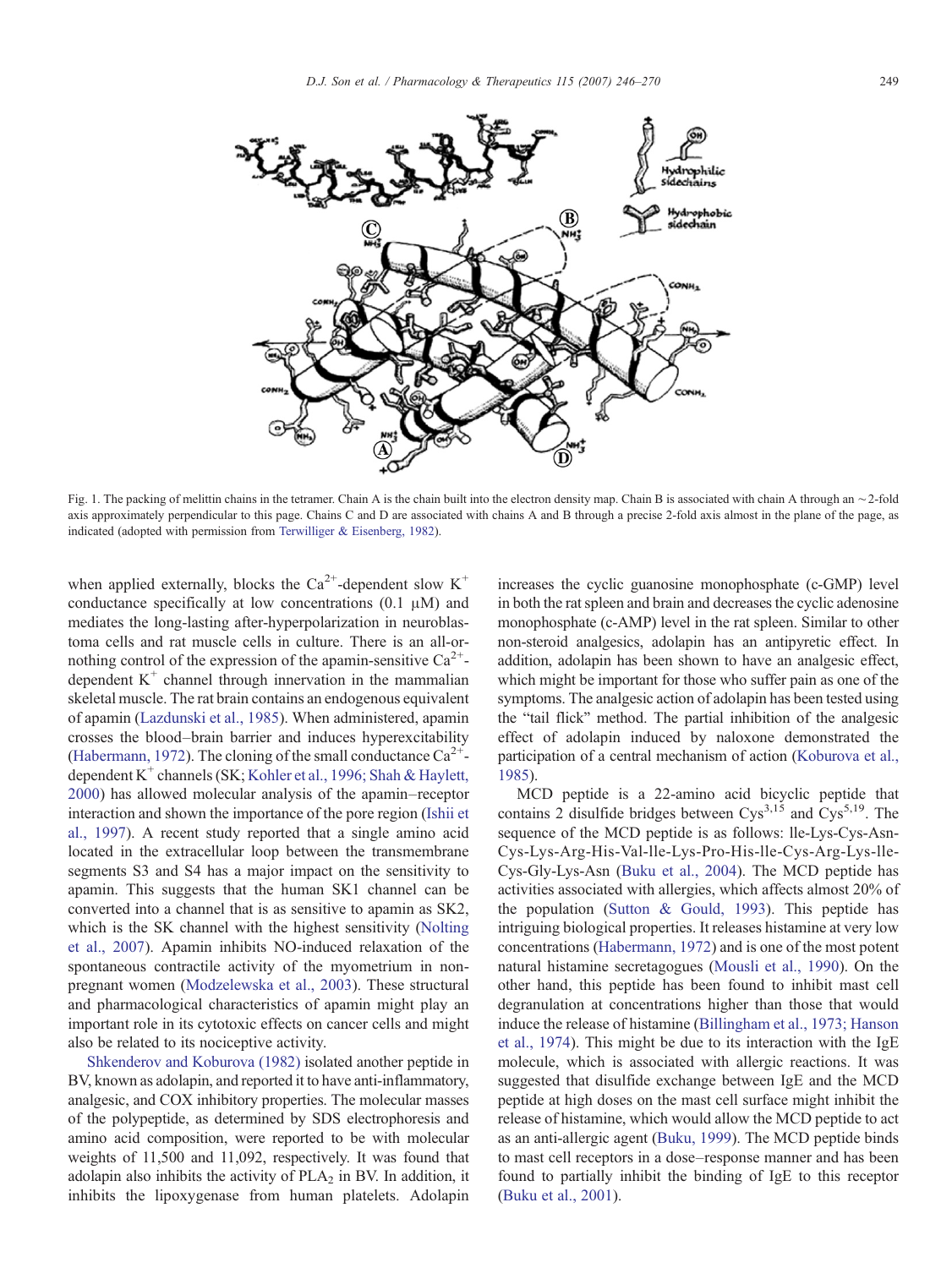<span id="page-3-0"></span>

Fig. 1. The packing of melittin chains in the tetramer. Chain A is the chain built into the electron density map. Chain B is associated with chain A through an ∼2-fold axis approximately perpendicular to this page. Chains C and D are associated with chains A and B through a precise 2-fold axis almost in the plane of the page, as indicated (adopted with permission from [Terwilliger & Eisenberg, 1982\)](#page-23-0).

when applied externally, blocks the  $Ca^{2+}$ -dependent slow K<sup>+</sup> conductance specifically at low concentrations  $(0.1 \mu M)$  and mediates the long-lasting after-hyperpolarization in neuroblastoma cells and rat muscle cells in culture. There is an all-ornothing control of the expression of the apamin-sensitive  $Ca^{2+}$ dependent  $K^+$  channel through innervation in the mammalian skeletal muscle. The rat brain contains an endogenous equivalent of apamin ([Lazdunski et al., 1985\)](#page-22-0). When administered, apamin crosses the blood–brain barrier and induces hyperexcitability ([Habermann, 1972](#page-21-0)). The cloning of the small conductance  $Ca^{2+}$ dependent  $K^+$  channels (SK; [Kohler et al., 1996; Shah & Haylett,](#page-21-0) [2000](#page-21-0)) has allowed molecular analysis of the apamin–receptor interaction and shown the importance of the pore region ([Ishii et](#page-21-0) [al., 1997\)](#page-21-0). A recent study reported that a single amino acid located in the extracellular loop between the transmembrane segments S3 and S4 has a major impact on the sensitivity to apamin. This suggests that the human SK1 channel can be converted into a channel that is as sensitive to apamin as SK2, which is the SK channel with the highest sensitivity [\(Nolting](#page-22-0) [et al., 2007\)](#page-22-0). Apamin inhibits NO-induced relaxation of the spontaneous contractile activity of the myometrium in nonpregnant women [\(Modzelewska et al., 2003](#page-22-0)). These structural and pharmacological characteristics of apamin might play an important role in its cytotoxic effects on cancer cells and might also be related to its nociceptive activity.

[Shkenderov and Koburova \(1982\)](#page-23-0) isolated another peptide in BV, known as adolapin, and reported it to have anti-inflammatory, analgesic, and COX inhibitory properties. The molecular masses of the polypeptide, as determined by SDS electrophoresis and amino acid composition, were reported to be with molecular weights of 11,500 and 11,092, respectively. It was found that adolapin also inhibits the activity of  $PLA_2$  in BV. In addition, it inhibits the lipoxygenase from human platelets. Adolapin increases the cyclic guanosine monophosphate (c-GMP) level in both the rat spleen and brain and decreases the cyclic adenosine monophosphate (c-AMP) level in the rat spleen. Similar to other non-steroid analgesics, adolapin has an antipyretic effect. In addition, adolapin has been shown to have an analgesic effect, which might be important for those who suffer pain as one of the symptoms. The analgesic action of adolapin has been tested using the "tail flick" method. The partial inhibition of the analgesic effect of adolapin induced by naloxone demonstrated the participation of a central mechanism of action ([Koburova et al.,](#page-21-0) [1985](#page-21-0)).

MCD peptide is a 22-amino acid bicyclic peptide that contains 2 disulfide bridges between  $Cys^{3,15}$  and  $Cys^{5,19}$ . The sequence of the MCD peptide is as follows: lle-Lys-Cys-Asn-Cys-Lys-Arg-His-Val-lle-Lys-Pro-His-lle-Cys-Arg-Lys-lle-Cys-Gly-Lys-Asn ([Buku et al., 2004](#page-20-0)). The MCD peptide has activities associated with allergies, which affects almost 20% of the population ([Sutton & Gould, 1993](#page-23-0)). This peptide has intriguing biological properties. It releases histamine at very low concentrations [\(Habermann, 1972](#page-21-0)) and is one of the most potent natural histamine secretagogues ([Mousli et al., 1990](#page-22-0)). On the other hand, this peptide has been found to inhibit mast cell degranulation at concentrations higher than those that would induce the release of histamine [\(Billingham et al., 1973; Hanson](#page-20-0) [et al., 1974](#page-20-0)). This might be due to its interaction with the IgE molecule, which is associated with allergic reactions. It was suggested that disulfide exchange between IgE and the MCD peptide at high doses on the mast cell surface might inhibit the release of histamine, which would allow the MCD peptide to act as an anti-allergic agent [\(Buku, 1999\)](#page-20-0). The MCD peptide binds to mast cell receptors in a dose–response manner and has been found to partially inhibit the binding of IgE to this receptor ([Buku et al., 2001\)](#page-20-0).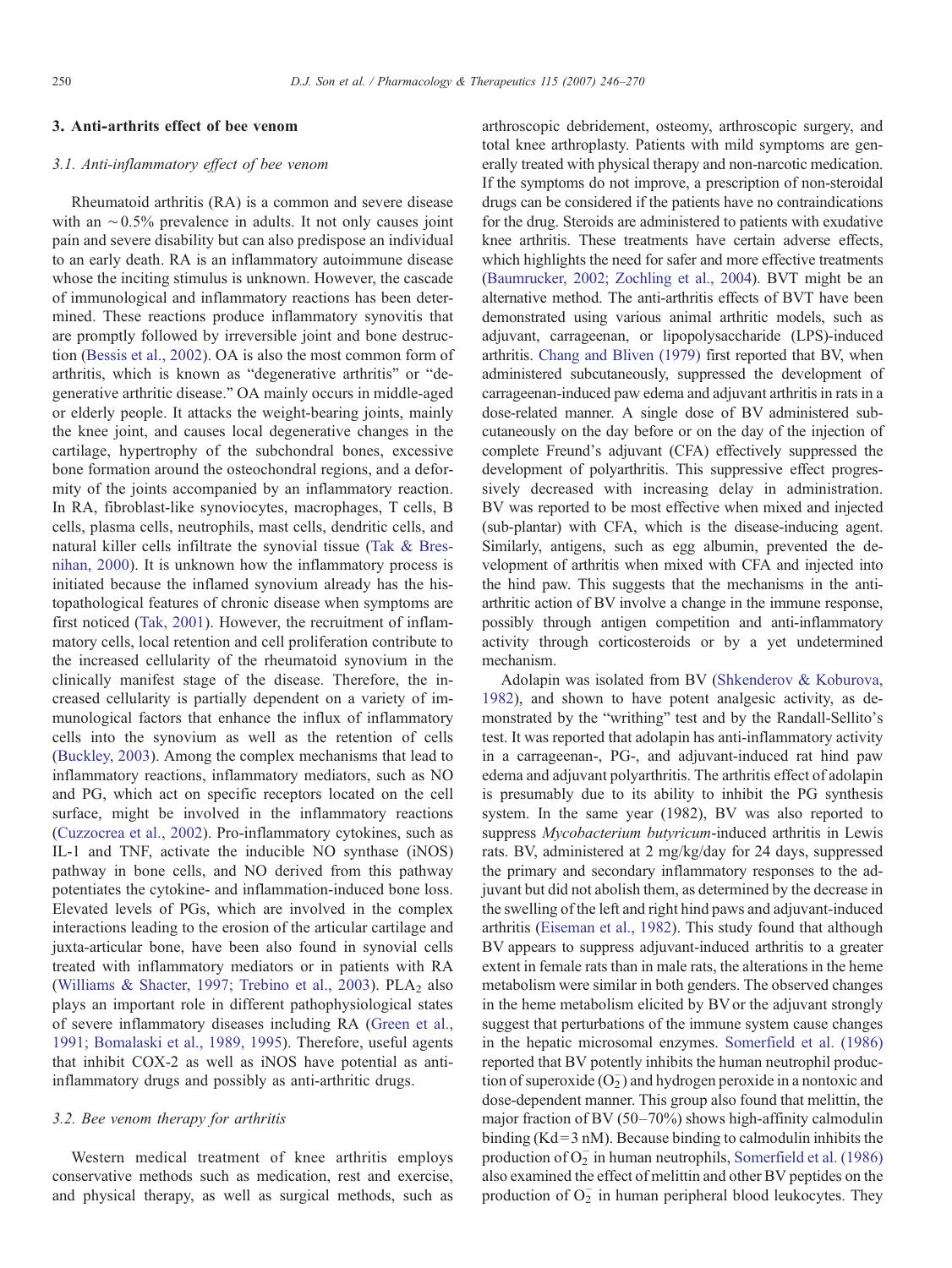#### 3. Anti-arthrits effect of bee venom

#### 3.1. Anti-inflammatory effect of bee venom

Rheumatoid arthritis (RA) is a common and severe disease with an ∼0.5% prevalence in adults. It not only causes joint pain and severe disability but can also predispose an individual to an early death. RA is an inflammatory autoimmune disease whose the inciting stimulus is unknown. However, the cascade of immunological and inflammatory reactions has been determined. These reactions produce inflammatory synovitis that are promptly followed by irreversible joint and bone destruction [\(Bessis et al., 2002\)](#page-20-0). OA is also the most common form of arthritis, which is known as "degenerative arthritis" or "degenerative arthritic disease." OA mainly occurs in middle-aged or elderly people. It attacks the weight-bearing joints, mainly the knee joint, and causes local degenerative changes in the cartilage, hypertrophy of the subchondral bones, excessive bone formation around the osteochondral regions, and a deformity of the joints accompanied by an inflammatory reaction. In RA, fibroblast-like synoviocytes, macrophages, T cells, B cells, plasma cells, neutrophils, mast cells, dendritic cells, and natural killer cells infiltrate the synovial tissue [\(Tak & Bres](#page-23-0)[nihan, 2000](#page-23-0)). It is unknown how the inflammatory process is initiated because the inflamed synovium already has the histopathological features of chronic disease when symptoms are first noticed [\(Tak, 2001](#page-23-0)). However, the recruitment of inflammatory cells, local retention and cell proliferation contribute to the increased cellularity of the rheumatoid synovium in the clinically manifest stage of the disease. Therefore, the increased cellularity is partially dependent on a variety of immunological factors that enhance the influx of inflammatory cells into the synovium as well as the retention of cells ([Buckley, 2003](#page-20-0)). Among the complex mechanisms that lead to inflammatory reactions, inflammatory mediators, such as NO and PG, which act on specific receptors located on the cell surface, might be involved in the inflammatory reactions ([Cuzzocrea et al., 2002\)](#page-20-0). Pro-inflammatory cytokines, such as IL-1 and TNF, activate the inducible NO synthase (iNOS) pathway in bone cells, and NO derived from this pathway potentiates the cytokine- and inflammation-induced bone loss. Elevated levels of PGs, which are involved in the complex interactions leading to the erosion of the articular cartilage and juxta-articular bone, have been also found in synovial cells treated with inflammatory mediators or in patients with RA ([Williams & Shacter, 1997; Trebino et al., 2003\)](#page-24-0). PLA<sub>2</sub> also plays an important role in different pathophysiological states of severe inflammatory diseases including RA [\(Green et al.,](#page-21-0) [1991; Bomalaski et al., 1989, 1995\)](#page-21-0). Therefore, useful agents that inhibit COX-2 as well as iNOS have potential as antiinflammatory drugs and possibly as anti-arthritic drugs.

#### 3.2. Bee venom therapy for arthritis

Western medical treatment of knee arthritis employs conservative methods such as medication, rest and exercise, and physical therapy, as well as surgical methods, such as

arthroscopic debridement, osteomy, arthroscopic surgery, and total knee arthroplasty. Patients with mild symptoms are generally treated with physical therapy and non-narcotic medication. If the symptoms do not improve, a prescription of non-steroidal drugs can be considered if the patients have no contraindications for the drug. Steroids are administered to patients with exudative knee arthritis. These treatments have certain adverse effects, which highlights the need for safer and more effective treatments ([Baumrucker, 2002; Zochling et al., 2004](#page-20-0)). BVT might be an alternative method. The anti-arthritis effects of BVT have been demonstrated using various animal arthritic models, such as adjuvant, carrageenan, or lipopolysaccharide (LPS)-induced arthritis. [Chang and Bliven \(1979\)](#page-20-0) first reported that BV, when administered subcutaneously, suppressed the development of carrageenan-induced paw edema and adjuvant arthritis in rats in a dose-related manner. A single dose of BV administered subcutaneously on the day before or on the day of the injection of complete Freund's adjuvant (CFA) effectively suppressed the development of polyarthritis. This suppressive effect progressively decreased with increasing delay in administration. BV was reported to be most effective when mixed and injected (sub-plantar) with CFA, which is the disease-inducing agent. Similarly, antigens, such as egg albumin, prevented the development of arthritis when mixed with CFA and injected into the hind paw. This suggests that the mechanisms in the antiarthritic action of BV involve a change in the immune response, possibly through antigen competition and anti-inflammatory activity through corticosteroids or by a yet undetermined mechanism.

Adolapin was isolated from BV ([Shkenderov & Koburova,](#page-23-0) [1982\)](#page-23-0), and shown to have potent analgesic activity, as demonstrated by the "writhing" test and by the Randall-Sellito's test. It was reported that adolapin has anti-inflammatory activity in a carrageenan-, PG-, and adjuvant-induced rat hind paw edema and adjuvant polyarthritis. The arthritis effect of adolapin is presumably due to its ability to inhibit the PG synthesis system. In the same year (1982), BV was also reported to suppress Mycobacterium butyricum-induced arthritis in Lewis rats. BV, administered at 2 mg/kg/day for 24 days, suppressed the primary and secondary inflammatory responses to the adjuvant but did not abolish them, as determined by the decrease in the swelling of the left and right hind paws and adjuvant-induced arthritis [\(Eiseman et al., 1982](#page-21-0)). This study found that although BV appears to suppress adjuvant-induced arthritis to a greater extent in female rats than in male rats, the alterations in the heme metabolism were similar in both genders. The observed changes in the heme metabolism elicited by BV or the adjuvant strongly suggest that perturbations of the immune system cause changes in the hepatic microsomal enzymes. [Somerfield et al. \(1986\)](#page-23-0) reported that BV potently inhibits the human neutrophil production of superoxide  $(O_2^-)$  and hydrogen peroxide in a nontoxic and dose-dependent manner. This group also found that melittin, the major fraction of BV (50–70%) shows high-affinity calmodulin binding ( $Kd = 3$  nM). Because binding to calmodulin inhibits the production of  $O_2^-$  in human neutrophils, [Somerfield et al. \(1986\)](#page-23-0) also examined the effect of melittin and other BV peptides on the production of  $O_2^-$  in human peripheral blood leukocytes. They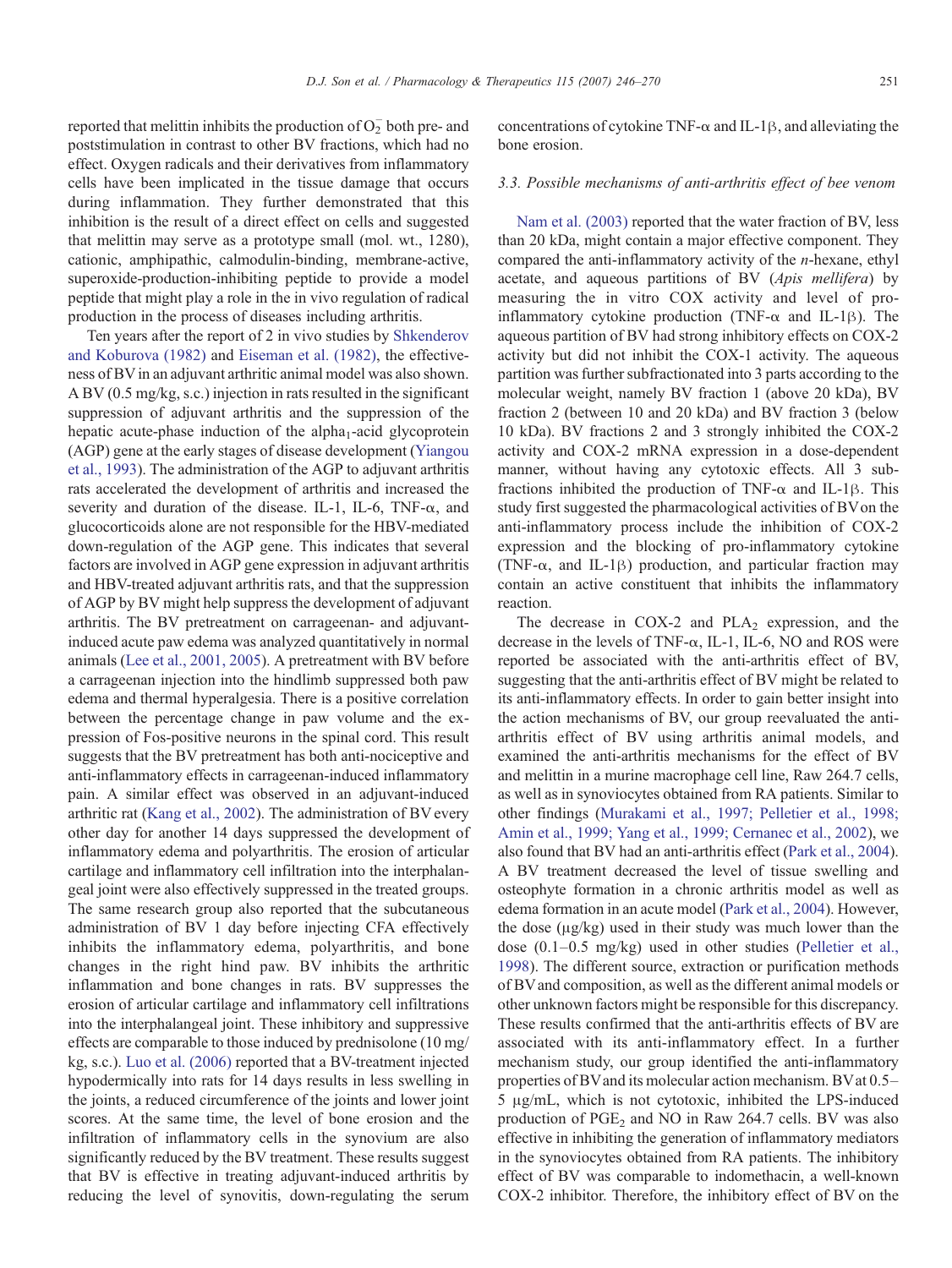reported that melittin inhibits the production of  $O_2^-$  both pre- and poststimulation in contrast to other BV fractions, which had no effect. Oxygen radicals and their derivatives from inflammatory cells have been implicated in the tissue damage that occurs during inflammation. They further demonstrated that this inhibition is the result of a direct effect on cells and suggested that melittin may serve as a prototype small (mol. wt., 1280), cationic, amphipathic, calmodulin-binding, membrane-active, superoxide-production-inhibiting peptide to provide a model peptide that might play a role in the in vivo regulation of radical production in the process of diseases including arthritis.

Ten years after the report of 2 in vivo studies by [Shkenderov](#page-23-0) [and Koburova \(1982\)](#page-23-0) and [Eiseman et al. \(1982\),](#page-21-0) the effectiveness of BVin an adjuvant arthritic animal model was also shown. A BV (0.5 mg/kg, s.c.) injection in rats resulted in the significant suppression of adjuvant arthritis and the suppression of the hepatic acute-phase induction of the alpha<sub>1</sub>-acid glycoprotein (AGP) gene at the early stages of disease development ([Yiangou](#page-24-0) [et al., 1993\)](#page-24-0). The administration of the AGP to adjuvant arthritis rats accelerated the development of arthritis and increased the severity and duration of the disease. IL-1, IL-6, TNF- $\alpha$ , and glucocorticoids alone are not responsible for the HBV-mediated down-regulation of the AGP gene. This indicates that several factors are involved in AGP gene expression in adjuvant arthritis and HBV-treated adjuvant arthritis rats, and that the suppression of AGP by BV might help suppress the development of adjuvant arthritis. The BV pretreatment on carrageenan- and adjuvantinduced acute paw edema was analyzed quantitatively in normal animals ([Lee et al., 2001, 2005\)](#page-22-0). A pretreatment with BV before a carrageenan injection into the hindlimb suppressed both paw edema and thermal hyperalgesia. There is a positive correlation between the percentage change in paw volume and the expression of Fos-positive neurons in the spinal cord. This result suggests that the BV pretreatment has both anti-nociceptive and anti-inflammatory effects in carrageenan-induced inflammatory pain. A similar effect was observed in an adjuvant-induced arthritic rat ([Kang et al., 2002](#page-21-0)). The administration of BV every other day for another 14 days suppressed the development of inflammatory edema and polyarthritis. The erosion of articular cartilage and inflammatory cell infiltration into the interphalangeal joint were also effectively suppressed in the treated groups. The same research group also reported that the subcutaneous administration of BV 1 day before injecting CFA effectively inhibits the inflammatory edema, polyarthritis, and bone changes in the right hind paw. BV inhibits the arthritic inflammation and bone changes in rats. BV suppresses the erosion of articular cartilage and inflammatory cell infiltrations into the interphalangeal joint. These inhibitory and suppressive effects are comparable to those induced by prednisolone (10 mg/ kg, s.c.). [Luo et al. \(2006\)](#page-22-0) reported that a BV-treatment injected hypodermically into rats for 14 days results in less swelling in the joints, a reduced circumference of the joints and lower joint scores. At the same time, the level of bone erosion and the infiltration of inflammatory cells in the synovium are also significantly reduced by the BV treatment. These results suggest that BV is effective in treating adjuvant-induced arthritis by reducing the level of synovitis, down-regulating the serum

concentrations of cytokine TNF- $\alpha$  and IL-1 $\beta$ , and alleviating the bone erosion.

# 3.3. Possible mechanisms of anti-arthritis effect of bee venom

[Nam et al. \(2003\)](#page-22-0) reported that the water fraction of BV, less than 20 kDa, might contain a major effective component. They compared the anti-inflammatory activity of the n-hexane, ethyl acetate, and aqueous partitions of BV (Apis mellifera) by measuring the in vitro COX activity and level of proinflammatory cytokine production (TNF- $\alpha$  and IL-1β). The aqueous partition of BV had strong inhibitory effects on COX-2 activity but did not inhibit the COX-1 activity. The aqueous partition was further subfractionated into 3 parts according to the molecular weight, namely BV fraction 1 (above 20 kDa), BV fraction 2 (between 10 and 20 kDa) and BV fraction 3 (below 10 kDa). BV fractions 2 and 3 strongly inhibited the COX-2 activity and COX-2 mRNA expression in a dose-dependent manner, without having any cytotoxic effects. All 3 subfractions inhibited the production of TNF- $\alpha$  and IL-1 $\beta$ . This study first suggested the pharmacological activities of BVon the anti-inflammatory process include the inhibition of COX-2 expression and the blocking of pro-inflammatory cytokine (TNF- $\alpha$ , and IL-1 $\beta$ ) production, and particular fraction may contain an active constituent that inhibits the inflammatory reaction.

The decrease in  $COX-2$  and  $PLA_2$  expression, and the decrease in the levels of TNF- $\alpha$ , IL-1, IL-6, NO and ROS were reported be associated with the anti-arthritis effect of BV, suggesting that the anti-arthritis effect of BV might be related to its anti-inflammatory effects. In order to gain better insight into the action mechanisms of BV, our group reevaluated the antiarthritis effect of BV using arthritis animal models, and examined the anti-arthritis mechanisms for the effect of BV and melittin in a murine macrophage cell line, Raw 264.7 cells, as well as in synoviocytes obtained from RA patients. Similar to other findings ([Murakami et al., 1997; Pelletier et al., 1998;](#page-22-0) [Amin et al., 1999; Yang et al., 1999; Cernanec et al., 2002\)](#page-22-0), we also found that BV had an anti-arthritis effect [\(Park et al., 2004\)](#page-23-0). A BV treatment decreased the level of tissue swelling and osteophyte formation in a chronic arthritis model as well as edema formation in an acute model ([Park et al., 2004](#page-23-0)). However, the dose (μg/kg) used in their study was much lower than the dose (0.1–0.5 mg/kg) used in other studies ([Pelletier et al.,](#page-23-0) [1998](#page-23-0)). The different source, extraction or purification methods of BVand composition, as well as the different animal models or other unknown factors might be responsible for this discrepancy. These results confirmed that the anti-arthritis effects of BV are associated with its anti-inflammatory effect. In a further mechanism study, our group identified the anti-inflammatory properties of BVand its molecular action mechanism. BVat 0.5– 5 μg/mL, which is not cytotoxic, inhibited the LPS-induced production of  $PGE<sub>2</sub>$  and NO in Raw 264.7 cells. BV was also effective in inhibiting the generation of inflammatory mediators in the synoviocytes obtained from RA patients. The inhibitory effect of BV was comparable to indomethacin, a well-known COX-2 inhibitor. Therefore, the inhibitory effect of BV on the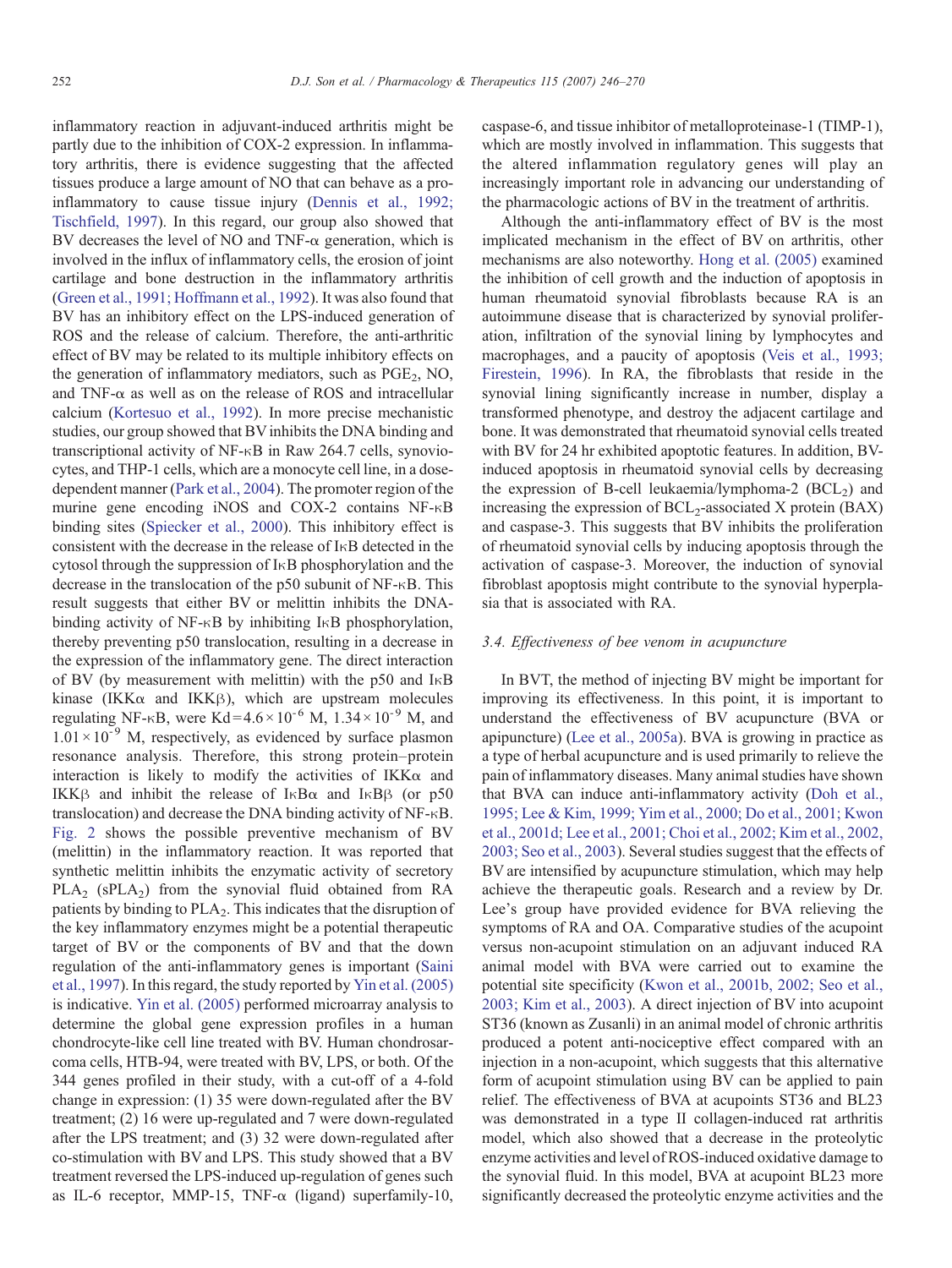inflammatory reaction in adjuvant-induced arthritis might be partly due to the inhibition of COX-2 expression. In inflammatory arthritis, there is evidence suggesting that the affected tissues produce a large amount of NO that can behave as a proinflammatory to cause tissue injury ([Dennis et al., 1992;](#page-20-0) [Tischfield, 1997\)](#page-20-0). In this regard, our group also showed that BV decreases the level of NO and TNF- $\alpha$  generation, which is involved in the influx of inflammatory cells, the erosion of joint cartilage and bone destruction in the inflammatory arthritis ([Green et al., 1991; Hoffmann et al., 1992\)](#page-21-0). It was also found that BV has an inhibitory effect on the LPS-induced generation of ROS and the release of calcium. Therefore, the anti-arthritic effect of BV may be related to its multiple inhibitory effects on the generation of inflammatory mediators, such as  $PGE_2$ , NO, and TNF- $\alpha$  as well as on the release of ROS and intracellular calcium [\(Kortesuo et al., 1992\)](#page-21-0). In more precise mechanistic studies, our group showed that BV inhibits the DNA binding and transcriptional activity of NF-κB in Raw 264.7 cells, synoviocytes, and THP-1 cells, which are a monocyte cell line, in a dosedependent manner ([Park et al., 2004](#page-23-0)). The promoter region of the murine gene encoding iNOS and COX-2 contains NF-κB binding sites ([Spiecker et al., 2000](#page-23-0)). This inhibitory effect is consistent with the decrease in the release of IκB detected in the cytosol through the suppression of IκB phosphorylation and the decrease in the translocation of the p50 subunit of NF-κB. This result suggests that either BV or melittin inhibits the DNAbinding activity of NF-κB by inhibiting IκB phosphorylation, thereby preventing p50 translocation, resulting in a decrease in the expression of the inflammatory gene. The direct interaction of BV (by measurement with melittin) with the p50 and IκB kinase (IKK $\alpha$  and IKK $\beta$ ), which are upstream molecules regulating NF- $\kappa$ B, were Kd = 4.6  $\times$  10<sup>-6</sup> M, 1.34  $\times$  10<sup>-9</sup> M, and  $1.01 \times 10^{-9}$  M, respectively, as evidenced by surface plasmon resonance analysis. Therefore, this strong protein–protein interaction is likely to modify the activities of  $IKK\alpha$  and IKKβ and inhibit the release of IκBα and IκBβ (or p50 translocation) and decrease the DNA binding activity of NF-κB. [Fig. 2](#page-7-0) shows the possible preventive mechanism of BV (melittin) in the inflammatory reaction. It was reported that synthetic melittin inhibits the enzymatic activity of secretory PLA<sub>2</sub> (sPLA<sub>2</sub>) from the synovial fluid obtained from RA patients by binding to  $PLA_2$ . This indicates that the disruption of the key inflammatory enzymes might be a potential therapeutic target of BV or the components of BV and that the down regulation of the anti-inflammatory genes is important ([Saini](#page-23-0) [et al., 1997](#page-23-0)). In this regard, the study reported by [Yin et al. \(2005\)](#page-24-0) is indicative. [Yin et al. \(2005\)](#page-24-0) performed microarray analysis to determine the global gene expression profiles in a human chondrocyte-like cell line treated with BV. Human chondrosarcoma cells, HTB-94, were treated with BV, LPS, or both. Of the 344 genes profiled in their study, with a cut-off of a 4-fold change in expression: (1) 35 were down-regulated after the BV treatment; (2) 16 were up-regulated and 7 were down-regulated after the LPS treatment; and (3) 32 were down-regulated after co-stimulation with BV and LPS. This study showed that a BV treatment reversed the LPS-induced up-regulation of genes such as IL-6 receptor, MMP-15, TNF- $\alpha$  (ligand) superfamily-10, caspase-6, and tissue inhibitor of metalloproteinase-1 (TIMP-1), which are mostly involved in inflammation. This suggests that the altered inflammation regulatory genes will play an increasingly important role in advancing our understanding of the pharmacologic actions of BV in the treatment of arthritis.

Although the anti-inflammatory effect of BV is the most implicated mechanism in the effect of BV on arthritis, other mechanisms are also noteworthy. [Hong et al. \(2005\)](#page-21-0) examined the inhibition of cell growth and the induction of apoptosis in human rheumatoid synovial fibroblasts because RA is an autoimmune disease that is characterized by synovial proliferation, infiltration of the synovial lining by lymphocytes and macrophages, and a paucity of apoptosis [\(Veis et al., 1993;](#page-23-0) [Firestein, 1996](#page-23-0)). In RA, the fibroblasts that reside in the synovial lining significantly increase in number, display a transformed phenotype, and destroy the adjacent cartilage and bone. It was demonstrated that rheumatoid synovial cells treated with BV for 24 hr exhibited apoptotic features. In addition, BVinduced apoptosis in rheumatoid synovial cells by decreasing the expression of B-cell leukaemia/lymphoma-2  $(BCL<sub>2</sub>)$  and increasing the expression of  $BCL<sub>2</sub>$ -associated X protein (BAX) and caspase-3. This suggests that BV inhibits the proliferation of rheumatoid synovial cells by inducing apoptosis through the activation of caspase-3. Moreover, the induction of synovial fibroblast apoptosis might contribute to the synovial hyperplasia that is associated with RA.

#### 3.4. Effectiveness of bee venom in acupuncture

In BVT, the method of injecting BV might be important for improving its effectiveness. In this point, it is important to understand the effectiveness of BV acupuncture (BVA or apipuncture) ([Lee et al., 2005a](#page-22-0)). BVA is growing in practice as a type of herbal acupuncture and is used primarily to relieve the pain of inflammatory diseases. Many animal studies have shown that BVA can induce anti-inflammatory activity ([Doh et al.,](#page-21-0) [1995; Lee & Kim, 1999; Yim et al., 2000; Do et al., 2001; Kwon](#page-21-0) [et al., 2001d; Lee et al., 2001; Choi et al., 2002; Kim et al., 2002,](#page-21-0) [2003; Seo et al., 2003\)](#page-21-0). Several studies suggest that the effects of BV are intensified by acupuncture stimulation, which may help achieve the therapeutic goals. Research and a review by Dr. Lee's group have provided evidence for BVA relieving the symptoms of RA and OA. Comparative studies of the acupoint versus non-acupoint stimulation on an adjuvant induced RA animal model with BVA were carried out to examine the potential site specificity [\(Kwon et al., 2001b, 2002; Seo et al.,](#page-21-0) [2003; Kim et al., 2003](#page-21-0)). A direct injection of BV into acupoint ST36 (known as Zusanli) in an animal model of chronic arthritis produced a potent anti-nociceptive effect compared with an injection in a non-acupoint, which suggests that this alternative form of acupoint stimulation using BV can be applied to pain relief. The effectiveness of BVA at acupoints ST36 and BL23 was demonstrated in a type II collagen-induced rat arthritis model, which also showed that a decrease in the proteolytic enzyme activities and level of ROS-induced oxidative damage to the synovial fluid. In this model, BVA at acupoint BL23 more significantly decreased the proteolytic enzyme activities and the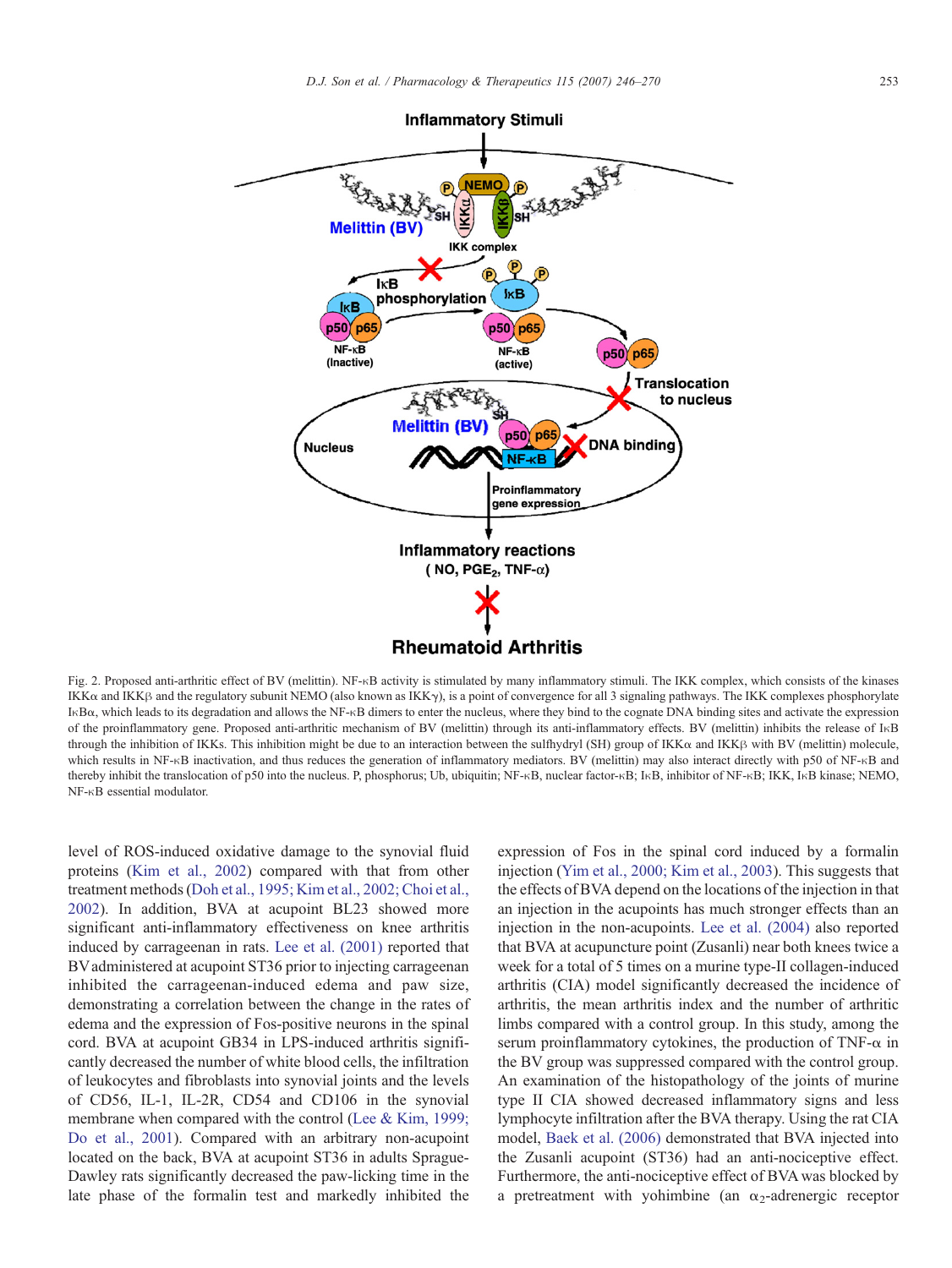<span id="page-7-0"></span>

Fig. 2. Proposed anti-arthritic effect of BV (melittin). NF- $\kappa$ B activity is stimulated by many inflammatory stimuli. The IKK complex, which consists of the kinases IKKα and IKKβ and the regulatory subunit NEMO (also known as IKKγ), is a point of convergence for all 3 signaling pathways. The IKK complexes phosphorylate IκBα, which leads to its degradation and allows the NF-κB dimers to enter the nucleus, where they bind to the cognate DNA binding sites and activate the expression of the proinflammatory gene. Proposed anti-arthritic mechanism of BV (melittin) through its anti-inflammatory effects. BV (melittin) inhibits the release of IκB through the inhibition of IKKs. This inhibition might be due to an interaction between the sulfhydryl (SH) group of IKΚα and IKKβ with BV (melittin) molecule, which results in NF-κB inactivation, and thus reduces the generation of inflammatory mediators. BV (melittin) may also interact directly with p50 of NF-κB and thereby inhibit the translocation of p50 into the nucleus. P, phosphorus; Ub, ubiquitin; NF-κB, nuclear factor-κB; IκB, inhibitor of NF-κB; IKK, IκB kinase; NEMO, NF-κB essential modulator.

level of ROS-induced oxidative damage to the synovial fluid proteins ([Kim et al., 2002](#page-21-0)) compared with that from other treatment methods ([Doh et al., 1995; Kim et al., 2002; Choi et al.,](#page-21-0) [2002](#page-21-0)). In addition, BVA at acupoint BL23 showed more significant anti-inflammatory effectiveness on knee arthritis induced by carrageenan in rats. [Lee et al. \(2001\)](#page-22-0) reported that BVadministered at acupoint ST36 prior to injecting carrageenan inhibited the carrageenan-induced edema and paw size, demonstrating a correlation between the change in the rates of edema and the expression of Fos-positive neurons in the spinal cord. BVA at acupoint GB34 in LPS-induced arthritis significantly decreased the number of white blood cells, the infiltration of leukocytes and fibroblasts into synovial joints and the levels of CD56, IL-1, IL-2R, CD54 and CD106 in the synovial membrane when compared with the control ([Lee & Kim, 1999;](#page-22-0) [Do et al., 2001\)](#page-22-0). Compared with an arbitrary non-acupoint located on the back, BVA at acupoint ST36 in adults Sprague-Dawley rats significantly decreased the paw-licking time in the late phase of the formalin test and markedly inhibited the expression of Fos in the spinal cord induced by a formalin injection ([Yim et al., 2000; Kim et al., 2003\)](#page-24-0). This suggests that the effects of BVA depend on the locations of the injection in that an injection in the acupoints has much stronger effects than an injection in the non-acupoints. [Lee et al. \(2004\)](#page-22-0) also reported that BVA at acupuncture point (Zusanli) near both knees twice a week for a total of 5 times on a murine type-II collagen-induced arthritis (CIA) model significantly decreased the incidence of arthritis, the mean arthritis index and the number of arthritic limbs compared with a control group. In this study, among the serum proinflammatory cytokines, the production of TNF- $\alpha$  in the BV group was suppressed compared with the control group. An examination of the histopathology of the joints of murine type II CIA showed decreased inflammatory signs and less lymphocyte infiltration after the BVA therapy. Using the rat CIA model, [Baek et al. \(2006\)](#page-20-0) demonstrated that BVA injected into the Zusanli acupoint (ST36) had an anti-nociceptive effect. Furthermore, the anti-nociceptive effect of BVA was blocked by a pretreatment with yohimbine (an  $\alpha_2$ -adrenergic receptor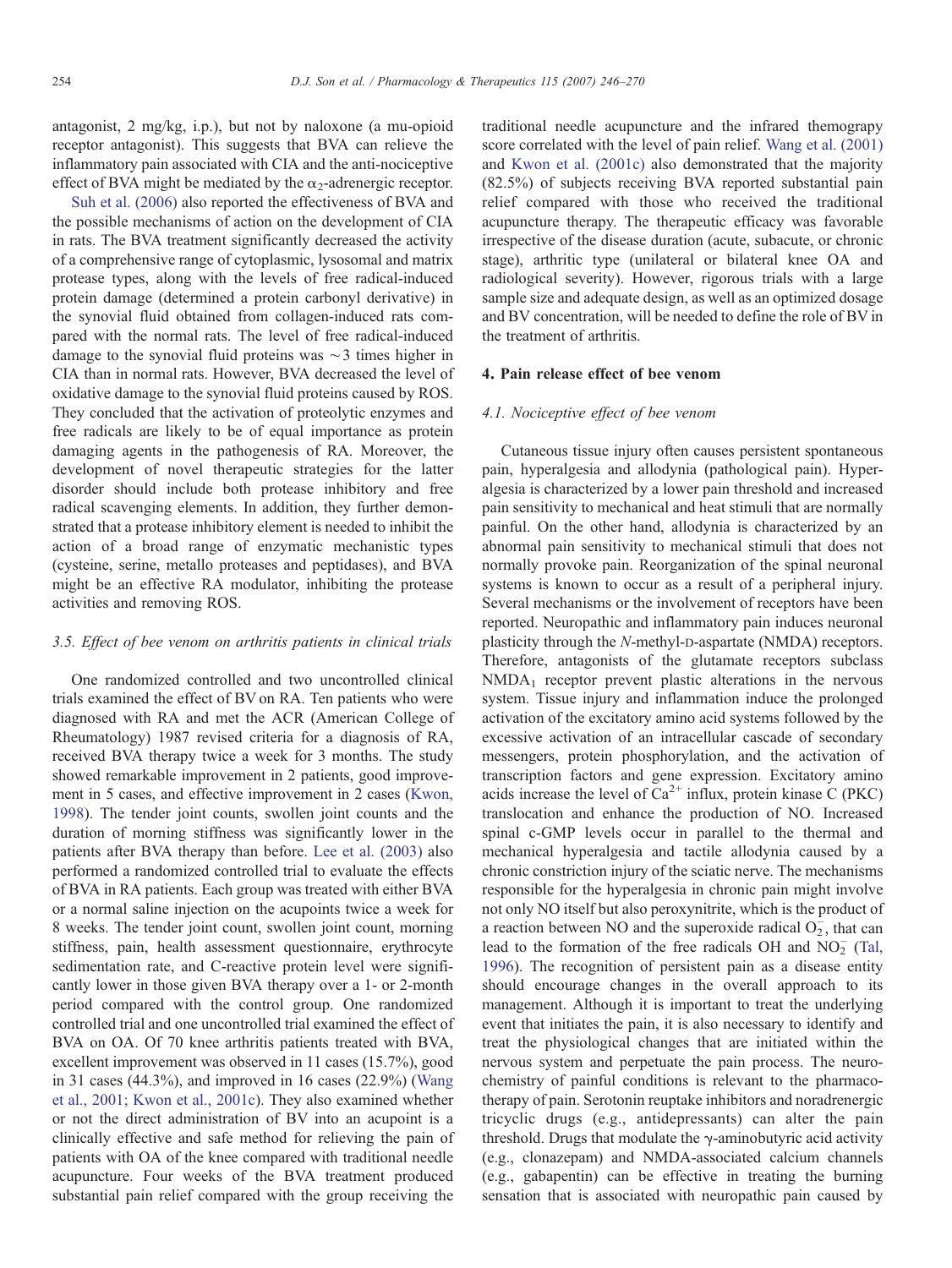antagonist, 2 mg/kg, i.p.), but not by naloxone (a mu-opioid receptor antagonist). This suggests that BVA can relieve the inflammatory pain associated with CIA and the anti-nociceptive effect of BVA might be mediated by the  $\alpha_2$ -adrenergic receptor.

[Suh et al. \(2006\)](#page-23-0) also reported the effectiveness of BVA and the possible mechanisms of action on the development of CIA in rats. The BVA treatment significantly decreased the activity of a comprehensive range of cytoplasmic, lysosomal and matrix protease types, along with the levels of free radical-induced protein damage (determined a protein carbonyl derivative) in the synovial fluid obtained from collagen-induced rats compared with the normal rats. The level of free radical-induced damage to the synovial fluid proteins was ∼3 times higher in CIA than in normal rats. However, BVA decreased the level of oxidative damage to the synovial fluid proteins caused by ROS. They concluded that the activation of proteolytic enzymes and free radicals are likely to be of equal importance as protein damaging agents in the pathogenesis of RA. Moreover, the development of novel therapeutic strategies for the latter disorder should include both protease inhibitory and free radical scavenging elements. In addition, they further demonstrated that a protease inhibitory element is needed to inhibit the action of a broad range of enzymatic mechanistic types (cysteine, serine, metallo proteases and peptidases), and BVA might be an effective RA modulator, inhibiting the protease activities and removing ROS.

#### 3.5. Effect of bee venom on arthritis patients in clinical trials

One randomized controlled and two uncontrolled clinical trials examined the effect of BV on RA. Ten patients who were diagnosed with RA and met the ACR (American College of Rheumatology) 1987 revised criteria for a diagnosis of RA, received BVA therapy twice a week for 3 months. The study showed remarkable improvement in 2 patients, good improvement in 5 cases, and effective improvement in 2 cases ([Kwon,](#page-21-0) [1998\)](#page-21-0). The tender joint counts, swollen joint counts and the duration of morning stiffness was significantly lower in the patients after BVA therapy than before. [Lee et al. \(2003\)](#page-22-0) also performed a randomized controlled trial to evaluate the effects of BVA in RA patients. Each group was treated with either BVA or a normal saline injection on the acupoints twice a week for 8 weeks. The tender joint count, swollen joint count, morning stiffness, pain, health assessment questionnaire, erythrocyte sedimentation rate, and C-reactive protein level were significantly lower in those given BVA therapy over a 1- or 2-month period compared with the control group. One randomized controlled trial and one uncontrolled trial examined the effect of BVA on OA. Of 70 knee arthritis patients treated with BVA, excellent improvement was observed in 11 cases (15.7%), good in 31 cases (44.3%), and improved in 16 cases (22.9%) ([Wang](#page-24-0) [et al., 2001; Kwon et al., 2001c\)](#page-24-0). They also examined whether or not the direct administration of BV into an acupoint is a clinically effective and safe method for relieving the pain of patients with OA of the knee compared with traditional needle acupuncture. Four weeks of the BVA treatment produced substantial pain relief compared with the group receiving the traditional needle acupuncture and the infrared themograpy score correlated with the level of pain relief. [Wang et al. \(2001\)](#page-24-0) and [Kwon et al. \(2001c\)](#page-21-0) also demonstrated that the majority (82.5%) of subjects receiving BVA reported substantial pain relief compared with those who received the traditional acupuncture therapy. The therapeutic efficacy was favorable irrespective of the disease duration (acute, subacute, or chronic stage), arthritic type (unilateral or bilateral knee OA and radiological severity). However, rigorous trials with a large sample size and adequate design, as well as an optimized dosage and BV concentration, will be needed to define the role of BV in the treatment of arthritis.

## 4. Pain release effect of bee venom

#### 4.1. Nociceptive effect of bee venom

Cutaneous tissue injury often causes persistent spontaneous pain, hyperalgesia and allodynia (pathological pain). Hyperalgesia is characterized by a lower pain threshold and increased pain sensitivity to mechanical and heat stimuli that are normally painful. On the other hand, allodynia is characterized by an abnormal pain sensitivity to mechanical stimuli that does not normally provoke pain. Reorganization of the spinal neuronal systems is known to occur as a result of a peripheral injury. Several mechanisms or the involvement of receptors have been reported. Neuropathic and inflammatory pain induces neuronal plasticity through the N-methyl-D-aspartate (NMDA) receptors. Therefore, antagonists of the glutamate receptors subclass  $NMDA<sub>1</sub>$  receptor prevent plastic alterations in the nervous system. Tissue injury and inflammation induce the prolonged activation of the excitatory amino acid systems followed by the excessive activation of an intracellular cascade of secondary messengers, protein phosphorylation, and the activation of transcription factors and gene expression. Excitatory amino acids increase the level of  $Ca^{2+}$  influx, protein kinase C (PKC) translocation and enhance the production of NO. Increased spinal c-GMP levels occur in parallel to the thermal and mechanical hyperalgesia and tactile allodynia caused by a chronic constriction injury of the sciatic nerve. The mechanisms responsible for the hyperalgesia in chronic pain might involve not only NO itself but also peroxynitrite, which is the product of a reaction between NO and the superoxide radical  $O_2$ , that can lead to the formation of the free radicals OH and  $NO<sub>2</sub><sup>-</sup>$  ([Tal,](#page-23-0) [1996\)](#page-23-0). The recognition of persistent pain as a disease entity should encourage changes in the overall approach to its management. Although it is important to treat the underlying event that initiates the pain, it is also necessary to identify and treat the physiological changes that are initiated within the nervous system and perpetuate the pain process. The neurochemistry of painful conditions is relevant to the pharmacotherapy of pain. Serotonin reuptake inhibitors and noradrenergic tricyclic drugs (e.g., antidepressants) can alter the pain threshold. Drugs that modulate the  $\gamma$ -aminobutyric acid activity (e.g., clonazepam) and NMDA-associated calcium channels (e.g., gabapentin) can be effective in treating the burning sensation that is associated with neuropathic pain caused by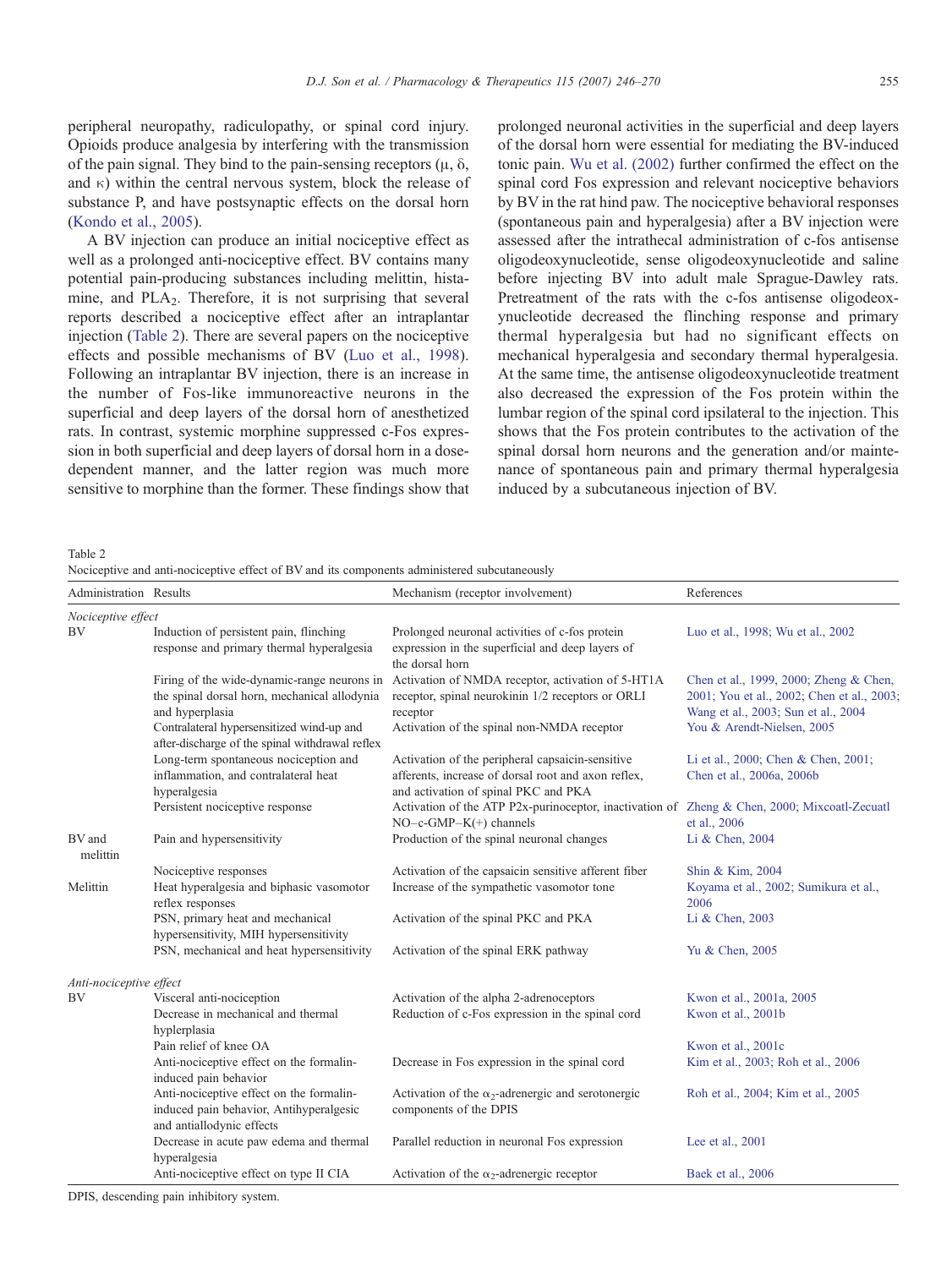<span id="page-9-0"></span>peripheral neuropathy, radiculopathy, or spinal cord injury. Opioids produce analgesia by interfering with the transmission of the pain signal. They bind to the pain-sensing receptors  $(\mu, \delta)$ , and  $\kappa$ ) within the central nervous system, block the release of substance P, and have postsynaptic effects on the dorsal horn ([Kondo et al., 2005\)](#page-21-0).

A BV injection can produce an initial nociceptive effect as well as a prolonged anti-nociceptive effect. BV contains many potential pain-producing substances including melittin, histamine, and PLA<sub>2</sub>. Therefore, it is not surprising that several reports described a nociceptive effect after an intraplantar injection (Table 2). There are several papers on the nociceptive effects and possible mechanisms of BV [\(Luo et al., 1998\)](#page-22-0). Following an intraplantar BV injection, there is an increase in the number of Fos-like immunoreactive neurons in the superficial and deep layers of the dorsal horn of anesthetized rats. In contrast, systemic morphine suppressed c-Fos expression in both superficial and deep layers of dorsal horn in a dosedependent manner, and the latter region was much more sensitive to morphine than the former. These findings show that prolonged neuronal activities in the superficial and deep layers of the dorsal horn were essential for mediating the BV-induced tonic pain. [Wu et al. \(2002\)](#page-24-0) further confirmed the effect on the spinal cord Fos expression and relevant nociceptive behaviors by BV in the rat hind paw. The nociceptive behavioral responses (spontaneous pain and hyperalgesia) after a BV injection were assessed after the intrathecal administration of c-fos antisense oligodeoxynucleotide, sense oligodeoxynucleotide and saline before injecting BV into adult male Sprague-Dawley rats. Pretreatment of the rats with the c-fos antisense oligodeoxynucleotide decreased the flinching response and primary thermal hyperalgesia but had no significant effects on mechanical hyperalgesia and secondary thermal hyperalgesia. At the same time, the antisense oligodeoxynucleotide treatment also decreased the expression of the Fos protein within the lumbar region of the spinal cord ipsilateral to the injection. This shows that the Fos protein contributes to the activation of the spinal dorsal horn neurons and the generation and/or maintenance of spontaneous pain and primary thermal hyperalgesia induced by a subcutaneous injection of BV.

Table 2

| Nociceptive and anti-nociceptive effect of BV and its components administered subcutaneously |  |  |
|----------------------------------------------------------------------------------------------|--|--|
|                                                                                              |  |  |

| Administration Results  |                                                                                                                                                                                                                | Mechanism (receptor involvement)                                                                                                                                 | References                                                                                                                                                |
|-------------------------|----------------------------------------------------------------------------------------------------------------------------------------------------------------------------------------------------------------|------------------------------------------------------------------------------------------------------------------------------------------------------------------|-----------------------------------------------------------------------------------------------------------------------------------------------------------|
| Nociceptive effect      |                                                                                                                                                                                                                |                                                                                                                                                                  |                                                                                                                                                           |
| <b>BV</b>               | Induction of persistent pain, flinching<br>response and primary thermal hyperalgesia                                                                                                                           | Prolonged neuronal activities of c-fos protein<br>expression in the superficial and deep layers of<br>the dorsal horn                                            | Luo et al., 1998; Wu et al., 2002                                                                                                                         |
|                         | Firing of the wide-dynamic-range neurons in<br>the spinal dorsal horn, mechanical allodynia<br>and hyperplasia<br>Contralateral hypersensitized wind-up and<br>after-discharge of the spinal withdrawal reflex | Activation of NMDA receptor, activation of 5-HT1A<br>receptor, spinal neurokinin 1/2 receptors or ORLI<br>receptor<br>Activation of the spinal non-NMDA receptor | Chen et al., 1999, 2000; Zheng & Chen,<br>2001; You et al., 2002; Chen et al., 2003;<br>Wang et al., 2003; Sun et al., 2004<br>You & Arendt-Nielsen, 2005 |
|                         | Long-term spontaneous nociception and<br>inflammation, and contralateral heat<br>hyperalgesia                                                                                                                  | Activation of the peripheral capsaicin-sensitive<br>afferents, increase of dorsal root and axon reflex,<br>and activation of spinal PKC and PKA                  | Li et al., 2000; Chen & Chen, 2001;<br>Chen et al., 2006a, 2006b                                                                                          |
|                         | Persistent nociceptive response                                                                                                                                                                                | Activation of the ATP P2x-purinoceptor, inactivation of Zheng & Chen, 2000; Mixcoatl-Zecuatl<br>$NO-c-GMP-K(+)$ channels                                         | et al., 2006                                                                                                                                              |
| BV and<br>melittin      | Pain and hypersensitivity                                                                                                                                                                                      | Production of the spinal neuronal changes                                                                                                                        | Li & Chen, 2004                                                                                                                                           |
|                         | Nociceptive responses                                                                                                                                                                                          | Activation of the capsaicin sensitive afferent fiber                                                                                                             | Shin & Kim, 2004                                                                                                                                          |
| Melittin                | Heat hyperalgesia and biphasic vasomotor<br>reflex responses                                                                                                                                                   | Increase of the sympathetic vasomotor tone                                                                                                                       | Koyama et al., 2002; Sumikura et al.,<br>2006                                                                                                             |
|                         | PSN, primary heat and mechanical<br>hypersensitivity, MIH hypersensitivity                                                                                                                                     | Activation of the spinal PKC and PKA                                                                                                                             | Li & Chen, 2003                                                                                                                                           |
|                         | PSN, mechanical and heat hypersensitivity                                                                                                                                                                      | Activation of the spinal ERK pathway                                                                                                                             | Yu & Chen, 2005                                                                                                                                           |
| Anti-nociceptive effect |                                                                                                                                                                                                                |                                                                                                                                                                  |                                                                                                                                                           |
| <b>BV</b>               | Visceral anti-nociception<br>Decrease in mechanical and thermal<br>hyplerplasia                                                                                                                                | Activation of the alpha 2-adrenoceptors<br>Reduction of c-Fos expression in the spinal cord                                                                      | Kwon et al., 2001a, 2005<br>Kwon et al., 2001b                                                                                                            |
|                         | Pain relief of knee OA                                                                                                                                                                                         |                                                                                                                                                                  | Kwon et al., 2001c                                                                                                                                        |
|                         | Anti-nociceptive effect on the formalin-<br>induced pain behavior                                                                                                                                              | Decrease in Fos expression in the spinal cord                                                                                                                    | Kim et al., 2003; Roh et al., 2006                                                                                                                        |
|                         | Anti-nociceptive effect on the formalin-<br>induced pain behavior, Antihyperalgesic<br>and antiallodynic effects                                                                                               | Activation of the $\alpha_2$ -adrenergic and serotonergic<br>components of the DPIS                                                                              | Roh et al., 2004; Kim et al., 2005                                                                                                                        |
|                         | Decrease in acute paw edema and thermal<br>hyperalgesia                                                                                                                                                        | Parallel reduction in neuronal Fos expression                                                                                                                    | Lee et al., 2001                                                                                                                                          |
|                         | Anti-nociceptive effect on type II CIA                                                                                                                                                                         | Activation of the $\alpha_2$ -adrenergic receptor                                                                                                                | Baek et al., 2006                                                                                                                                         |

DPIS, descending pain inhibitory system.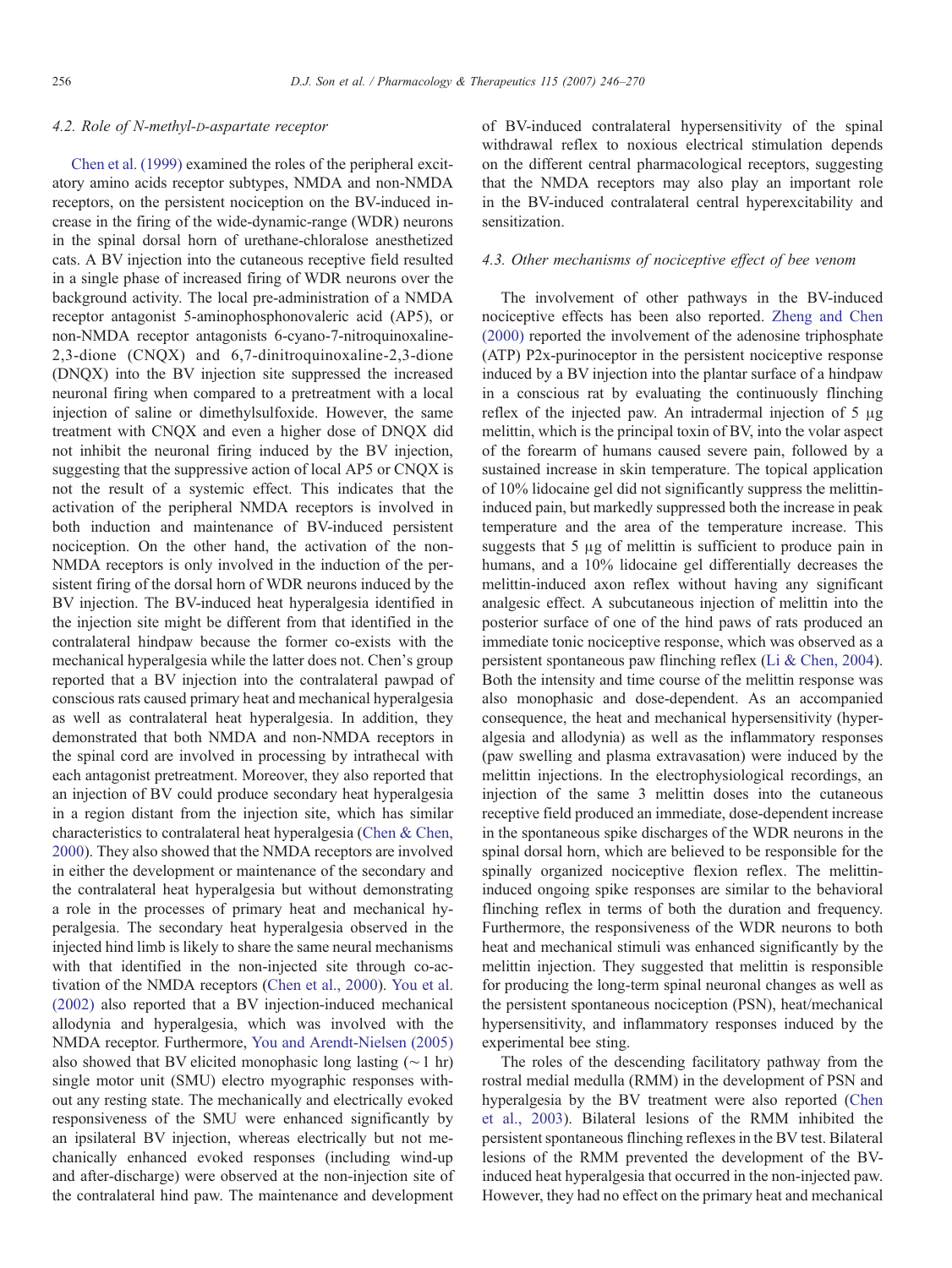#### 4.2. Role of N-methyl-D-aspartate receptor

[Chen et al. \(1999\)](#page-20-0) examined the roles of the peripheral excitatory amino acids receptor subtypes, NMDA and non-NMDA receptors, on the persistent nociception on the BV-induced increase in the firing of the wide-dynamic-range (WDR) neurons in the spinal dorsal horn of urethane-chloralose anesthetized cats. A BV injection into the cutaneous receptive field resulted in a single phase of increased firing of WDR neurons over the background activity. The local pre-administration of a NMDA receptor antagonist 5-aminophosphonovaleric acid (AP5), or non-NMDA receptor antagonists 6-cyano-7-nitroquinoxaline-2,3-dione (CNQX) and 6,7-dinitroquinoxaline-2,3-dione (DNQX) into the BV injection site suppressed the increased neuronal firing when compared to a pretreatment with a local injection of saline or dimethylsulfoxide. However, the same treatment with CNQX and even a higher dose of DNQX did not inhibit the neuronal firing induced by the BV injection, suggesting that the suppressive action of local AP5 or CNQX is not the result of a systemic effect. This indicates that the activation of the peripheral NMDA receptors is involved in both induction and maintenance of BV-induced persistent nociception. On the other hand, the activation of the non-NMDA receptors is only involved in the induction of the persistent firing of the dorsal horn of WDR neurons induced by the BV injection. The BV-induced heat hyperalgesia identified in the injection site might be different from that identified in the contralateral hindpaw because the former co-exists with the mechanical hyperalgesia while the latter does not. Chen's group reported that a BV injection into the contralateral pawpad of conscious rats caused primary heat and mechanical hyperalgesia as well as contralateral heat hyperalgesia. In addition, they demonstrated that both NMDA and non-NMDA receptors in the spinal cord are involved in processing by intrathecal with each antagonist pretreatment. Moreover, they also reported that an injection of BV could produce secondary heat hyperalgesia in a region distant from the injection site, which has similar characteristics to contralateral heat hyperalgesia ([Chen & Chen,](#page-20-0) [2000\)](#page-20-0). They also showed that the NMDA receptors are involved in either the development or maintenance of the secondary and the contralateral heat hyperalgesia but without demonstrating a role in the processes of primary heat and mechanical hyperalgesia. The secondary heat hyperalgesia observed in the injected hind limb is likely to share the same neural mechanisms with that identified in the non-injected site through co-activation of the NMDA receptors [\(Chen et al., 2000](#page-20-0)). [You et al.](#page-24-0) [\(2002\)](#page-24-0) also reported that a BV injection-induced mechanical allodynia and hyperalgesia, which was involved with the NMDA receptor. Furthermore, [You and Arendt-Nielsen \(2005\)](#page-24-0) also showed that BV elicited monophasic long lasting (∼1 hr) single motor unit (SMU) electro myographic responses without any resting state. The mechanically and electrically evoked responsiveness of the SMU were enhanced significantly by an ipsilateral BV injection, whereas electrically but not mechanically enhanced evoked responses (including wind-up and after-discharge) were observed at the non-injection site of the contralateral hind paw. The maintenance and development of BV-induced contralateral hypersensitivity of the spinal withdrawal reflex to noxious electrical stimulation depends on the different central pharmacological receptors, suggesting that the NMDA receptors may also play an important role in the BV-induced contralateral central hyperexcitability and sensitization.

# 4.3. Other mechanisms of nociceptive effect of bee venom

The involvement of other pathways in the BV-induced nociceptive effects has been also reported. [Zheng and Chen](#page-24-0) [\(2000\)](#page-24-0) reported the involvement of the adenosine triphosphate (ATP) P2x-purinoceptor in the persistent nociceptive response induced by a BV injection into the plantar surface of a hindpaw in a conscious rat by evaluating the continuously flinching reflex of the injected paw. An intradermal injection of 5 μg melittin, which is the principal toxin of BV, into the volar aspect of the forearm of humans caused severe pain, followed by a sustained increase in skin temperature. The topical application of 10% lidocaine gel did not significantly suppress the melittininduced pain, but markedly suppressed both the increase in peak temperature and the area of the temperature increase. This suggests that 5 μg of melittin is sufficient to produce pain in humans, and a 10% lidocaine gel differentially decreases the melittin-induced axon reflex without having any significant analgesic effect. A subcutaneous injection of melittin into the posterior surface of one of the hind paws of rats produced an immediate tonic nociceptive response, which was observed as a persistent spontaneous paw flinching reflex ([Li & Chen, 2004](#page-22-0)). Both the intensity and time course of the melittin response was also monophasic and dose-dependent. As an accompanied consequence, the heat and mechanical hypersensitivity (hyperalgesia and allodynia) as well as the inflammatory responses (paw swelling and plasma extravasation) were induced by the melittin injections. In the electrophysiological recordings, an injection of the same 3 melittin doses into the cutaneous receptive field produced an immediate, dose-dependent increase in the spontaneous spike discharges of the WDR neurons in the spinal dorsal horn, which are believed to be responsible for the spinally organized nociceptive flexion reflex. The melittininduced ongoing spike responses are similar to the behavioral flinching reflex in terms of both the duration and frequency. Furthermore, the responsiveness of the WDR neurons to both heat and mechanical stimuli was enhanced significantly by the melittin injection. They suggested that melittin is responsible for producing the long-term spinal neuronal changes as well as the persistent spontaneous nociception (PSN), heat/mechanical hypersensitivity, and inflammatory responses induced by the experimental bee sting.

The roles of the descending facilitatory pathway from the rostral medial medulla (RMM) in the development of PSN and hyperalgesia by the BV treatment were also reported ([Chen](#page-20-0) [et al., 2003\)](#page-20-0). Bilateral lesions of the RMM inhibited the persistent spontaneous flinching reflexes in the BV test. Bilateral lesions of the RMM prevented the development of the BVinduced heat hyperalgesia that occurred in the non-injected paw. However, they had no effect on the primary heat and mechanical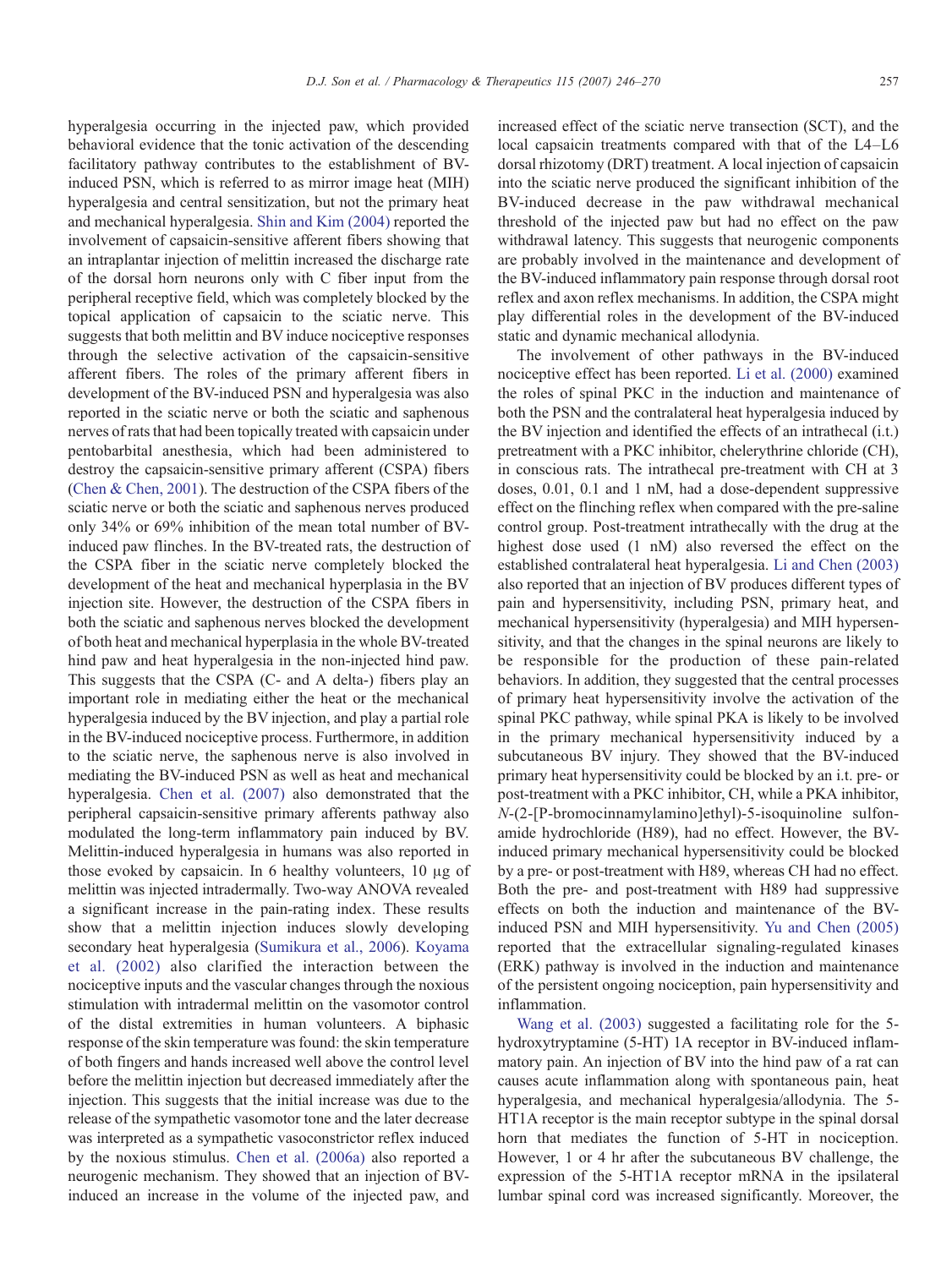hyperalgesia occurring in the injected paw, which provided behavioral evidence that the tonic activation of the descending facilitatory pathway contributes to the establishment of BVinduced PSN, which is referred to as mirror image heat (MIH) hyperalgesia and central sensitization, but not the primary heat and mechanical hyperalgesia. [Shin and Kim \(2004\)](#page-23-0) reported the involvement of capsaicin-sensitive afferent fibers showing that an intraplantar injection of melittin increased the discharge rate of the dorsal horn neurons only with C fiber input from the peripheral receptive field, which was completely blocked by the topical application of capsaicin to the sciatic nerve. This suggests that both melittin and BV induce nociceptive responses through the selective activation of the capsaicin-sensitive afferent fibers. The roles of the primary afferent fibers in development of the BV-induced PSN and hyperalgesia was also reported in the sciatic nerve or both the sciatic and saphenous nerves of rats that had been topically treated with capsaicin under pentobarbital anesthesia, which had been administered to destroy the capsaicin-sensitive primary afferent (CSPA) fibers ([Chen & Chen, 2001](#page-20-0)). The destruction of the CSPA fibers of the sciatic nerve or both the sciatic and saphenous nerves produced only 34% or 69% inhibition of the mean total number of BVinduced paw flinches. In the BV-treated rats, the destruction of the CSPA fiber in the sciatic nerve completely blocked the development of the heat and mechanical hyperplasia in the BV injection site. However, the destruction of the CSPA fibers in both the sciatic and saphenous nerves blocked the development of both heat and mechanical hyperplasia in the whole BV-treated hind paw and heat hyperalgesia in the non-injected hind paw. This suggests that the CSPA (C- and A delta-) fibers play an important role in mediating either the heat or the mechanical hyperalgesia induced by the BV injection, and play a partial role in the BV-induced nociceptive process. Furthermore, in addition to the sciatic nerve, the saphenous nerve is also involved in mediating the BV-induced PSN as well as heat and mechanical hyperalgesia. [Chen et al. \(2007\)](#page-20-0) also demonstrated that the peripheral capsaicin-sensitive primary afferents pathway also modulated the long-term inflammatory pain induced by BV. Melittin-induced hyperalgesia in humans was also reported in those evoked by capsaicin. In 6 healthy volunteers, 10 μg of melittin was injected intradermally. Two-way ANOVA revealed a significant increase in the pain-rating index. These results show that a melittin injection induces slowly developing secondary heat hyperalgesia ([Sumikura et al., 2006\)](#page-23-0). [Koyama](#page-21-0) [et al. \(2002\)](#page-21-0) also clarified the interaction between the nociceptive inputs and the vascular changes through the noxious stimulation with intradermal melittin on the vasomotor control of the distal extremities in human volunteers. A biphasic response of the skin temperature was found: the skin temperature of both fingers and hands increased well above the control level before the melittin injection but decreased immediately after the injection. This suggests that the initial increase was due to the release of the sympathetic vasomotor tone and the later decrease was interpreted as a sympathetic vasoconstrictor reflex induced by the noxious stimulus. [Chen et al. \(2006a\)](#page-20-0) also reported a neurogenic mechanism. They showed that an injection of BVinduced an increase in the volume of the injected paw, and

increased effect of the sciatic nerve transection (SCT), and the local capsaicin treatments compared with that of the L4–L6 dorsal rhizotomy (DRT) treatment. A local injection of capsaicin into the sciatic nerve produced the significant inhibition of the BV-induced decrease in the paw withdrawal mechanical threshold of the injected paw but had no effect on the paw withdrawal latency. This suggests that neurogenic components are probably involved in the maintenance and development of the BV-induced inflammatory pain response through dorsal root reflex and axon reflex mechanisms. In addition, the CSPA might play differential roles in the development of the BV-induced static and dynamic mechanical allodynia.

The involvement of other pathways in the BV-induced nociceptive effect has been reported. [Li et al. \(2000\)](#page-22-0) examined the roles of spinal PKC in the induction and maintenance of both the PSN and the contralateral heat hyperalgesia induced by the BV injection and identified the effects of an intrathecal (i.t.) pretreatment with a PKC inhibitor, chelerythrine chloride (CH), in conscious rats. The intrathecal pre-treatment with CH at 3 doses, 0.01, 0.1 and 1 nM, had a dose-dependent suppressive effect on the flinching reflex when compared with the pre-saline control group. Post-treatment intrathecally with the drug at the highest dose used (1 nM) also reversed the effect on the established contralateral heat hyperalgesia. [Li and Chen \(2003\)](#page-22-0) also reported that an injection of BV produces different types of pain and hypersensitivity, including PSN, primary heat, and mechanical hypersensitivity (hyperalgesia) and MIH hypersensitivity, and that the changes in the spinal neurons are likely to be responsible for the production of these pain-related behaviors. In addition, they suggested that the central processes of primary heat hypersensitivity involve the activation of the spinal PKC pathway, while spinal PKA is likely to be involved in the primary mechanical hypersensitivity induced by a subcutaneous BV injury. They showed that the BV-induced primary heat hypersensitivity could be blocked by an i.t. pre- or post-treatment with a PKC inhibitor, CH, while a PKA inhibitor, N-(2-[P-bromocinnamylamino]ethyl)-5-isoquinoline sulfonamide hydrochloride (H89), had no effect. However, the BVinduced primary mechanical hypersensitivity could be blocked by a pre- or post-treatment with H89, whereas CH had no effect. Both the pre- and post-treatment with H89 had suppressive effects on both the induction and maintenance of the BVinduced PSN and MIH hypersensitivity. [Yu and Chen \(2005\)](#page-24-0) reported that the extracellular signaling-regulated kinases (ERK) pathway is involved in the induction and maintenance of the persistent ongoing nociception, pain hypersensitivity and inflammation.

[Wang et al. \(2003\)](#page-24-0) suggested a facilitating role for the 5 hydroxytryptamine (5-HT) 1A receptor in BV-induced inflammatory pain. An injection of BV into the hind paw of a rat can causes acute inflammation along with spontaneous pain, heat hyperalgesia, and mechanical hyperalgesia/allodynia. The 5- HT1A receptor is the main receptor subtype in the spinal dorsal horn that mediates the function of 5-HT in nociception. However, 1 or 4 hr after the subcutaneous BV challenge, the expression of the 5-HT1A receptor mRNA in the ipsilateral lumbar spinal cord was increased significantly. Moreover, the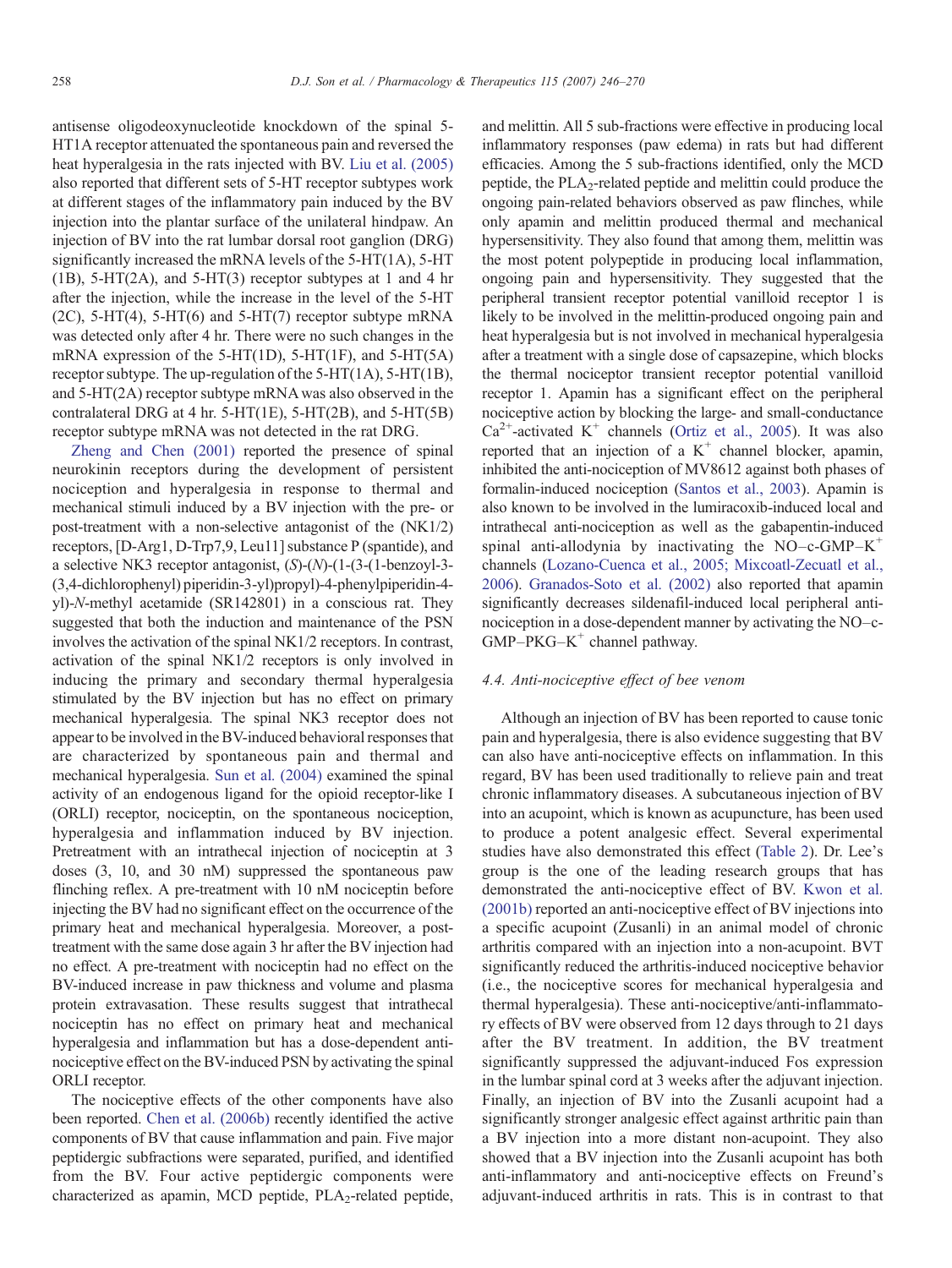antisense oligodeoxynucleotide knockdown of the spinal 5- HT1A receptor attenuated the spontaneous pain and reversed the heat hyperalgesia in the rats injected with BV. [Liu et al. \(2005\)](#page-22-0) also reported that different sets of 5-HT receptor subtypes work at different stages of the inflammatory pain induced by the BV injection into the plantar surface of the unilateral hindpaw. An injection of BV into the rat lumbar dorsal root ganglion (DRG) significantly increased the mRNA levels of the 5-HT(1A), 5-HT (1B), 5-HT(2A), and 5-HT(3) receptor subtypes at 1 and 4 hr after the injection, while the increase in the level of the 5-HT  $(2C)$ , 5-HT(4), 5-HT(6) and 5-HT(7) receptor subtype mRNA was detected only after 4 hr. There were no such changes in the mRNA expression of the 5-HT(1D), 5-HT(1F), and 5-HT(5A) receptor subtype. The up-regulation of the 5-HT(1A), 5-HT(1B), and 5-HT(2A) receptor subtype mRNA was also observed in the contralateral DRG at 4 hr. 5-HT(1E), 5-HT(2B), and 5-HT(5B) receptor subtype mRNA was not detected in the rat DRG.

[Zheng and Chen \(2001\)](#page-24-0) reported the presence of spinal neurokinin receptors during the development of persistent nociception and hyperalgesia in response to thermal and mechanical stimuli induced by a BV injection with the pre- or post-treatment with a non-selective antagonist of the (NK1/2) receptors, [D-Arg1, D-Trp7,9, Leu11] substance P (spantide), and a selective NK3 receptor antagonist, (S)-(N)-(1-(3-(1-benzoyl-3- (3,4-dichlorophenyl) piperidin-3-yl)propyl)-4-phenylpiperidin-4 yl)-N-methyl acetamide (SR142801) in a conscious rat. They suggested that both the induction and maintenance of the PSN involves the activation of the spinal NK1/2 receptors. In contrast, activation of the spinal NK1/2 receptors is only involved in inducing the primary and secondary thermal hyperalgesia stimulated by the BV injection but has no effect on primary mechanical hyperalgesia. The spinal NK3 receptor does not appear to be involved in the BV-induced behavioral responses that are characterized by spontaneous pain and thermal and mechanical hyperalgesia. [Sun et al. \(2004\)](#page-23-0) examined the spinal activity of an endogenous ligand for the opioid receptor-like I (ORLI) receptor, nociceptin, on the spontaneous nociception, hyperalgesia and inflammation induced by BV injection. Pretreatment with an intrathecal injection of nociceptin at 3 doses (3, 10, and 30 nM) suppressed the spontaneous paw flinching reflex. A pre-treatment with 10 nM nociceptin before injecting the BV had no significant effect on the occurrence of the primary heat and mechanical hyperalgesia. Moreover, a posttreatment with the same dose again 3 hr after the BV injection had no effect. A pre-treatment with nociceptin had no effect on the BV-induced increase in paw thickness and volume and plasma protein extravasation. These results suggest that intrathecal nociceptin has no effect on primary heat and mechanical hyperalgesia and inflammation but has a dose-dependent antinociceptive effect on the BV-induced PSN by activating the spinal ORLI receptor.

The nociceptive effects of the other components have also been reported. [Chen et al. \(2006b\)](#page-20-0) recently identified the active components of BV that cause inflammation and pain. Five major peptidergic subfractions were separated, purified, and identified from the BV. Four active peptidergic components were characterized as apamin, MCD peptide,  $PLA_2$ -related peptide, and melittin. All 5 sub-fractions were effective in producing local inflammatory responses (paw edema) in rats but had different efficacies. Among the 5 sub-fractions identified, only the MCD peptide, the  $PLA_2$ -related peptide and melittin could produce the ongoing pain-related behaviors observed as paw flinches, while only apamin and melittin produced thermal and mechanical hypersensitivity. They also found that among them, melittin was the most potent polypeptide in producing local inflammation, ongoing pain and hypersensitivity. They suggested that the peripheral transient receptor potential vanilloid receptor 1 is likely to be involved in the melittin-produced ongoing pain and heat hyperalgesia but is not involved in mechanical hyperalgesia after a treatment with a single dose of capsazepine, which blocks the thermal nociceptor transient receptor potential vanilloid receptor 1. Apamin has a significant effect on the peripheral nociceptive action by blocking the large- and small-conductance  $Ca<sup>2+</sup>$ -activated K<sup>+</sup> channels [\(Ortiz et al., 2005\)](#page-23-0). It was also reported that an injection of a  $K^+$  channel blocker, apamin, inhibited the anti-nociception of MV8612 against both phases of formalin-induced nociception [\(Santos et al., 2003](#page-23-0)). Apamin is also known to be involved in the lumiracoxib-induced local and intrathecal anti-nociception as well as the gabapentin-induced spinal anti-allodynia by inactivating the  $NO-c-GMP-K^+$ channels [\(Lozano-Cuenca et al., 2005; Mixcoatl-Zecuatl et al.,](#page-22-0) [2006](#page-22-0)). [Granados-Soto et al. \(2002\)](#page-21-0) also reported that apamin significantly decreases sildenafil-induced local peripheral antinociception in a dose-dependent manner by activating the NO–c- $GMP-PKG-K^+$  channel pathway.

## 4.4. Anti-nociceptive effect of bee venom

Although an injection of BV has been reported to cause tonic pain and hyperalgesia, there is also evidence suggesting that BV can also have anti-nociceptive effects on inflammation. In this regard, BV has been used traditionally to relieve pain and treat chronic inflammatory diseases. A subcutaneous injection of BV into an acupoint, which is known as acupuncture, has been used to produce a potent analgesic effect. Several experimental studies have also demonstrated this effect [\(Table 2](#page-9-0)). Dr. Lee's group is the one of the leading research groups that has demonstrated the anti-nociceptive effect of BV. [Kwon et al.](#page-21-0) [\(2001b\)](#page-21-0) reported an anti-nociceptive effect of BV injections into a specific acupoint (Zusanli) in an animal model of chronic arthritis compared with an injection into a non-acupoint. BVT significantly reduced the arthritis-induced nociceptive behavior (i.e., the nociceptive scores for mechanical hyperalgesia and thermal hyperalgesia). These anti-nociceptive/anti-inflammatory effects of BV were observed from 12 days through to 21 days after the BV treatment. In addition, the BV treatment significantly suppressed the adjuvant-induced Fos expression in the lumbar spinal cord at 3 weeks after the adjuvant injection. Finally, an injection of BV into the Zusanli acupoint had a significantly stronger analgesic effect against arthritic pain than a BV injection into a more distant non-acupoint. They also showed that a BV injection into the Zusanli acupoint has both anti-inflammatory and anti-nociceptive effects on Freund's adjuvant-induced arthritis in rats. This is in contrast to that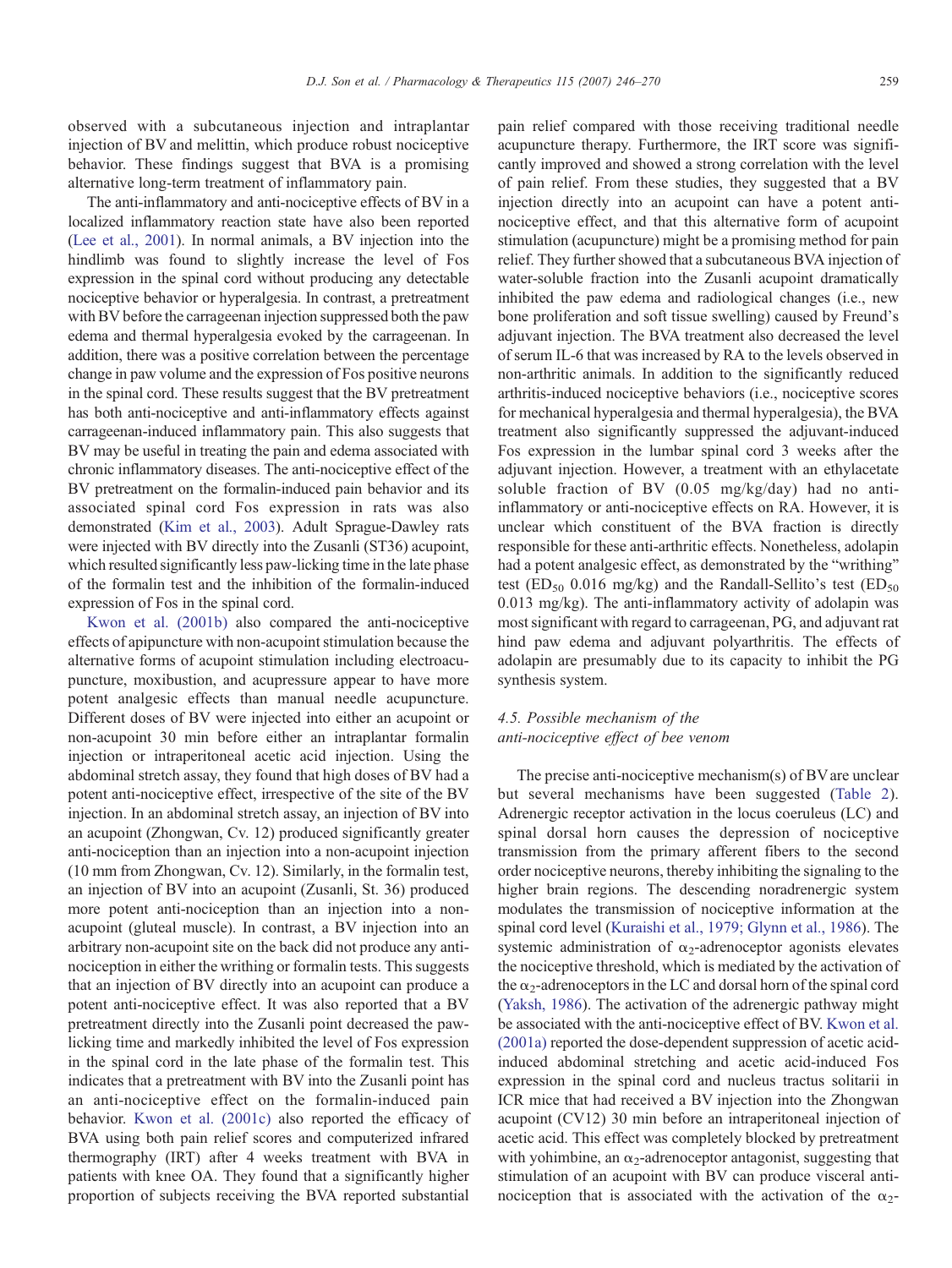observed with a subcutaneous injection and intraplantar injection of BV and melittin, which produce robust nociceptive behavior. These findings suggest that BVA is a promising alternative long-term treatment of inflammatory pain.

The anti-inflammatory and anti-nociceptive effects of BV in a localized inflammatory reaction state have also been reported ([Lee et al., 2001](#page-22-0)). In normal animals, a BV injection into the hindlimb was found to slightly increase the level of Fos expression in the spinal cord without producing any detectable nociceptive behavior or hyperalgesia. In contrast, a pretreatment with BV before the carrageenan injection suppressed both the paw edema and thermal hyperalgesia evoked by the carrageenan. In addition, there was a positive correlation between the percentage change in paw volume and the expression of Fos positive neurons in the spinal cord. These results suggest that the BV pretreatment has both anti-nociceptive and anti-inflammatory effects against carrageenan-induced inflammatory pain. This also suggests that BV may be useful in treating the pain and edema associated with chronic inflammatory diseases. The anti-nociceptive effect of the BV pretreatment on the formalin-induced pain behavior and its associated spinal cord Fos expression in rats was also demonstrated ([Kim et al., 2003](#page-21-0)). Adult Sprague-Dawley rats were injected with BV directly into the Zusanli (ST36) acupoint, which resulted significantly less paw-licking time in the late phase of the formalin test and the inhibition of the formalin-induced expression of Fos in the spinal cord.

[Kwon et al. \(2001b\)](#page-21-0) also compared the anti-nociceptive effects of apipuncture with non-acupoint stimulation because the alternative forms of acupoint stimulation including electroacupuncture, moxibustion, and acupressure appear to have more potent analgesic effects than manual needle acupuncture. Different doses of BV were injected into either an acupoint or non-acupoint 30 min before either an intraplantar formalin injection or intraperitoneal acetic acid injection. Using the abdominal stretch assay, they found that high doses of BV had a potent anti-nociceptive effect, irrespective of the site of the BV injection. In an abdominal stretch assay, an injection of BV into an acupoint (Zhongwan, Cv. 12) produced significantly greater anti-nociception than an injection into a non-acupoint injection (10 mm from Zhongwan, Cv. 12). Similarly, in the formalin test, an injection of BV into an acupoint (Zusanli, St. 36) produced more potent anti-nociception than an injection into a nonacupoint (gluteal muscle). In contrast, a BV injection into an arbitrary non-acupoint site on the back did not produce any antinociception in either the writhing or formalin tests. This suggests that an injection of BV directly into an acupoint can produce a potent anti-nociceptive effect. It was also reported that a BV pretreatment directly into the Zusanli point decreased the pawlicking time and markedly inhibited the level of Fos expression in the spinal cord in the late phase of the formalin test. This indicates that a pretreatment with BV into the Zusanli point has an anti-nociceptive effect on the formalin-induced pain behavior. [Kwon et al. \(2001c\)](#page-21-0) also reported the efficacy of BVA using both pain relief scores and computerized infrared thermography (IRT) after 4 weeks treatment with BVA in patients with knee OA. They found that a significantly higher proportion of subjects receiving the BVA reported substantial

pain relief compared with those receiving traditional needle acupuncture therapy. Furthermore, the IRT score was significantly improved and showed a strong correlation with the level of pain relief. From these studies, they suggested that a BV injection directly into an acupoint can have a potent antinociceptive effect, and that this alternative form of acupoint stimulation (acupuncture) might be a promising method for pain relief. They further showed that a subcutaneous BVA injection of water-soluble fraction into the Zusanli acupoint dramatically inhibited the paw edema and radiological changes (i.e., new bone proliferation and soft tissue swelling) caused by Freund's adjuvant injection. The BVA treatment also decreased the level of serum IL-6 that was increased by RA to the levels observed in non-arthritic animals. In addition to the significantly reduced arthritis-induced nociceptive behaviors (i.e., nociceptive scores for mechanical hyperalgesia and thermal hyperalgesia), the BVA treatment also significantly suppressed the adjuvant-induced Fos expression in the lumbar spinal cord 3 weeks after the adjuvant injection. However, a treatment with an ethylacetate soluble fraction of BV (0.05 mg/kg/day) had no antiinflammatory or anti-nociceptive effects on RA. However, it is unclear which constituent of the BVA fraction is directly responsible for these anti-arthritic effects. Nonetheless, adolapin had a potent analgesic effect, as demonstrated by the "writhing" test (ED<sub>50</sub> 0.016 mg/kg) and the Randall-Sellito's test (ED<sub>50</sub>) 0.013 mg/kg). The anti-inflammatory activity of adolapin was most significant with regard to carrageenan, PG, and adjuvant rat hind paw edema and adjuvant polyarthritis. The effects of adolapin are presumably due to its capacity to inhibit the PG synthesis system.

# 4.5. Possible mechanism of the anti-nociceptive effect of bee venom

The precise anti-nociceptive mechanism(s) of BV are unclear but several mechanisms have been suggested ([Table 2\)](#page-9-0). Adrenergic receptor activation in the locus coeruleus (LC) and spinal dorsal horn causes the depression of nociceptive transmission from the primary afferent fibers to the second order nociceptive neurons, thereby inhibiting the signaling to the higher brain regions. The descending noradrenergic system modulates the transmission of nociceptive information at the spinal cord level [\(Kuraishi et al., 1979; Glynn et al., 1986](#page-21-0)). The systemic administration of  $\alpha_2$ -adrenoceptor agonists elevates the nociceptive threshold, which is mediated by the activation of the  $\alpha_2$ -adrenoceptors in the LC and dorsal horn of the spinal cord ([Yaksh, 1986](#page-24-0)). The activation of the adrenergic pathway might be associated with the anti-nociceptive effect of BV. [Kwon et al.](#page-21-0) [\(2001a\)](#page-21-0) reported the dose-dependent suppression of acetic acidinduced abdominal stretching and acetic acid-induced Fos expression in the spinal cord and nucleus tractus solitarii in ICR mice that had received a BV injection into the Zhongwan acupoint (CV12) 30 min before an intraperitoneal injection of acetic acid. This effect was completely blocked by pretreatment with yohimbine, an  $\alpha_2$ -adrenoceptor antagonist, suggesting that stimulation of an acupoint with BV can produce visceral antinociception that is associated with the activation of the  $\alpha_2$ -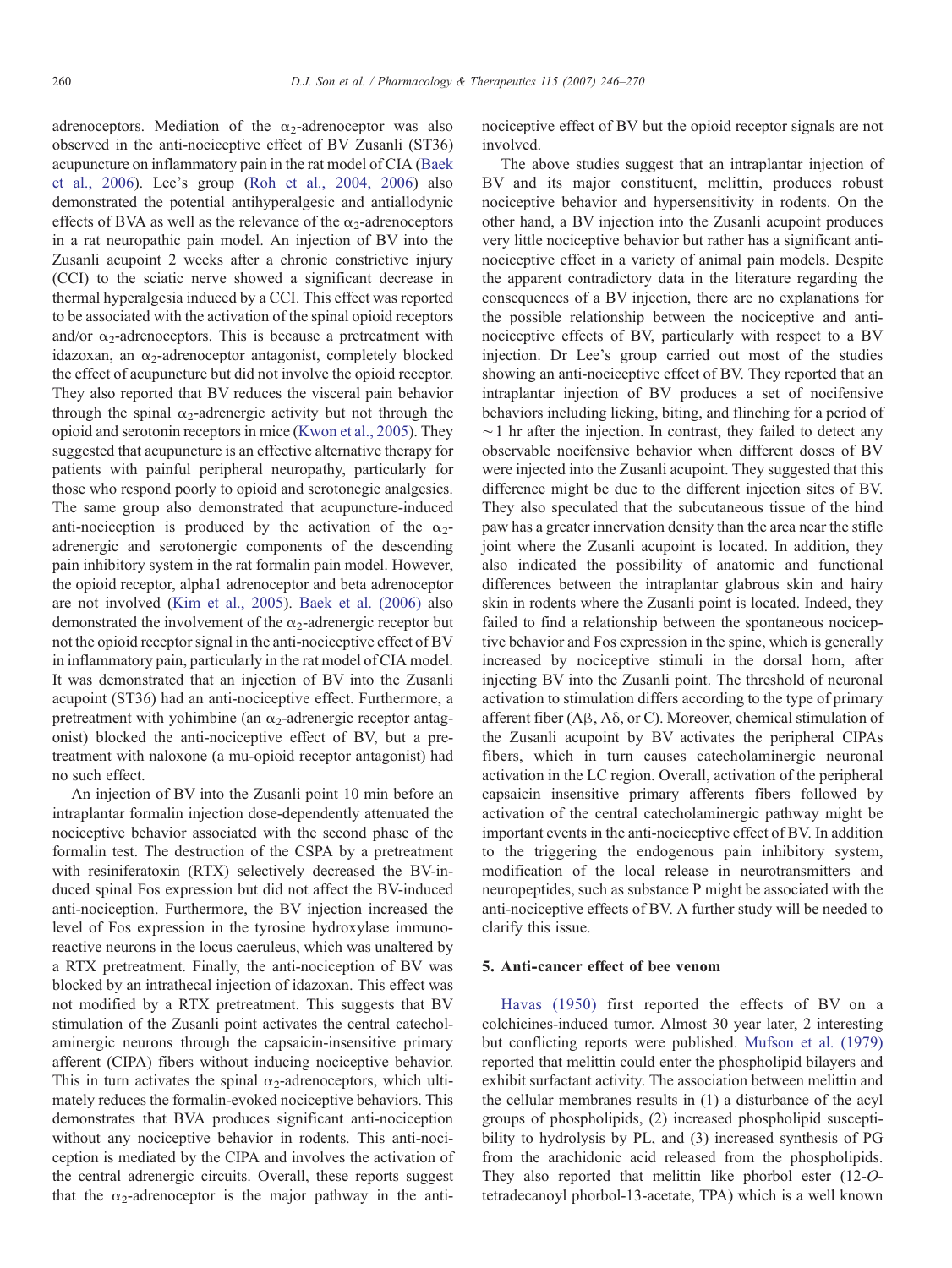adrenoceptors. Mediation of the  $\alpha_2$ -adrenoceptor was also observed in the anti-nociceptive effect of BV Zusanli (ST36) acupuncture on inflammatory pain in the rat model of CIA [\(Baek](#page-20-0) [et al., 2006\)](#page-20-0). Lee's group [\(Roh et al., 2004, 2006\)](#page-23-0) also demonstrated the potential antihyperalgesic and antiallodynic effects of BVA as well as the relevance of the  $\alpha_2$ -adrenoceptors in a rat neuropathic pain model. An injection of BV into the Zusanli acupoint 2 weeks after a chronic constrictive injury (CCI) to the sciatic nerve showed a significant decrease in thermal hyperalgesia induced by a CCI. This effect was reported to be associated with the activation of the spinal opioid receptors and/or  $\alpha_2$ -adrenoceptors. This is because a pretreatment with idazoxan, an  $\alpha_2$ -adrenoceptor antagonist, completely blocked the effect of acupuncture but did not involve the opioid receptor. They also reported that BV reduces the visceral pain behavior through the spinal  $\alpha_2$ -adrenergic activity but not through the opioid and serotonin receptors in mice ([Kwon et al., 2005\)](#page-22-0). They suggested that acupuncture is an effective alternative therapy for patients with painful peripheral neuropathy, particularly for those who respond poorly to opioid and serotonegic analgesics. The same group also demonstrated that acupuncture-induced anti-nociception is produced by the activation of the  $\alpha_2$ adrenergic and serotonergic components of the descending pain inhibitory system in the rat formalin pain model. However, the opioid receptor, alpha1 adrenoceptor and beta adrenoceptor are not involved [\(Kim et al., 2005](#page-21-0)). [Baek et al. \(2006\)](#page-20-0) also demonstrated the involvement of the  $\alpha_2$ -adrenergic receptor but not the opioid receptor signal in the anti-nociceptive effect of BV in inflammatory pain, particularly in the rat model of CIA model. It was demonstrated that an injection of BV into the Zusanli acupoint (ST36) had an anti-nociceptive effect. Furthermore, a pretreatment with yohimbine (an  $\alpha_2$ -adrenergic receptor antagonist) blocked the anti-nociceptive effect of BV, but a pretreatment with naloxone (a mu-opioid receptor antagonist) had no such effect.

An injection of BV into the Zusanli point 10 min before an intraplantar formalin injection dose-dependently attenuated the nociceptive behavior associated with the second phase of the formalin test. The destruction of the CSPA by a pretreatment with resiniferatoxin (RTX) selectively decreased the BV-induced spinal Fos expression but did not affect the BV-induced anti-nociception. Furthermore, the BV injection increased the level of Fos expression in the tyrosine hydroxylase immunoreactive neurons in the locus caeruleus, which was unaltered by a RTX pretreatment. Finally, the anti-nociception of BV was blocked by an intrathecal injection of idazoxan. This effect was not modified by a RTX pretreatment. This suggests that BV stimulation of the Zusanli point activates the central catecholaminergic neurons through the capsaicin-insensitive primary afferent (CIPA) fibers without inducing nociceptive behavior. This in turn activates the spinal  $\alpha_2$ -adrenoceptors, which ultimately reduces the formalin-evoked nociceptive behaviors. This demonstrates that BVA produces significant anti-nociception without any nociceptive behavior in rodents. This anti-nociception is mediated by the CIPA and involves the activation of the central adrenergic circuits. Overall, these reports suggest that the  $\alpha_2$ -adrenoceptor is the major pathway in the antinociceptive effect of BV but the opioid receptor signals are not involved.

The above studies suggest that an intraplantar injection of BV and its major constituent, melittin, produces robust nociceptive behavior and hypersensitivity in rodents. On the other hand, a BV injection into the Zusanli acupoint produces very little nociceptive behavior but rather has a significant antinociceptive effect in a variety of animal pain models. Despite the apparent contradictory data in the literature regarding the consequences of a BV injection, there are no explanations for the possible relationship between the nociceptive and antinociceptive effects of BV, particularly with respect to a BV injection. Dr Lee's group carried out most of the studies showing an anti-nociceptive effect of BV. They reported that an intraplantar injection of BV produces a set of nocifensive behaviors including licking, biting, and flinching for a period of  $~\sim$ 1 hr after the injection. In contrast, they failed to detect any observable nocifensive behavior when different doses of BV were injected into the Zusanli acupoint. They suggested that this difference might be due to the different injection sites of BV. They also speculated that the subcutaneous tissue of the hind paw has a greater innervation density than the area near the stifle joint where the Zusanli acupoint is located. In addition, they also indicated the possibility of anatomic and functional differences between the intraplantar glabrous skin and hairy skin in rodents where the Zusanli point is located. Indeed, they failed to find a relationship between the spontaneous nociceptive behavior and Fos expression in the spine, which is generally increased by nociceptive stimuli in the dorsal horn, after injecting BV into the Zusanli point. The threshold of neuronal activation to stimulation differs according to the type of primary afferent fiber (Aβ, Aδ, or C). Moreover, chemical stimulation of the Zusanli acupoint by BV activates the peripheral CIPAs fibers, which in turn causes catecholaminergic neuronal activation in the LC region. Overall, activation of the peripheral capsaicin insensitive primary afferents fibers followed by activation of the central catecholaminergic pathway might be important events in the anti-nociceptive effect of BV. In addition to the triggering the endogenous pain inhibitory system, modification of the local release in neurotransmitters and neuropeptides, such as substance P might be associated with the anti-nociceptive effects of BV. A further study will be needed to clarify this issue.

#### 5. Anti-cancer effect of bee venom

[Havas \(1950\)](#page-21-0) first reported the effects of BV on a colchicines-induced tumor. Almost 30 year later, 2 interesting but conflicting reports were published. [Mufson et al. \(1979\)](#page-22-0) reported that melittin could enter the phospholipid bilayers and exhibit surfactant activity. The association between melittin and the cellular membranes results in (1) a disturbance of the acyl groups of phospholipids, (2) increased phospholipid susceptibility to hydrolysis by PL, and (3) increased synthesis of PG from the arachidonic acid released from the phospholipids. They also reported that melittin like phorbol ester (12-Otetradecanoyl phorbol-13-acetate, TPA) which is a well known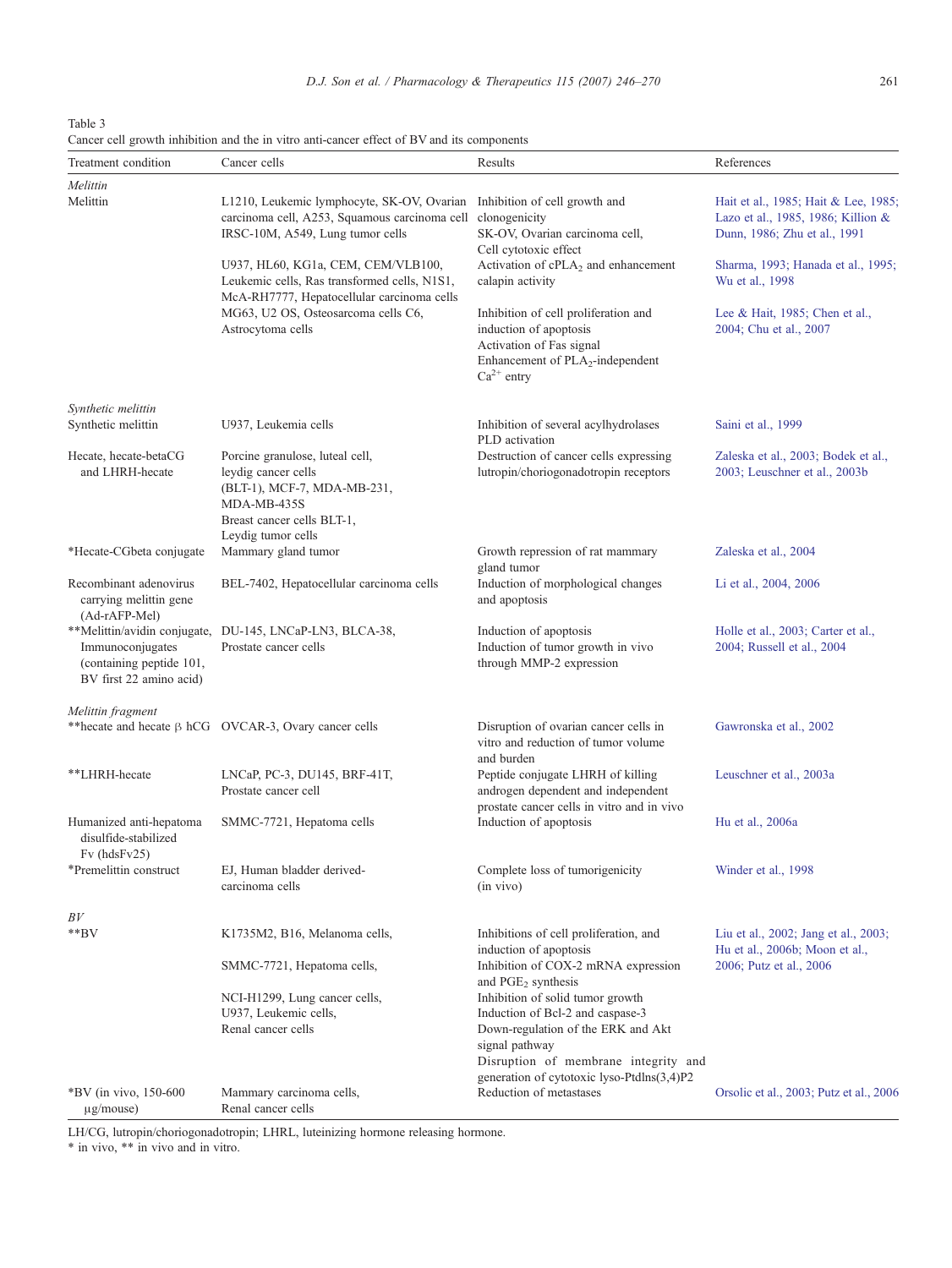<span id="page-15-0"></span>Table 3 Cancer cell growth inhibition and the in vitro anti-cancer effect of BV and its components

| Treatment condition                                                     | Cancer cells                                                                                                                                             | Results                                                                                                                                                              | References                                                                                                 |
|-------------------------------------------------------------------------|----------------------------------------------------------------------------------------------------------------------------------------------------------|----------------------------------------------------------------------------------------------------------------------------------------------------------------------|------------------------------------------------------------------------------------------------------------|
| Melittin                                                                |                                                                                                                                                          |                                                                                                                                                                      |                                                                                                            |
| Melittin                                                                | L1210, Leukemic lymphocyte, SK-OV, Ovarian<br>carcinoma cell, A253, Squamous carcinoma cell<br>IRSC-10M, A549, Lung tumor cells                          | Inhibition of cell growth and<br>clonogenicity<br>SK-OV, Ovarian carcinoma cell,                                                                                     | Hait et al., 1985; Hait & Lee, 1985;<br>Lazo et al., 1985, 1986; Killion &<br>Dunn, 1986; Zhu et al., 1991 |
|                                                                         | U937, HL60, KG1a, CEM, CEM/VLB100,<br>Leukemic cells, Ras transformed cells, N1S1,<br>McA-RH7777, Hepatocellular carcinoma cells                         | Cell cytotoxic effect<br>Activation of cPLA <sub>2</sub> and enhancement<br>calapin activity                                                                         | Sharma, 1993; Hanada et al., 1995;<br>Wu et al., 1998                                                      |
|                                                                         | MG63, U2 OS, Osteosarcoma cells C6,<br>Astrocytoma cells                                                                                                 | Inhibition of cell proliferation and<br>induction of apoptosis<br>Activation of Fas signal<br>Enhancement of PLA <sub>2</sub> -independent<br>$Ca^{2+}$ entry        | Lee & Hait, 1985; Chen et al.,<br>2004; Chu et al., 2007                                                   |
| Synthetic melittin                                                      |                                                                                                                                                          |                                                                                                                                                                      |                                                                                                            |
| Synthetic melittin                                                      | U937, Leukemia cells                                                                                                                                     | Inhibition of several acylhydrolases<br>PLD activation                                                                                                               | Saini et al., 1999                                                                                         |
| Hecate, hecate-betaCG<br>and LHRH-hecate                                | Porcine granulose, luteal cell,<br>leydig cancer cells<br>(BLT-1), MCF-7, MDA-MB-231,<br>MDA-MB-435S<br>Breast cancer cells BLT-1,<br>Leydig tumor cells | Destruction of cancer cells expressing<br>lutropin/choriogonadotropin receptors                                                                                      | Zaleska et al., 2003; Bodek et al.,<br>2003; Leuschner et al., 2003b                                       |
| *Hecate-CGbeta conjugate                                                | Mammary gland tumor                                                                                                                                      | Growth repression of rat mammary<br>gland tumor                                                                                                                      | Zaleska et al., 2004                                                                                       |
| Recombinant adenovirus<br>carrying melittin gene<br>(Ad-rAFP-Mel)       | BEL-7402, Hepatocellular carcinoma cells                                                                                                                 | Induction of morphological changes<br>and apoptosis                                                                                                                  | Li et al., 2004, 2006                                                                                      |
| Immunoconjugates<br>(containing peptide 101,<br>BV first 22 amino acid) | **Melittin/avidin conjugate, DU-145, LNCaP-LN3, BLCA-38,<br>Prostate cancer cells                                                                        | Induction of apoptosis<br>Induction of tumor growth in vivo<br>through MMP-2 expression                                                                              | Holle et al., 2003; Carter et al.,<br>2004; Russell et al., 2004                                           |
| Melittin fragment                                                       |                                                                                                                                                          |                                                                                                                                                                      |                                                                                                            |
|                                                                         | ** hecate and hecate $\beta$ hCG OVCAR-3, Ovary cancer cells                                                                                             | Disruption of ovarian cancer cells in<br>vitro and reduction of tumor volume<br>and burden                                                                           | Gawronska et al., 2002                                                                                     |
| **LHRH-hecate                                                           | LNCaP, PC-3, DU145, BRF-41T,<br>Prostate cancer cell                                                                                                     | Peptide conjugate LHRH of killing<br>androgen dependent and independent<br>prostate cancer cells in vitro and in vivo                                                | Leuschner et al., 2003a                                                                                    |
| Humanized anti-hepatoma<br>disulfide-stabilized<br>$Fv$ (hds $Fv25$ )   | SMMC-7721, Hepatoma cells                                                                                                                                | Induction of apoptosis                                                                                                                                               | Hu et al., 2006a                                                                                           |
| *Premelittin construct                                                  | EJ, Human bladder derived-<br>carcinoma cells                                                                                                            | Complete loss of tumorigenicity<br>$(in$ vivo)                                                                                                                       | Winder et al., 1998                                                                                        |
| $\cal BV$                                                               |                                                                                                                                                          |                                                                                                                                                                      |                                                                                                            |
| $**$ BV                                                                 | K1735M2, B16, Melanoma cells,                                                                                                                            | Inhibitions of cell proliferation, and<br>induction of apoptosis                                                                                                     | Liu et al., 2002; Jang et al., 2003;<br>Hu et al., 2006b; Moon et al.,                                     |
|                                                                         | SMMC-7721, Hepatoma cells,                                                                                                                               | Inhibition of COX-2 mRNA expression<br>and PGE <sub>2</sub> synthesis                                                                                                | 2006; Putz et al., 2006                                                                                    |
|                                                                         | NCI-H1299, Lung cancer cells,<br>U937, Leukemic cells,<br>Renal cancer cells                                                                             | Inhibition of solid tumor growth<br>Induction of Bcl-2 and caspase-3<br>Down-regulation of the ERK and Akt<br>signal pathway<br>Disruption of membrane integrity and |                                                                                                            |
| *BV (in vivo, 150-600)<br>$\mu$ g/mouse)                                | Mammary carcinoma cells,<br>Renal cancer cells                                                                                                           | generation of cytotoxic lyso-Ptdlns(3,4)P2<br>Reduction of metastases                                                                                                | Orsolic et al., 2003; Putz et al., 2006                                                                    |

LH/CG, lutropin/choriogonadotropin; LHRL, luteinizing hormone releasing hormone.

⁎ in vivo, ⁎⁎ in vivo and in vitro.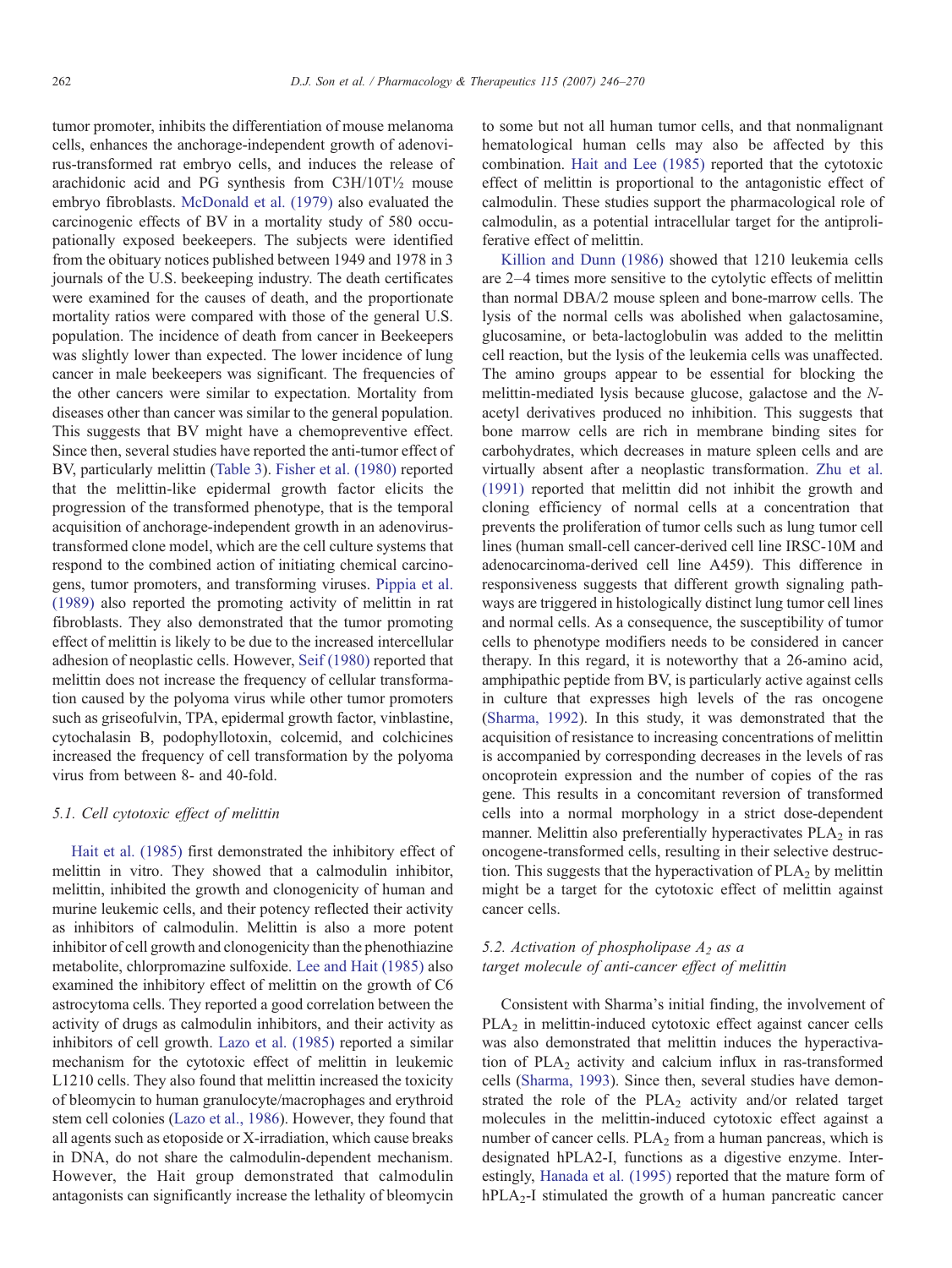tumor promoter, inhibits the differentiation of mouse melanoma cells, enhances the anchorage-independent growth of adenovirus-transformed rat embryo cells, and induces the release of arachidonic acid and PG synthesis from C3H/10T½ mouse embryo fibroblasts. [McDonald et al. \(1979\)](#page-22-0) also evaluated the carcinogenic effects of BV in a mortality study of 580 occupationally exposed beekeepers. The subjects were identified from the obituary notices published between 1949 and 1978 in 3 journals of the U.S. beekeeping industry. The death certificates were examined for the causes of death, and the proportionate mortality ratios were compared with those of the general U.S. population. The incidence of death from cancer in Beekeepers was slightly lower than expected. The lower incidence of lung cancer in male beekeepers was significant. The frequencies of the other cancers were similar to expectation. Mortality from diseases other than cancer was similar to the general population. This suggests that BV might have a chemopreventive effect. Since then, several studies have reported the anti-tumor effect of BV, particularly melittin ([Table 3](#page-15-0)). [Fisher et al. \(1980\)](#page-21-0) reported that the melittin-like epidermal growth factor elicits the progression of the transformed phenotype, that is the temporal acquisition of anchorage-independent growth in an adenovirustransformed clone model, which are the cell culture systems that respond to the combined action of initiating chemical carcinogens, tumor promoters, and transforming viruses. [Pippia et al.](#page-23-0) [\(1989\)](#page-23-0) also reported the promoting activity of melittin in rat fibroblasts. They also demonstrated that the tumor promoting effect of melittin is likely to be due to the increased intercellular adhesion of neoplastic cells. However, [Seif \(1980\)](#page-23-0) reported that melittin does not increase the frequency of cellular transformation caused by the polyoma virus while other tumor promoters such as griseofulvin, TPA, epidermal growth factor, vinblastine, cytochalasin B, podophyllotoxin, colcemid, and colchicines increased the frequency of cell transformation by the polyoma virus from between 8- and 40-fold.

## 5.1. Cell cytotoxic effect of melittin

[Hait et al. \(1985\)](#page-21-0) first demonstrated the inhibitory effect of melittin in vitro. They showed that a calmodulin inhibitor, melittin, inhibited the growth and clonogenicity of human and murine leukemic cells, and their potency reflected their activity as inhibitors of calmodulin. Melittin is also a more potent inhibitor of cell growth and clonogenicity than the phenothiazine metabolite, chlorpromazine sulfoxide. [Lee and Hait \(1985\)](#page-22-0) also examined the inhibitory effect of melittin on the growth of C6 astrocytoma cells. They reported a good correlation between the activity of drugs as calmodulin inhibitors, and their activity as inhibitors of cell growth. [Lazo et al. \(1985\)](#page-22-0) reported a similar mechanism for the cytotoxic effect of melittin in leukemic L1210 cells. They also found that melittin increased the toxicity of bleomycin to human granulocyte/macrophages and erythroid stem cell colonies ([Lazo et al., 1986\)](#page-22-0). However, they found that all agents such as etoposide or X-irradiation, which cause breaks in DNA, do not share the calmodulin-dependent mechanism. However, the Hait group demonstrated that calmodulin antagonists can significantly increase the lethality of bleomycin

to some but not all human tumor cells, and that nonmalignant hematological human cells may also be affected by this combination. [Hait and Lee \(1985\)](#page-21-0) reported that the cytotoxic effect of melittin is proportional to the antagonistic effect of calmodulin. These studies support the pharmacological role of calmodulin, as a potential intracellular target for the antiproliferative effect of melittin.

[Killion and Dunn \(1986\)](#page-21-0) showed that 1210 leukemia cells are 2–4 times more sensitive to the cytolytic effects of melittin than normal DBA/2 mouse spleen and bone-marrow cells. The lysis of the normal cells was abolished when galactosamine, glucosamine, or beta-lactoglobulin was added to the melittin cell reaction, but the lysis of the leukemia cells was unaffected. The amino groups appear to be essential for blocking the melittin-mediated lysis because glucose, galactose and the Nacetyl derivatives produced no inhibition. This suggests that bone marrow cells are rich in membrane binding sites for carbohydrates, which decreases in mature spleen cells and are virtually absent after a neoplastic transformation. [Zhu et al.](#page-24-0) [\(1991\)](#page-24-0) reported that melittin did not inhibit the growth and cloning efficiency of normal cells at a concentration that prevents the proliferation of tumor cells such as lung tumor cell lines (human small-cell cancer-derived cell line IRSC-10M and adenocarcinoma-derived cell line A459). This difference in responsiveness suggests that different growth signaling pathways are triggered in histologically distinct lung tumor cell lines and normal cells. As a consequence, the susceptibility of tumor cells to phenotype modifiers needs to be considered in cancer therapy. In this regard, it is noteworthy that a 26-amino acid, amphipathic peptide from BV, is particularly active against cells in culture that expresses high levels of the ras oncogene ([Sharma, 1992](#page-23-0)). In this study, it was demonstrated that the acquisition of resistance to increasing concentrations of melittin is accompanied by corresponding decreases in the levels of ras oncoprotein expression and the number of copies of the ras gene. This results in a concomitant reversion of transformed cells into a normal morphology in a strict dose-dependent manner. Melittin also preferentially hyperactivates  $PLA_2$  in ras oncogene-transformed cells, resulting in their selective destruction. This suggests that the hyperactivation of  $PLA<sub>2</sub>$  by melittin might be a target for the cytotoxic effect of melittin against cancer cells.

# 5.2. Activation of phospholipase  $A_2$  as a target molecule of anti-cancer effect of melittin

Consistent with Sharma's initial finding, the involvement of PLA<sub>2</sub> in melittin-induced cytotoxic effect against cancer cells was also demonstrated that melittin induces the hyperactivation of  $PLA<sub>2</sub>$  activity and calcium influx in ras-transformed cells [\(Sharma, 1993\)](#page-23-0). Since then, several studies have demonstrated the role of the  $PLA_2$  activity and/or related target molecules in the melittin-induced cytotoxic effect against a number of cancer cells.  $PLA_2$  from a human pancreas, which is designated hPLA2-I, functions as a digestive enzyme. Interestingly, [Hanada et al. \(1995\)](#page-21-0) reported that the mature form of  $hPLA_2$ -I stimulated the growth of a human pancreatic cancer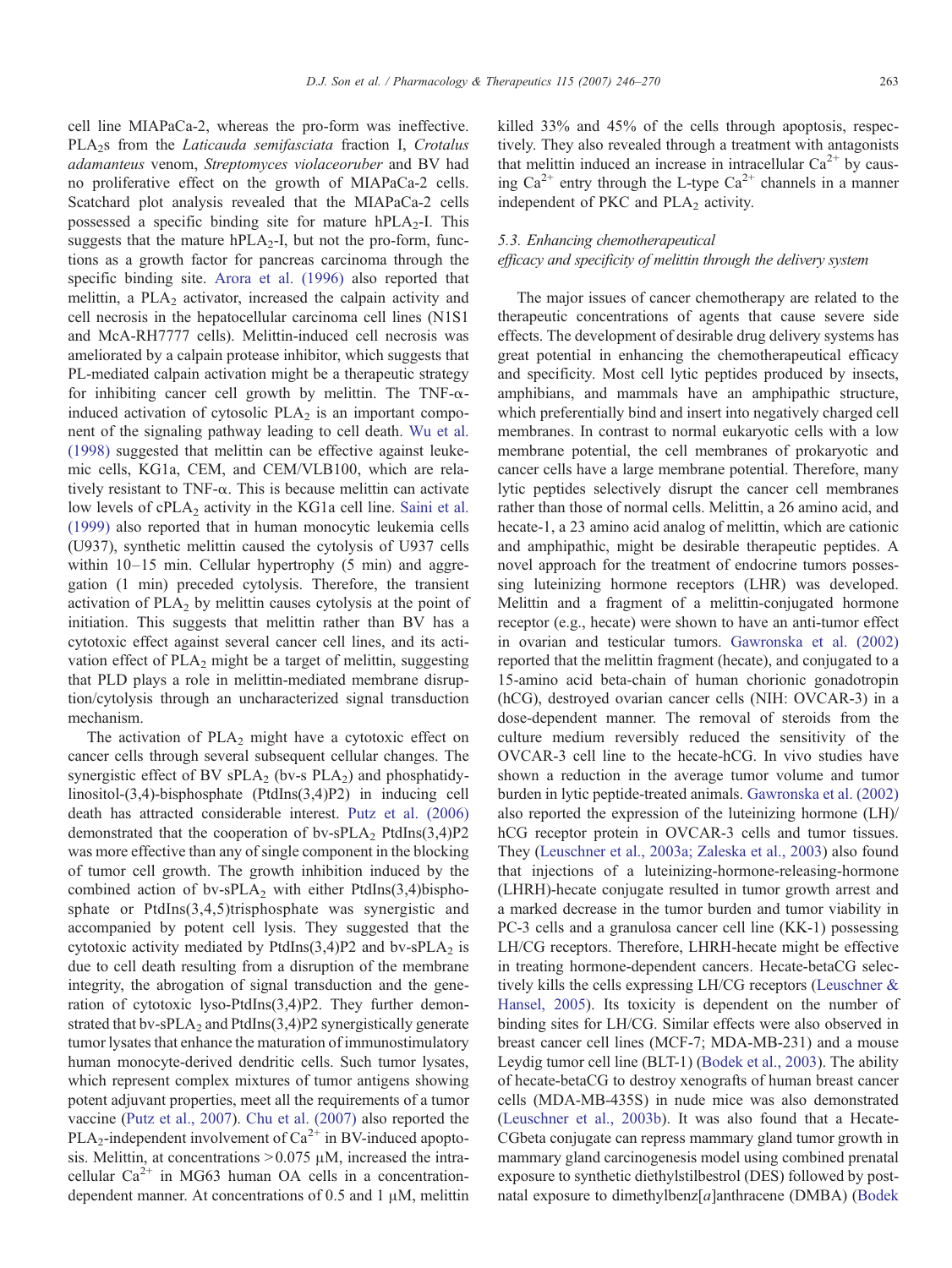cell line MIAPaCa-2, whereas the pro-form was ineffective. PLA<sub>2</sub>s from the Laticauda semifasciata fraction I, Crotalus adamanteus venom, Streptomyces violaceoruber and BV had no proliferative effect on the growth of MIAPaCa-2 cells. Scatchard plot analysis revealed that the MIAPaCa-2 cells possessed a specific binding site for mature  $hPLA_2-I$ . This suggests that the mature  $hPLA_2-I$ , but not the pro-form, functions as a growth factor for pancreas carcinoma through the specific binding site. [Arora et al. \(1996\)](#page-20-0) also reported that melittin, a  $PLA_2$  activator, increased the calpain activity and cell necrosis in the hepatocellular carcinoma cell lines (N1S1 and McA-RH7777 cells). Melittin-induced cell necrosis was ameliorated by a calpain protease inhibitor, which suggests that PL-mediated calpain activation might be a therapeutic strategy for inhibiting cancer cell growth by melittin. The TNF- $\alpha$ induced activation of cytosolic  $PLA_2$  is an important component of the signaling pathway leading to cell death. [Wu et al.](#page-24-0) [\(1998\)](#page-24-0) suggested that melittin can be effective against leukemic cells, KG1a, CEM, and CEM/VLB100, which are relatively resistant to TNF- $\alpha$ . This is because melittin can activate low levels of  $cPLA_2$  activity in the KG1a cell line. [Saini et al.](#page-23-0) [\(1999\)](#page-23-0) also reported that in human monocytic leukemia cells (U937), synthetic melittin caused the cytolysis of U937 cells within 10–15 min. Cellular hypertrophy (5 min) and aggregation (1 min) preceded cytolysis. Therefore, the transient activation of  $PLA<sub>2</sub>$  by melittin causes cytolysis at the point of initiation. This suggests that melittin rather than BV has a cytotoxic effect against several cancer cell lines, and its activation effect of  $PLA_2$  might be a target of melittin, suggesting that PLD plays a role in melittin-mediated membrane disruption/cytolysis through an uncharacterized signal transduction mechanism.

The activation of  $PLA_2$  might have a cytotoxic effect on cancer cells through several subsequent cellular changes. The synergistic effect of BV  $sPLA_2$  (bv-s  $PLA_2$ ) and phosphatidylinositol-(3,4)-bisphosphate (PtdIns(3,4)P2) in inducing cell death has attracted considerable interest. [Putz et al. \(2006\)](#page-23-0) demonstrated that the cooperation of bv-sPLA<sub>2</sub> PtdIns(3,4)P2 was more effective than any of single component in the blocking of tumor cell growth. The growth inhibition induced by the combined action of bv-sPLA<sub>2</sub> with either PtdIns(3,4)bisphosphate or PtdIns(3,4,5)trisphosphate was synergistic and accompanied by potent cell lysis. They suggested that the cytotoxic activity mediated by PtdIns $(3,4)$ P2 and bv-sPLA<sub>2</sub> is due to cell death resulting from a disruption of the membrane integrity, the abrogation of signal transduction and the generation of cytotoxic lyso-PtdIns(3,4)P2. They further demonstrated that bv-sPLA<sub>2</sub> and PtdIns $(3,4)$ P2 synergistically generate tumor lysates that enhance the maturation of immunostimulatory human monocyte-derived dendritic cells. Such tumor lysates, which represent complex mixtures of tumor antigens showing potent adjuvant properties, meet all the requirements of a tumor vaccine [\(Putz et al., 2007](#page-23-0)). [Chu et al. \(2007\)](#page-20-0) also reported the PLA<sub>2</sub>-independent involvement of  $Ca^{2+}$  in BV-induced apoptosis. Melittin, at concentrations  $> 0.075$   $\mu$ M, increased the intracellular  $Ca^{2+}$  in MG63 human OA cells in a concentrationdependent manner. At concentrations of 0.5 and 1 μM, melittin killed 33% and 45% of the cells through apoptosis, respectively. They also revealed through a treatment with antagonists that melittin induced an increase in intracellular  $Ca^{2+}$  by causing  $Ca^{2+}$  entry through the L-type  $Ca^{2+}$  channels in a manner independent of PKC and  $PLA<sub>2</sub>$  activity.

## 5.3. Enhancing chemotherapeutical

# efficacy and specificity of melittin through the delivery system

The major issues of cancer chemotherapy are related to the therapeutic concentrations of agents that cause severe side effects. The development of desirable drug delivery systems has great potential in enhancing the chemotherapeutical efficacy and specificity. Most cell lytic peptides produced by insects, amphibians, and mammals have an amphipathic structure, which preferentially bind and insert into negatively charged cell membranes. In contrast to normal eukaryotic cells with a low membrane potential, the cell membranes of prokaryotic and cancer cells have a large membrane potential. Therefore, many lytic peptides selectively disrupt the cancer cell membranes rather than those of normal cells. Melittin, a 26 amino acid, and hecate-1, a 23 amino acid analog of melittin, which are cationic and amphipathic, might be desirable therapeutic peptides. A novel approach for the treatment of endocrine tumors possessing luteinizing hormone receptors (LHR) was developed. Melittin and a fragment of a melittin-conjugated hormone receptor (e.g., hecate) were shown to have an anti-tumor effect in ovarian and testicular tumors. [Gawronska et al. \(2002\)](#page-21-0) reported that the melittin fragment (hecate), and conjugated to a 15-amino acid beta-chain of human chorionic gonadotropin (hCG), destroyed ovarian cancer cells (NIH: OVCAR-3) in a dose-dependent manner. The removal of steroids from the culture medium reversibly reduced the sensitivity of the OVCAR-3 cell line to the hecate-hCG. In vivo studies have shown a reduction in the average tumor volume and tumor burden in lytic peptide-treated animals. [Gawronska et al. \(2002\)](#page-21-0) also reported the expression of the luteinizing hormone (LH)/ hCG receptor protein in OVCAR-3 cells and tumor tissues. They ([Leuschner et al., 2003a; Zaleska et al., 2003\)](#page-22-0) also found that injections of a luteinizing-hormone-releasing-hormone (LHRH)-hecate conjugate resulted in tumor growth arrest and a marked decrease in the tumor burden and tumor viability in PC-3 cells and a granulosa cancer cell line (KK-1) possessing LH/CG receptors. Therefore, LHRH-hecate might be effective in treating hormone-dependent cancers. Hecate-betaCG selectively kills the cells expressing LH/CG receptors [\(Leuschner &](#page-22-0) [Hansel, 2005\)](#page-22-0). Its toxicity is dependent on the number of binding sites for LH/CG. Similar effects were also observed in breast cancer cell lines (MCF-7; MDA-MB-231) and a mouse Leydig tumor cell line (BLT-1) [\(Bodek et al., 2003](#page-20-0)). The ability of hecate-betaCG to destroy xenografts of human breast cancer cells (MDA-MB-435S) in nude mice was also demonstrated ([Leuschner et al., 2003b](#page-22-0)). It was also found that a Hecate-CGbeta conjugate can repress mammary gland tumor growth in mammary gland carcinogenesis model using combined prenatal exposure to synthetic diethylstilbestrol (DES) followed by postnatal exposure to dimethylbenz[a]anthracene (DMBA) ([Bodek](#page-20-0)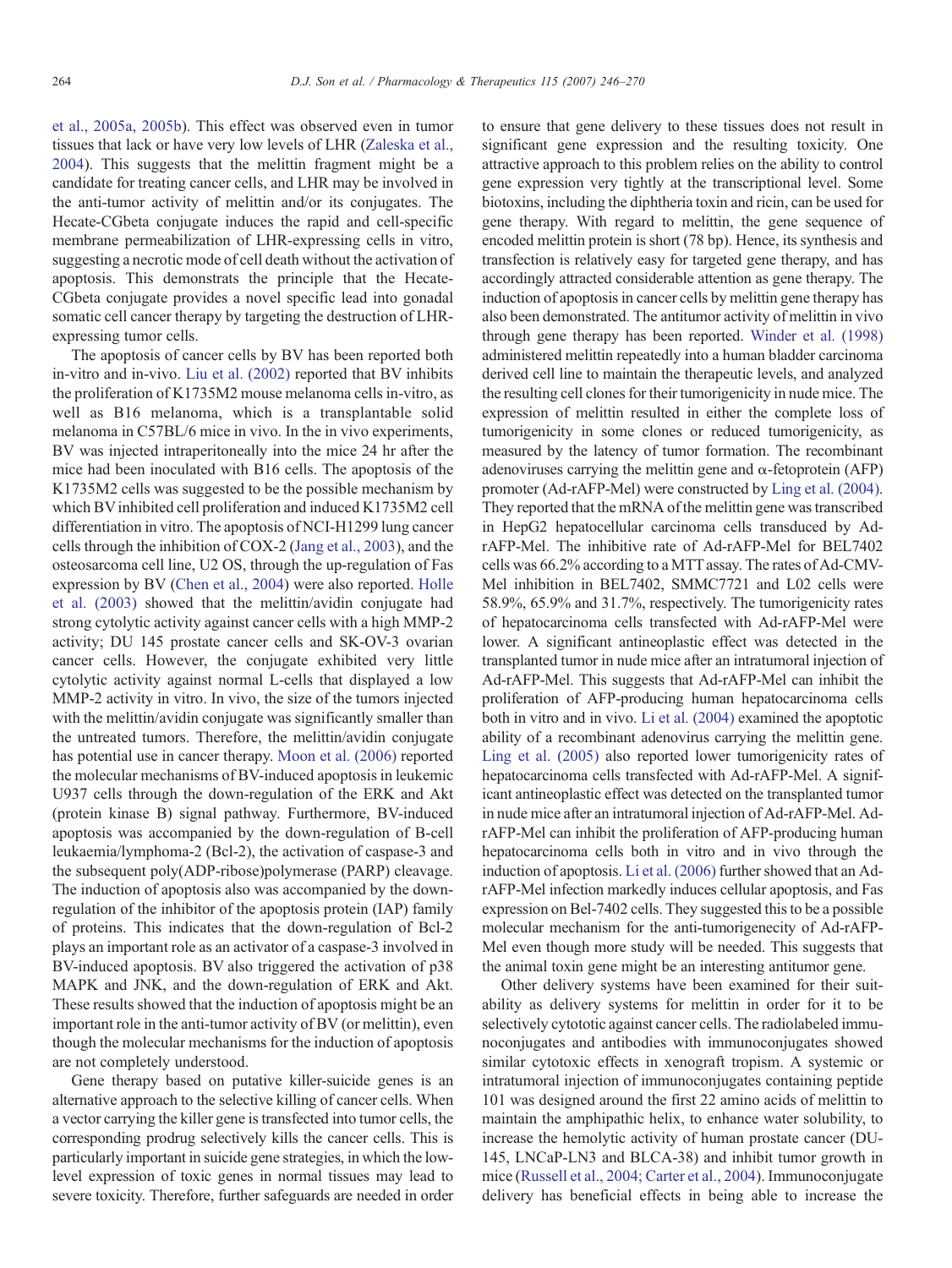[et al., 2005a, 2005b\)](#page-20-0). This effect was observed even in tumor tissues that lack or have very low levels of LHR ([Zaleska et al.,](#page-24-0) [2004\)](#page-24-0). This suggests that the melittin fragment might be a candidate for treating cancer cells, and LHR may be involved in the anti-tumor activity of melittin and/or its conjugates. The Hecate-CGbeta conjugate induces the rapid and cell-specific membrane permeabilization of LHR-expressing cells in vitro, suggesting a necrotic mode of cell death without the activation of apoptosis. This demonstrats the principle that the Hecate-CGbeta conjugate provides a novel specific lead into gonadal somatic cell cancer therapy by targeting the destruction of LHRexpressing tumor cells.

The apoptosis of cancer cells by BV has been reported both in-vitro and in-vivo. [Liu et al. \(2002\)](#page-22-0) reported that BV inhibits the proliferation of K1735M2 mouse melanoma cells in-vitro, as well as B16 melanoma, which is a transplantable solid melanoma in C57BL/6 mice in vivo. In the in vivo experiments, BV was injected intraperitoneally into the mice 24 hr after the mice had been inoculated with B16 cells. The apoptosis of the K1735M2 cells was suggested to be the possible mechanism by which BV inhibited cell proliferation and induced K1735M2 cell differentiation in vitro. The apoptosis of NCI-H1299 lung cancer cells through the inhibition of COX-2 ([Jang et al., 2003\)](#page-21-0), and the osteosarcoma cell line, U2 OS, through the up-regulation of Fas expression by BV ([Chen et al., 2004\)](#page-20-0) were also reported. [Holle](#page-21-0) [et al. \(2003\)](#page-21-0) showed that the melittin/avidin conjugate had strong cytolytic activity against cancer cells with a high MMP-2 activity; DU 145 prostate cancer cells and SK-OV-3 ovarian cancer cells. However, the conjugate exhibited very little cytolytic activity against normal L-cells that displayed a low MMP-2 activity in vitro. In vivo, the size of the tumors injected with the melittin/avidin conjugate was significantly smaller than the untreated tumors. Therefore, the melittin/avidin conjugate has potential use in cancer therapy. [Moon et al. \(2006\)](#page-22-0) reported the molecular mechanisms of BV-induced apoptosis in leukemic U937 cells through the down-regulation of the ERK and Akt (protein kinase B) signal pathway. Furthermore, BV-induced apoptosis was accompanied by the down-regulation of B-cell leukaemia/lymphoma-2 (Bcl-2), the activation of caspase-3 and the subsequent poly(ADP-ribose)polymerase (PARP) cleavage. The induction of apoptosis also was accompanied by the downregulation of the inhibitor of the apoptosis protein (IAP) family of proteins. This indicates that the down-regulation of Bcl-2 plays an important role as an activator of a caspase-3 involved in BV-induced apoptosis. BV also triggered the activation of p38 MAPK and JNK, and the down-regulation of ERK and Akt. These results showed that the induction of apoptosis might be an important role in the anti-tumor activity of BV (or melittin), even though the molecular mechanisms for the induction of apoptosis are not completely understood.

Gene therapy based on putative killer-suicide genes is an alternative approach to the selective killing of cancer cells. When a vector carrying the killer gene is transfected into tumor cells, the corresponding prodrug selectively kills the cancer cells. This is particularly important in suicide gene strategies, in which the lowlevel expression of toxic genes in normal tissues may lead to severe toxicity. Therefore, further safeguards are needed in order to ensure that gene delivery to these tissues does not result in significant gene expression and the resulting toxicity. One attractive approach to this problem relies on the ability to control gene expression very tightly at the transcriptional level. Some biotoxins, including the diphtheria toxin and ricin, can be used for gene therapy. With regard to melittin, the gene sequence of encoded melittin protein is short (78 bp). Hence, its synthesis and transfection is relatively easy for targeted gene therapy, and has accordingly attracted considerable attention as gene therapy. The induction of apoptosis in cancer cells by melittin gene therapy has also been demonstrated. The antitumor activity of melittin in vivo through gene therapy has been reported. [Winder et al. \(1998\)](#page-24-0) administered melittin repeatedly into a human bladder carcinoma derived cell line to maintain the therapeutic levels, and analyzed the resulting cell clones for their tumorigenicity in nude mice. The expression of melittin resulted in either the complete loss of tumorigenicity in some clones or reduced tumorigenicity, as measured by the latency of tumor formation. The recombinant adenoviruses carrying the melittin gene and  $\alpha$ -fetoprotein (AFP) promoter (Ad-rAFP-Mel) were constructed by [Ling et al. \(2004\)](#page-22-0). They reported that the mRNA of the melittin gene was transcribed in HepG2 hepatocellular carcinoma cells transduced by AdrAFP-Mel. The inhibitive rate of Ad-rAFP-Mel for BEL7402 cells was 66.2% according to a MTTassay. The rates of Ad-CMV-Mel inhibition in BEL7402, SMMC7721 and L02 cells were 58.9%, 65.9% and 31.7%, respectively. The tumorigenicity rates of hepatocarcinoma cells transfected with Ad-rAFP-Mel were lower. A significant antineoplastic effect was detected in the transplanted tumor in nude mice after an intratumoral injection of Ad-rAFP-Mel. This suggests that Ad-rAFP-Mel can inhibit the proliferation of AFP-producing human hepatocarcinoma cells both in vitro and in vivo. [Li et al. \(2004\)](#page-22-0) examined the apoptotic ability of a recombinant adenovirus carrying the melittin gene. [Ling et al. \(2005\)](#page-22-0) also reported lower tumorigenicity rates of hepatocarcinoma cells transfected with Ad-rAFP-Mel. A significant antineoplastic effect was detected on the transplanted tumor in nude mice after an intratumoral injection of Ad-rAFP-Mel. AdrAFP-Mel can inhibit the proliferation of AFP-producing human hepatocarcinoma cells both in vitro and in vivo through the induction of apoptosis. [Li et al. \(2006\)](#page-22-0) further showed that an AdrAFP-Mel infection markedly induces cellular apoptosis, and Fas expression on Bel-7402 cells. They suggested this to be a possible molecular mechanism for the anti-tumorigenecity of Ad-rAFP-Mel even though more study will be needed. This suggests that the animal toxin gene might be an interesting antitumor gene.

Other delivery systems have been examined for their suitability as delivery systems for melittin in order for it to be selectively cytototic against cancer cells. The radiolabeled immunoconjugates and antibodies with immunoconjugates showed similar cytotoxic effects in xenograft tropism. A systemic or intratumoral injection of immunoconjugates containing peptide 101 was designed around the first 22 amino acids of melittin to maintain the amphipathic helix, to enhance water solubility, to increase the hemolytic activity of human prostate cancer (DU-145, LNCaP-LN3 and BLCA-38) and inhibit tumor growth in mice ([Russell et al., 2004; Carter et al., 2004](#page-23-0)). Immunoconjugate delivery has beneficial effects in being able to increase the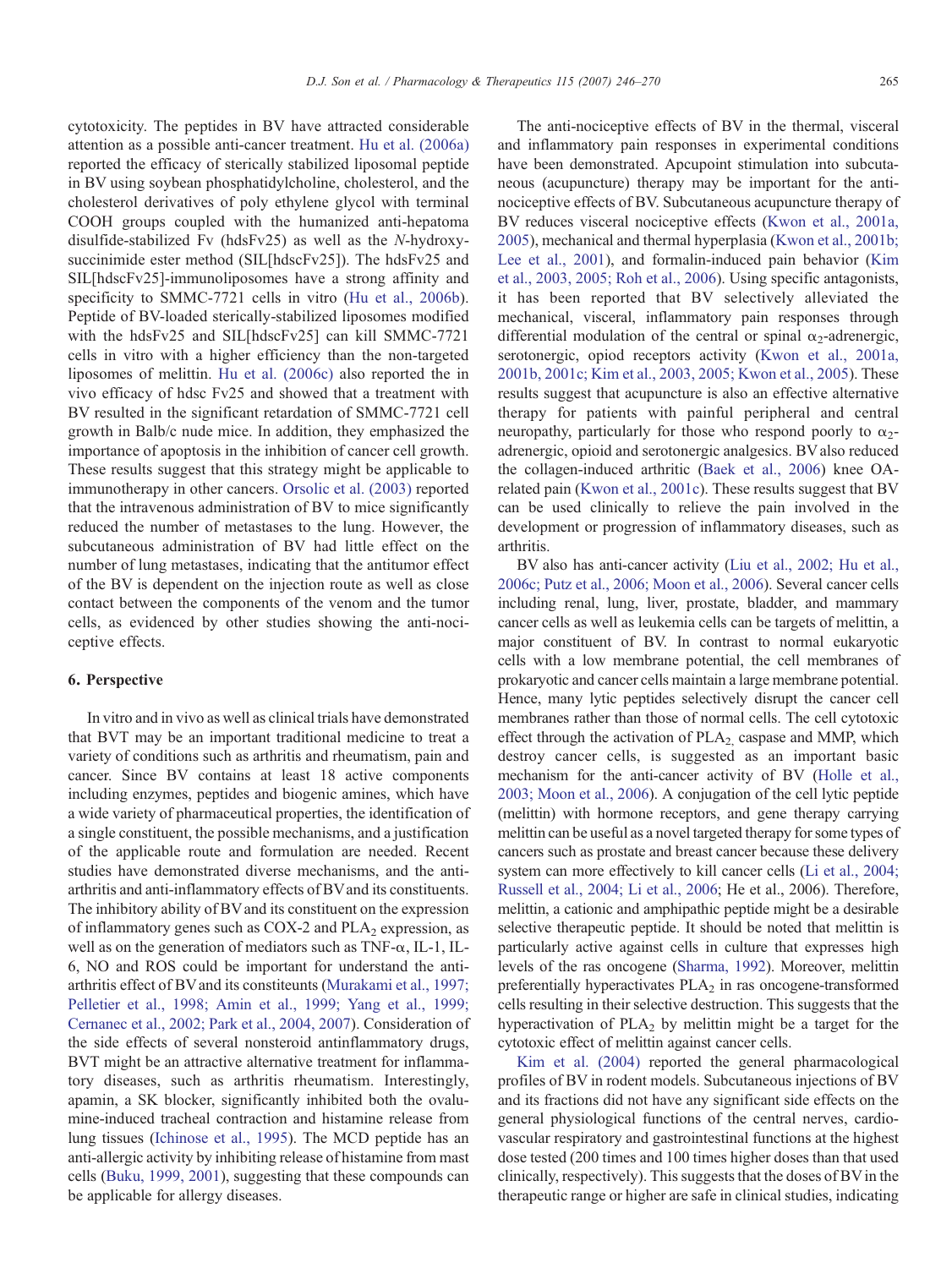cytotoxicity. The peptides in BV have attracted considerable attention as a possible anti-cancer treatment. [Hu et al. \(2006a\)](#page-21-0) reported the efficacy of sterically stabilized liposomal peptide in BV using soybean phosphatidylcholine, cholesterol, and the cholesterol derivatives of poly ethylene glycol with terminal COOH groups coupled with the humanized anti-hepatoma disulfide-stabilized Fv (hdsFv25) as well as the N-hydroxysuccinimide ester method (SIL[hdscFv25]). The hdsFv25 and SIL[hdscFv25]-immunoliposomes have a strong affinity and specificity to SMMC-7721 cells in vitro [\(Hu et al., 2006b\)](#page-21-0). Peptide of BV-loaded sterically-stabilized liposomes modified with the hdsFv25 and SIL[hdscFv25] can kill SMMC-7721 cells in vitro with a higher efficiency than the non-targeted liposomes of melittin. [Hu et al. \(2006c\)](#page-21-0) also reported the in vivo efficacy of hdsc Fv25 and showed that a treatment with BV resulted in the significant retardation of SMMC-7721 cell growth in Balb/c nude mice. In addition, they emphasized the importance of apoptosis in the inhibition of cancer cell growth. These results suggest that this strategy might be applicable to immunotherapy in other cancers. [Orsolic et al. \(2003\)](#page-23-0) reported that the intravenous administration of BV to mice significantly reduced the number of metastases to the lung. However, the subcutaneous administration of BV had little effect on the number of lung metastases, indicating that the antitumor effect of the BV is dependent on the injection route as well as close contact between the components of the venom and the tumor cells, as evidenced by other studies showing the anti-nociceptive effects.

#### 6. Perspective

In vitro and in vivo as well as clinical trials have demonstrated that BVT may be an important traditional medicine to treat a variety of conditions such as arthritis and rheumatism, pain and cancer. Since BV contains at least 18 active components including enzymes, peptides and biogenic amines, which have a wide variety of pharmaceutical properties, the identification of a single constituent, the possible mechanisms, and a justification of the applicable route and formulation are needed. Recent studies have demonstrated diverse mechanisms, and the antiarthritis and anti-inflammatory effects of BVand its constituents. The inhibitory ability of BVand its constituent on the expression of inflammatory genes such as  $COX-2$  and  $PLA<sub>2</sub>$  expression, as well as on the generation of mediators such as TNF- $\alpha$ , IL-1, IL-6, NO and ROS could be important for understand the antiarthritis effect of BVand its constiteunts [\(Murakami et al., 1997;](#page-22-0) [Pelletier et al., 1998; Amin et al., 1999; Yang et al., 1999;](#page-22-0) [Cernanec et al., 2002; Park et al., 2004, 2007\)](#page-22-0). Consideration of the side effects of several nonsteroid antinflammatory drugs, BVT might be an attractive alternative treatment for inflammatory diseases, such as arthritis rheumatism. Interestingly, apamin, a SK blocker, significantly inhibited both the ovalumine-induced tracheal contraction and histamine release from lung tissues ([Ichinose et al., 1995](#page-21-0)). The MCD peptide has an anti-allergic activity by inhibiting release of histamine from mast cells [\(Buku, 1999, 2001\)](#page-20-0), suggesting that these compounds can be applicable for allergy diseases.

The anti-nociceptive effects of BV in the thermal, visceral and inflammatory pain responses in experimental conditions have been demonstrated. Apcupoint stimulation into subcutaneous (acupuncture) therapy may be important for the antinociceptive effects of BV. Subcutaneous acupuncture therapy of BV reduces visceral nociceptive effects [\(Kwon et al., 2001a,](#page-21-0) [2005](#page-21-0)), mechanical and thermal hyperplasia [\(Kwon et al., 2001b;](#page-21-0) [Lee et al., 2001\)](#page-21-0), and formalin-induced pain behavior ([Kim](#page-21-0) [et al., 2003, 2005; Roh et al., 2006](#page-21-0)). Using specific antagonists, it has been reported that BV selectively alleviated the mechanical, visceral, inflammatory pain responses through differential modulation of the central or spinal  $\alpha_2$ -adrenergic, serotonergic, opiod receptors activity ([Kwon et al., 2001a,](#page-21-0) [2001b, 2001c; Kim et al., 2003, 2005; Kwon et al., 2005](#page-21-0)). These results suggest that acupuncture is also an effective alternative therapy for patients with painful peripheral and central neuropathy, particularly for those who respond poorly to  $\alpha_2$ adrenergic, opioid and serotonergic analgesics. BV also reduced the collagen-induced arthritic [\(Baek et al., 2006\)](#page-20-0) knee OArelated pain [\(Kwon et al., 2001c\)](#page-21-0). These results suggest that BV can be used clinically to relieve the pain involved in the development or progression of inflammatory diseases, such as arthritis.

BV also has anti-cancer activity ([Liu et al., 2002; Hu et al.,](#page-22-0) [2006c; Putz et al., 2006; Moon et al., 2006\)](#page-22-0). Several cancer cells including renal, lung, liver, prostate, bladder, and mammary cancer cells as well as leukemia cells can be targets of melittin, a major constituent of BV. In contrast to normal eukaryotic cells with a low membrane potential, the cell membranes of prokaryotic and cancer cells maintain a large membrane potential. Hence, many lytic peptides selectively disrupt the cancer cell membranes rather than those of normal cells. The cell cytotoxic effect through the activation of  $PLA_2$  caspase and MMP, which destroy cancer cells, is suggested as an important basic mechanism for the anti-cancer activity of BV ([Holle et al.,](#page-21-0) [2003; Moon et al., 2006](#page-21-0)). A conjugation of the cell lytic peptide (melittin) with hormone receptors, and gene therapy carrying melittin can be useful as a novel targeted therapy for some types of cancers such as prostate and breast cancer because these delivery system can more effectively to kill cancer cells ([Li et al., 2004;](#page-22-0) [Russell et al., 2004; Li et al., 2006](#page-22-0); He et al., 2006). Therefore, melittin, a cationic and amphipathic peptide might be a desirable selective therapeutic peptide. It should be noted that melittin is particularly active against cells in culture that expresses high levels of the ras oncogene [\(Sharma, 1992](#page-23-0)). Moreover, melittin preferentially hyperactivates  $PLA_2$  in ras oncogene-transformed cells resulting in their selective destruction. This suggests that the hyperactivation of  $PLA_2$  by melittin might be a target for the cytotoxic effect of melittin against cancer cells.

[Kim et al. \(2004\)](#page-21-0) reported the general pharmacological profiles of BV in rodent models. Subcutaneous injections of BV and its fractions did not have any significant side effects on the general physiological functions of the central nerves, cardiovascular respiratory and gastrointestinal functions at the highest dose tested (200 times and 100 times higher doses than that used clinically, respectively). This suggests that the doses of BV in the therapeutic range or higher are safe in clinical studies, indicating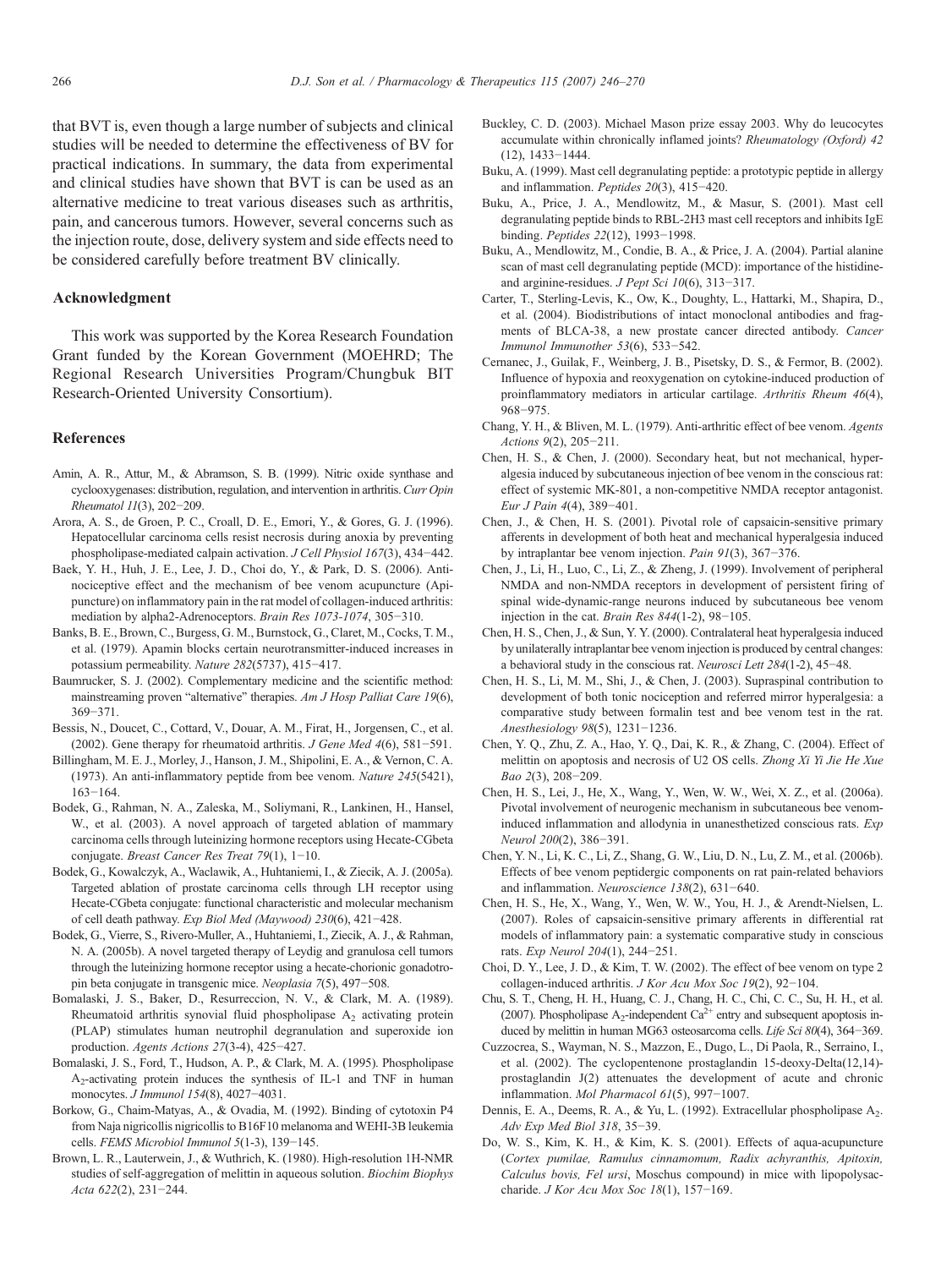<span id="page-20-0"></span>that BVT is, even though a large number of subjects and clinical studies will be needed to determine the effectiveness of BV for practical indications. In summary, the data from experimental and clinical studies have shown that BVT is can be used as an alternative medicine to treat various diseases such as arthritis, pain, and cancerous tumors. However, several concerns such as the injection route, dose, delivery system and side effects need to be considered carefully before treatment BV clinically.

#### Acknowledgment

This work was supported by the Korea Research Foundation Grant funded by the Korean Government (MOEHRD; The Regional Research Universities Program/Chungbuk BIT Research-Oriented University Consortium).

#### References

- Amin, A. R., Attur, M., & Abramson, S. B. (1999). Nitric oxide synthase and cyclooxygenases: distribution, regulation, and intervention in arthritis. Curr Opin Rheumatol 11(3), 202−209.
- Arora, A. S., de Groen, P. C., Croall, D. E., Emori, Y., & Gores, G. J. (1996). Hepatocellular carcinoma cells resist necrosis during anoxia by preventing phospholipase-mediated calpain activation. J Cell Physiol 167(3), 434−442.
- Baek, Y. H., Huh, J. E., Lee, J. D., Choi do, Y., & Park, D. S. (2006). Antinociceptive effect and the mechanism of bee venom acupuncture (Apipuncture) on inflammatory pain in the rat model of collagen-induced arthritis: mediation by alpha2-Adrenoceptors. Brain Res 1073-1074, 305−310.
- Banks, B. E., Brown, C., Burgess, G. M., Burnstock, G., Claret, M., Cocks, T. M., et al. (1979). Apamin blocks certain neurotransmitter-induced increases in potassium permeability. Nature 282(5737), 415−417.
- Baumrucker, S. J. (2002). Complementary medicine and the scientific method: mainstreaming proven "alternative" therapies. Am J Hosp Palliat Care 19(6), 369−371.
- Bessis, N., Doucet, C., Cottard, V., Douar, A. M., Firat, H., Jorgensen, C., et al. (2002). Gene therapy for rheumatoid arthritis. J Gene Med 4(6), 581−591.
- Billingham, M. E. J., Morley, J., Hanson, J. M., Shipolini, E. A., & Vernon, C. A. (1973). An anti-inflammatory peptide from bee venom. Nature 245(5421), 163−164.
- Bodek, G., Rahman, N. A., Zaleska, M., Soliymani, R., Lankinen, H., Hansel, W., et al. (2003). A novel approach of targeted ablation of mammary carcinoma cells through luteinizing hormone receptors using Hecate-CGbeta conjugate. Breast Cancer Res Treat 79(1), 1−10.
- Bodek, G., Kowalczyk, A., Waclawik, A., Huhtaniemi, I., & Ziecik, A. J. (2005a). Targeted ablation of prostate carcinoma cells through LH receptor using Hecate-CGbeta conjugate: functional characteristic and molecular mechanism of cell death pathway. Exp Biol Med (Maywood) 230(6), 421−428.
- Bodek, G., Vierre, S., Rivero-Muller, A., Huhtaniemi, I., Ziecik, A. J., & Rahman, N. A. (2005b). A novel targeted therapy of Leydig and granulosa cell tumors through the luteinizing hormone receptor using a hecate-chorionic gonadotropin beta conjugate in transgenic mice. Neoplasia 7(5), 497−508.
- Bomalaski, J. S., Baker, D., Resurreccion, N. V., & Clark, M. A. (1989). Rheumatoid arthritis synovial fluid phospholipase  $A_2$  activating protein (PLAP) stimulates human neutrophil degranulation and superoxide ion production. Agents Actions 27(3-4), 425−427.
- Bomalaski, J. S., Ford, T., Hudson, A. P., & Clark, M. A. (1995). Phospholipase A2-activating protein induces the synthesis of IL-1 and TNF in human monocytes. J Immunol 154(8), 4027−4031.
- Borkow, G., Chaim-Matyas, A., & Ovadia, M. (1992). Binding of cytotoxin P4 from Naja nigricollis nigricollis to B16F10 melanoma and WEHI-3B leukemia cells. FEMS Microbiol Immunol 5(1-3), 139−145.
- Brown, L. R., Lauterwein, J., & Wuthrich, K. (1980). High-resolution 1H-NMR studies of self-aggregation of melittin in aqueous solution. Biochim Biophys Acta 622(2), 231−244.
- Buckley, C. D. (2003). Michael Mason prize essay 2003. Why do leucocytes accumulate within chronically inflamed joints? Rheumatology (Oxford) 42 (12), 1433−1444.
- Buku, A. (1999). Mast cell degranulating peptide: a prototypic peptide in allergy and inflammation. Peptides 20(3), 415−420.
- Buku, A., Price, J. A., Mendlowitz, M., & Masur, S. (2001). Mast cell degranulating peptide binds to RBL-2H3 mast cell receptors and inhibits IgE binding. Peptides 22(12), 1993−1998.
- Buku, A., Mendlowitz, M., Condie, B. A., & Price, J. A. (2004). Partial alanine scan of mast cell degranulating peptide (MCD): importance of the histidineand arginine-residues. J Pept Sci 10(6), 313−317.
- Carter, T., Sterling-Levis, K., Ow, K., Doughty, L., Hattarki, M., Shapira, D., et al. (2004). Biodistributions of intact monoclonal antibodies and fragments of BLCA-38, a new prostate cancer directed antibody. Cancer Immunol Immunother 53(6), 533−542.
- Cernanec, J., Guilak, F., Weinberg, J. B., Pisetsky, D. S., & Fermor, B. (2002). Influence of hypoxia and reoxygenation on cytokine-induced production of proinflammatory mediators in articular cartilage. Arthritis Rheum 46(4), 968−975.
- Chang, Y. H., & Bliven, M. L. (1979). Anti-arthritic effect of bee venom. Agents Actions 9(2), 205−211.
- Chen, H. S., & Chen, J. (2000). Secondary heat, but not mechanical, hyperalgesia induced by subcutaneous injection of bee venom in the conscious rat: effect of systemic MK-801, a non-competitive NMDA receptor antagonist. Eur J Pain 4(4), 389−401.
- Chen, J., & Chen, H. S. (2001). Pivotal role of capsaicin-sensitive primary afferents in development of both heat and mechanical hyperalgesia induced by intraplantar bee venom injection. Pain 91(3), 367−376.
- Chen, J., Li, H., Luo, C., Li, Z., & Zheng, J. (1999). Involvement of peripheral NMDA and non-NMDA receptors in development of persistent firing of spinal wide-dynamic-range neurons induced by subcutaneous bee venom injection in the cat. Brain Res 844(1-2), 98−105.
- Chen, H. S., Chen, J., & Sun, Y. Y. (2000). Contralateral heat hyperalgesia induced by unilaterally intraplantar bee venom injection is produced by central changes: a behavioral study in the conscious rat. Neurosci Lett 284(1-2), 45−48.
- Chen, H. S., Li, M. M., Shi, J., & Chen, J. (2003). Supraspinal contribution to development of both tonic nociception and referred mirror hyperalgesia: a comparative study between formalin test and bee venom test in the rat. Anesthesiology 98(5), 1231−1236.
- Chen, Y. Q., Zhu, Z. A., Hao, Y. Q., Dai, K. R., & Zhang, C. (2004). Effect of melittin on apoptosis and necrosis of U2 OS cells. Zhong Xi Yi Jie He Xue Bao 2(3), 208−209.
- Chen, H. S., Lei, J., He, X., Wang, Y., Wen, W. W., Wei, X. Z., et al. (2006a). Pivotal involvement of neurogenic mechanism in subcutaneous bee venominduced inflammation and allodynia in unanesthetized conscious rats. Exp Neurol 200(2), 386−391.
- Chen, Y. N., Li, K. C., Li, Z., Shang, G. W., Liu, D. N., Lu, Z. M., et al. (2006b). Effects of bee venom peptidergic components on rat pain-related behaviors and inflammation. Neuroscience 138(2), 631−640.
- Chen, H. S., He, X., Wang, Y., Wen, W. W., You, H. J., & Arendt-Nielsen, L. (2007). Roles of capsaicin-sensitive primary afferents in differential rat models of inflammatory pain: a systematic comparative study in conscious rats. Exp Neurol 204(1), 244−251.
- Choi, D. Y., Lee, J. D., & Kim, T. W. (2002). The effect of bee venom on type 2 collagen-induced arthritis. J Kor Acu Mox Soc 19(2), 92−104.
- Chu, S. T., Cheng, H. H., Huang, C. J., Chang, H. C., Chi, C. C., Su, H. H., et al. (2007). Phospholipase  $A_2$ -independent  $Ca^{2+}$  entry and subsequent apoptosis induced by melittin in human MG63 osteosarcoma cells. Life Sci 80(4), 364−369.
- Cuzzocrea, S., Wayman, N. S., Mazzon, E., Dugo, L., Di Paola, R., Serraino, I., et al. (2002). The cyclopentenone prostaglandin 15-deoxy-Delta(12,14) prostaglandin J(2) attenuates the development of acute and chronic inflammation. Mol Pharmacol 61(5), 997−1007.
- Dennis, E. A., Deems, R. A., & Yu, L. (1992). Extracellular phospholipase A<sub>2</sub>. Adv Exp Med Biol 318, 35−39.
- Do, W. S., Kim, K. H., & Kim, K. S. (2001). Effects of aqua-acupuncture (Cortex pumilae, Ramulus cinnamomum, Radix achyranthis, Apitoxin, Calculus bovis, Fel ursi, Moschus compound) in mice with lipopolysaccharide. J Kor Acu Mox Soc 18(1), 157−169.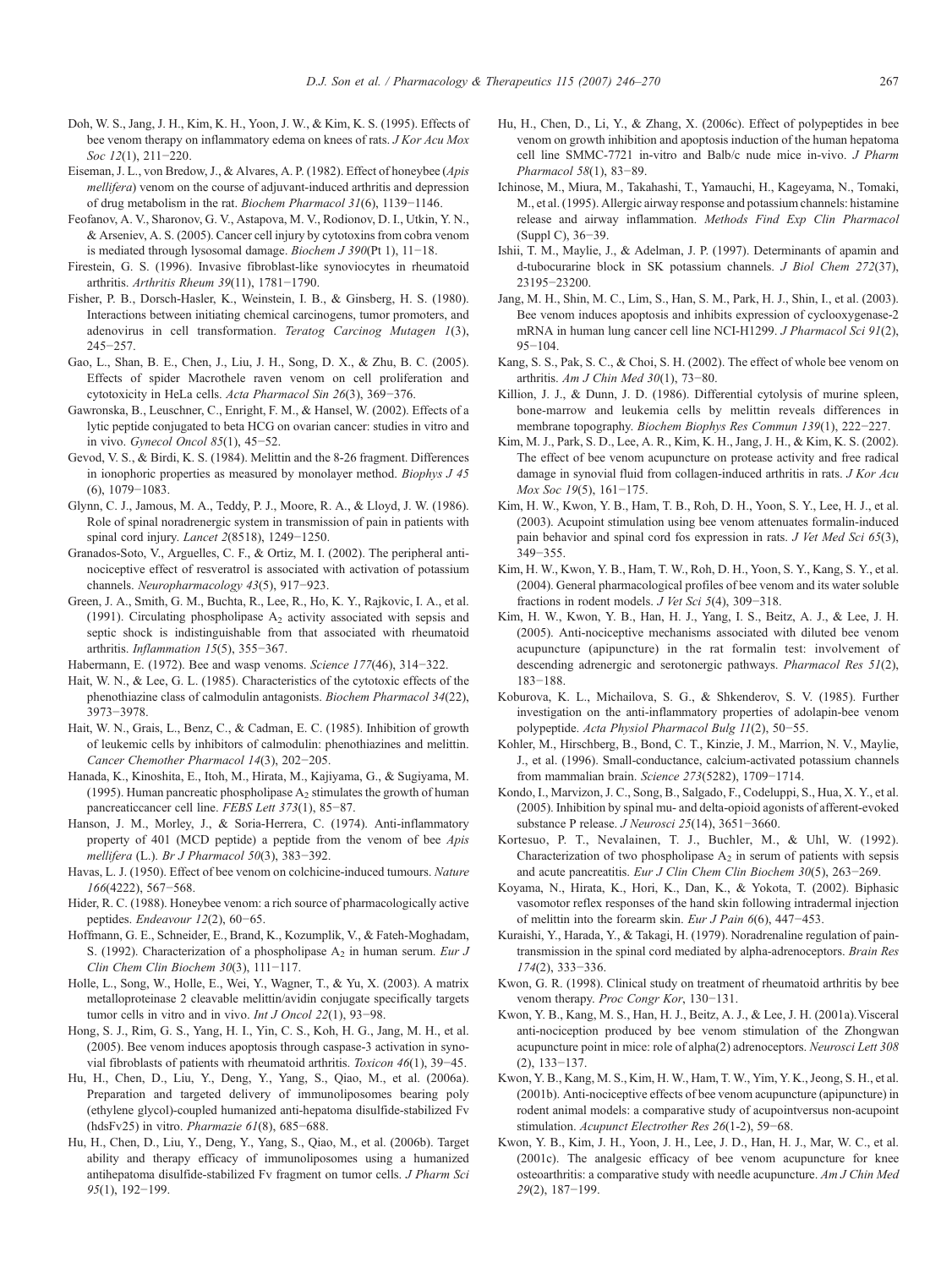- <span id="page-21-0"></span>Doh, W. S., Jang, J. H., Kim, K. H., Yoon, J. W., & Kim, K. S. (1995). Effects of bee venom therapy on inflammatory edema on knees of rats. J Kor Acu Mox Soc 12(1), 211−220.
- Eiseman, J. L., von Bredow, J., & Alvares, A. P. (1982). Effect of honeybee (Apis mellifera) venom on the course of adjuvant-induced arthritis and depression of drug metabolism in the rat. Biochem Pharmacol 31(6), 1139−1146.
- Feofanov, A. V., Sharonov, G. V., Astapova, M. V., Rodionov, D. I., Utkin, Y. N., & Arseniev, A. S. (2005). Cancer cell injury by cytotoxins from cobra venom is mediated through lysosomal damage. Biochem J 390(Pt 1), 11−18.
- Firestein, G. S. (1996). Invasive fibroblast-like synoviocytes in rheumatoid arthritis. Arthritis Rheum 39(11), 1781−1790.
- Fisher, P. B., Dorsch-Hasler, K., Weinstein, I. B., & Ginsberg, H. S. (1980). Interactions between initiating chemical carcinogens, tumor promoters, and adenovirus in cell transformation. Teratog Carcinog Mutagen 1(3), 245−257.
- Gao, L., Shan, B. E., Chen, J., Liu, J. H., Song, D. X., & Zhu, B. C. (2005). Effects of spider Macrothele raven venom on cell proliferation and cytotoxicity in HeLa cells. Acta Pharmacol Sin 26(3), 369−376.
- Gawronska, B., Leuschner, C., Enright, F. M., & Hansel, W. (2002). Effects of a lytic peptide conjugated to beta HCG on ovarian cancer: studies in vitro and in vivo. Gynecol Oncol 85(1), 45−52.
- Gevod, V. S., & Birdi, K. S. (1984). Melittin and the 8-26 fragment. Differences in ionophoric properties as measured by monolayer method. Biophys J 45 (6), 1079−1083.
- Glynn, C. J., Jamous, M. A., Teddy, P. J., Moore, R. A., & Lloyd, J. W. (1986). Role of spinal noradrenergic system in transmission of pain in patients with spinal cord injury. Lancet 2(8518), 1249−1250.
- Granados-Soto, V., Arguelles, C. F., & Ortiz, M. I. (2002). The peripheral antinociceptive effect of resveratrol is associated with activation of potassium channels. Neuropharmacology 43(5), 917−923.
- Green, J. A., Smith, G. M., Buchta, R., Lee, R., Ho, K. Y., Rajkovic, I. A., et al. (1991). Circulating phospholipase  $A_2$  activity associated with sepsis and septic shock is indistinguishable from that associated with rheumatoid arthritis. Inflammation 15(5), 355−367.
- Habermann, E. (1972). Bee and wasp venoms. Science 177(46), 314−322.
- Hait, W. N., & Lee, G. L. (1985). Characteristics of the cytotoxic effects of the phenothiazine class of calmodulin antagonists. Biochem Pharmacol 34(22), 3973−3978.
- Hait, W. N., Grais, L., Benz, C., & Cadman, E. C. (1985). Inhibition of growth of leukemic cells by inhibitors of calmodulin: phenothiazines and melittin. Cancer Chemother Pharmacol 14(3), 202−205.
- Hanada, K., Kinoshita, E., Itoh, M., Hirata, M., Kajiyama, G., & Sugiyama, M. (1995). Human pancreatic phospholipase  $A_2$  stimulates the growth of human pancreaticcancer cell line. FEBS Lett 373(1), 85−87.
- Hanson, J. M., Morley, J., & Soria-Herrera, C. (1974). Anti-inflammatory property of 401 (MCD peptide) a peptide from the venom of bee Apis mellifera (L.). Br J Pharmacol 50(3), 383−392.
- Havas, L. J. (1950). Effect of bee venom on colchicine-induced tumours. Nature 166(4222), 567−568.
- Hider, R. C. (1988). Honeybee venom: a rich source of pharmacologically active peptides. Endeavour 12(2), 60−65.
- Hoffmann, G. E., Schneider, E., Brand, K., Kozumplik, V., & Fateh-Moghadam, S. (1992). Characterization of a phospholipase  $A_2$  in human serum. Eur J Clin Chem Clin Biochem 30(3), 111−117.
- Holle, L., Song, W., Holle, E., Wei, Y., Wagner, T., & Yu, X. (2003). A matrix metalloproteinase 2 cleavable melittin/avidin conjugate specifically targets tumor cells in vitro and in vivo. Int J Oncol 22(1), 93−98.
- Hong, S. J., Rim, G. S., Yang, H. I., Yin, C. S., Koh, H. G., Jang, M. H., et al. (2005). Bee venom induces apoptosis through caspase-3 activation in synovial fibroblasts of patients with rheumatoid arthritis. Toxicon 46(1), 39−45.
- Hu, H., Chen, D., Liu, Y., Deng, Y., Yang, S., Qiao, M., et al. (2006a). Preparation and targeted delivery of immunoliposomes bearing poly (ethylene glycol)-coupled humanized anti-hepatoma disulfide-stabilized Fv (hdsFv25) in vitro. Pharmazie 61(8), 685−688.
- Hu, H., Chen, D., Liu, Y., Deng, Y., Yang, S., Qiao, M., et al. (2006b). Target ability and therapy efficacy of immunoliposomes using a humanized antihepatoma disulfide-stabilized Fv fragment on tumor cells. J Pharm Sci 95(1), 192−199.
- Hu, H., Chen, D., Li, Y., & Zhang, X. (2006c). Effect of polypeptides in bee venom on growth inhibition and apoptosis induction of the human hepatoma cell line SMMC-7721 in-vitro and Balb/c nude mice in-vivo. J Pharm Pharmacol 58(1), 83−89.
- Ichinose, M., Miura, M., Takahashi, T., Yamauchi, H., Kageyama, N., Tomaki, M., et al. (1995). Allergic airway response and potassium channels: histamine release and airway inflammation. Methods Find Exp Clin Pharmacol (Suppl C), 36−39.
- Ishii, T. M., Maylie, J., & Adelman, J. P. (1997). Determinants of apamin and d-tubocurarine block in SK potassium channels. J Biol Chem 272(37), 23195−23200.
- Jang, M. H., Shin, M. C., Lim, S., Han, S. M., Park, H. J., Shin, I., et al. (2003). Bee venom induces apoptosis and inhibits expression of cyclooxygenase-2 mRNA in human lung cancer cell line NCI-H1299. J Pharmacol Sci 91(2), 95−104.
- Kang, S. S., Pak, S. C., & Choi, S. H. (2002). The effect of whole bee venom on arthritis. Am J Chin Med 30(1), 73−80.
- Killion, J. J., & Dunn, J. D. (1986). Differential cytolysis of murine spleen, bone-marrow and leukemia cells by melittin reveals differences in membrane topography. Biochem Biophys Res Commun 139(1), 222−227.
- Kim, M. J., Park, S. D., Lee, A. R., Kim, K. H., Jang, J. H., & Kim, K. S. (2002). The effect of bee venom acupuncture on protease activity and free radical damage in synovial fluid from collagen-induced arthritis in rats. J Kor Acu Mox Soc 19(5), 161−175.
- Kim, H. W., Kwon, Y. B., Ham, T. B., Roh, D. H., Yoon, S. Y., Lee, H. J., et al. (2003). Acupoint stimulation using bee venom attenuates formalin-induced pain behavior and spinal cord fos expression in rats. J Vet Med Sci 65(3), 349−355.
- Kim, H. W., Kwon, Y. B., Ham, T. W., Roh, D. H., Yoon, S. Y., Kang, S. Y., et al. (2004). General pharmacological profiles of bee venom and its water soluble fractions in rodent models. J Vet Sci 5(4), 309−318.
- Kim, H. W., Kwon, Y. B., Han, H. J., Yang, I. S., Beitz, A. J., & Lee, J. H. (2005). Anti-nociceptive mechanisms associated with diluted bee venom acupuncture (apipuncture) in the rat formalin test: involvement of descending adrenergic and serotonergic pathways. Pharmacol Res 51(2), 183−188.
- Koburova, K. L., Michailova, S. G., & Shkenderov, S. V. (1985). Further investigation on the anti-inflammatory properties of adolapin-bee venom polypeptide. Acta Physiol Pharmacol Bulg 11(2), 50−55.
- Kohler, M., Hirschberg, B., Bond, C. T., Kinzie, J. M., Marrion, N. V., Maylie, J., et al. (1996). Small-conductance, calcium-activated potassium channels from mammalian brain. Science 273(5282), 1709−1714.
- Kondo, I., Marvizon, J. C., Song, B., Salgado, F., Codeluppi, S., Hua, X. Y., et al. (2005). Inhibition by spinal mu- and delta-opioid agonists of afferent-evoked substance P release. J Neurosci 25(14), 3651−3660.
- Kortesuo, P. T., Nevalainen, T. J., Buchler, M., & Uhl, W. (1992). Characterization of two phospholipase  $A_2$  in serum of patients with sepsis and acute pancreatitis. Eur J Clin Chem Clin Biochem 30(5), 263−269.
- Koyama, N., Hirata, K., Hori, K., Dan, K., & Yokota, T. (2002). Biphasic vasomotor reflex responses of the hand skin following intradermal injection of melittin into the forearm skin. Eur J Pain 6(6), 447−453.
- Kuraishi, Y., Harada, Y., & Takagi, H. (1979). Noradrenaline regulation of paintransmission in the spinal cord mediated by alpha-adrenoceptors. Brain Res 174(2), 333−336.
- Kwon, G. R. (1998). Clinical study on treatment of rheumatoid arthritis by bee venom therapy. Proc Congr Kor, 130−131.
- Kwon, Y. B., Kang, M. S., Han, H. J., Beitz, A. J., & Lee, J. H. (2001a).Visceral anti-nociception produced by bee venom stimulation of the Zhongwan acupuncture point in mice: role of alpha(2) adrenoceptors. Neurosci Lett 308 (2), 133−137.
- Kwon, Y. B., Kang, M. S., Kim, H. W., Ham, T. W., Yim, Y. K., Jeong, S. H., et al. (2001b). Anti-nociceptive effects of bee venom acupuncture (apipuncture) in rodent animal models: a comparative study of acupointversus non-acupoint stimulation. Acupunct Electrother Res 26(1-2), 59−68.
- Kwon, Y. B., Kim, J. H., Yoon, J. H., Lee, J. D., Han, H. J., Mar, W. C., et al. (2001c). The analgesic efficacy of bee venom acupuncture for knee osteoarthritis: a comparative study with needle acupuncture. Am J Chin Med 29(2), 187−199.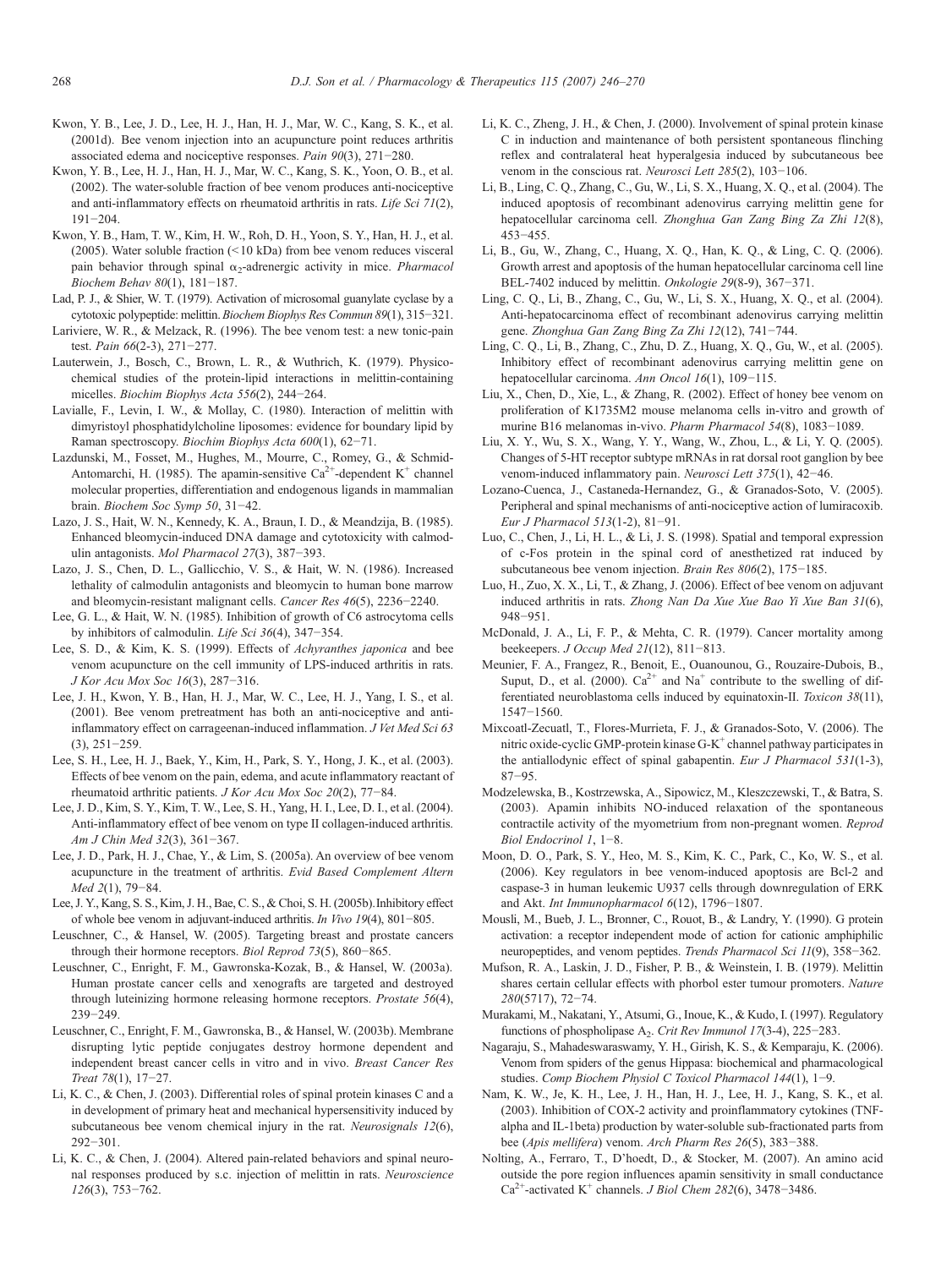- <span id="page-22-0"></span>Kwon, Y. B., Lee, J. D., Lee, H. J., Han, H. J., Mar, W. C., Kang, S. K., et al. (2001d). Bee venom injection into an acupuncture point reduces arthritis associated edema and nociceptive responses. Pain 90(3), 271−280.
- Kwon, Y. B., Lee, H. J., Han, H. J., Mar, W. C., Kang, S. K., Yoon, O. B., et al. (2002). The water-soluble fraction of bee venom produces anti-nociceptive and anti-inflammatory effects on rheumatoid arthritis in rats. Life Sci 71(2), 191−204.
- Kwon, Y. B., Ham, T. W., Kim, H. W., Roh, D. H., Yoon, S. Y., Han, H. J., et al. (2005). Water soluble fraction  $(10 \text{ kDa})$  from bee venom reduces visceral pain behavior through spinal  $\alpha_2$ -adrenergic activity in mice. *Pharmacol* Biochem Behav 80(1), 181−187.
- Lad, P. J., & Shier, W. T. (1979). Activation of microsomal guanylate cyclase by a cytotoxic polypeptide: melittin.Biochem Biophys Res Commun 89(1), 315−321.
- Lariviere, W. R., & Melzack, R. (1996). The bee venom test: a new tonic-pain test. Pain 66(2-3), 271−277.
- Lauterwein, J., Bosch, C., Brown, L. R., & Wuthrich, K. (1979). Physicochemical studies of the protein-lipid interactions in melittin-containing micelles. Biochim Biophys Acta 556(2), 244−264.
- Lavialle, F., Levin, I. W., & Mollay, C. (1980). Interaction of melittin with dimyristoyl phosphatidylcholine liposomes: evidence for boundary lipid by Raman spectroscopy. Biochim Biophys Acta 600(1), 62−71.
- Lazdunski, M., Fosset, M., Hughes, M., Mourre, C., Romey, G., & Schmid-Antomarchi, H. (1985). The apamin-sensitive Ca<sup>2+</sup>-dependent K<sup>+</sup> channel molecular properties, differentiation and endogenous ligands in mammalian brain. Biochem Soc Symp 50, 31−42.
- Lazo, J. S., Hait, W. N., Kennedy, K. A., Braun, I. D., & Meandzija, B. (1985). Enhanced bleomycin-induced DNA damage and cytotoxicity with calmodulin antagonists. Mol Pharmacol 27(3), 387−393.
- Lazo, J. S., Chen, D. L., Gallicchio, V. S., & Hait, W. N. (1986). Increased lethality of calmodulin antagonists and bleomycin to human bone marrow and bleomycin-resistant malignant cells. Cancer Res 46(5), 2236−2240.
- Lee, G. L., & Hait, W. N. (1985). Inhibition of growth of C6 astrocytoma cells by inhibitors of calmodulin. Life Sci 36(4), 347−354.
- Lee, S. D., & Kim, K. S. (1999). Effects of Achyranthes japonica and bee venom acupuncture on the cell immunity of LPS-induced arthritis in rats. J Kor Acu Mox Soc 16(3), 287−316.
- Lee, J. H., Kwon, Y. B., Han, H. J., Mar, W. C., Lee, H. J., Yang, I. S., et al. (2001). Bee venom pretreatment has both an anti-nociceptive and antiinflammatory effect on carrageenan-induced inflammation. J Vet Med Sci 63 (3), 251−259.
- Lee, S. H., Lee, H. J., Baek, Y., Kim, H., Park, S. Y., Hong, J. K., et al. (2003). Effects of bee venom on the pain, edema, and acute inflammatory reactant of rheumatoid arthritic patients. J Kor Acu Mox Soc 20(2), 77−84.
- Lee, J. D., Kim, S. Y., Kim, T. W., Lee, S. H., Yang, H. I., Lee, D. I., et al. (2004). Anti-inflammatory effect of bee venom on type II collagen-induced arthritis. Am J Chin Med 32(3), 361−367.
- Lee, J. D., Park, H. J., Chae, Y., & Lim, S. (2005a). An overview of bee venom acupuncture in the treatment of arthritis. Evid Based Complement Altern Med 2(1), 79−84.
- Lee, J. Y., Kang, S. S., Kim, J. H., Bae, C. S., & Choi, S. H. (2005b).Inhibitory effect of whole bee venom in adjuvant-induced arthritis. In Vivo 19(4), 801−805.
- Leuschner, C., & Hansel, W. (2005). Targeting breast and prostate cancers through their hormone receptors. Biol Reprod 73(5), 860−865.
- Leuschner, C., Enright, F. M., Gawronska-Kozak, B., & Hansel, W. (2003a). Human prostate cancer cells and xenografts are targeted and destroyed through luteinizing hormone releasing hormone receptors. Prostate 56(4), 239−249.
- Leuschner, C., Enright, F. M., Gawronska, B., & Hansel, W. (2003b). Membrane disrupting lytic peptide conjugates destroy hormone dependent and independent breast cancer cells in vitro and in vivo. Breast Cancer Res Treat 78(1), 17−27.
- Li, K. C., & Chen, J. (2003). Differential roles of spinal protein kinases C and a in development of primary heat and mechanical hypersensitivity induced by subcutaneous bee venom chemical injury in the rat. Neurosignals 12(6), 292−301.
- Li, K. C., & Chen, J. (2004). Altered pain-related behaviors and spinal neuronal responses produced by s.c. injection of melittin in rats. Neuroscience 126(3), 753−762.
- Li, K. C., Zheng, J. H., & Chen, J. (2000). Involvement of spinal protein kinase C in induction and maintenance of both persistent spontaneous flinching reflex and contralateral heat hyperalgesia induced by subcutaneous bee venom in the conscious rat. Neurosci Lett 285(2), 103−106.
- Li, B., Ling, C. Q., Zhang, C., Gu, W., Li, S. X., Huang, X. Q., et al. (2004). The induced apoptosis of recombinant adenovirus carrying melittin gene for hepatocellular carcinoma cell. Zhonghua Gan Zang Bing Za Zhi 12(8), 453−455.
- Li, B., Gu, W., Zhang, C., Huang, X. Q., Han, K. Q., & Ling, C. Q. (2006). Growth arrest and apoptosis of the human hepatocellular carcinoma cell line BEL-7402 induced by melittin. Onkologie 29(8-9), 367−371.
- Ling, C. Q., Li, B., Zhang, C., Gu, W., Li, S. X., Huang, X. Q., et al. (2004). Anti-hepatocarcinoma effect of recombinant adenovirus carrying melittin gene. Zhonghua Gan Zang Bing Za Zhi 12(12), 741−744.
- Ling, C. Q., Li, B., Zhang, C., Zhu, D. Z., Huang, X. Q., Gu, W., et al. (2005). Inhibitory effect of recombinant adenovirus carrying melittin gene on hepatocellular carcinoma. Ann Oncol 16(1), 109−115.
- Liu, X., Chen, D., Xie, L., & Zhang, R. (2002). Effect of honey bee venom on proliferation of K1735M2 mouse melanoma cells in-vitro and growth of murine B16 melanomas in-vivo. Pharm Pharmacol 54(8), 1083−1089.
- Liu, X. Y., Wu, S. X., Wang, Y. Y., Wang, W., Zhou, L., & Li, Y. Q. (2005). Changes of 5-HT receptor subtype mRNAs in rat dorsal root ganglion by bee venom-induced inflammatory pain. Neurosci Lett 375(1), 42−46.
- Lozano-Cuenca, J., Castaneda-Hernandez, G., & Granados-Soto, V. (2005). Peripheral and spinal mechanisms of anti-nociceptive action of lumiracoxib. Eur J Pharmacol 513(1-2), 81−91.
- Luo, C., Chen, J., Li, H. L., & Li, J. S. (1998). Spatial and temporal expression of c-Fos protein in the spinal cord of anesthetized rat induced by subcutaneous bee venom injection. Brain Res 806(2), 175−185.
- Luo, H., Zuo, X. X., Li, T., & Zhang, J. (2006). Effect of bee venom on adjuvant induced arthritis in rats. Zhong Nan Da Xue Xue Bao Yi Xue Ban 31(6), 948−951.
- McDonald, J. A., Li, F. P., & Mehta, C. R. (1979). Cancer mortality among beekeepers. J Occup Med 21(12), 811−813.
- Meunier, F. A., Frangez, R., Benoit, E., Ouanounou, G., Rouzaire-Dubois, B., Suput, D., et al. (2000).  $Ca^{2+}$  and Na<sup>+</sup> contribute to the swelling of differentiated neuroblastoma cells induced by equinatoxin-II. Toxicon 38(11), 1547−1560.
- Mixcoatl-Zecuatl, T., Flores-Murrieta, F. J., & Granados-Soto, V. (2006). The nitric oxide-cyclic GMP-protein kinase G-K<sup>+</sup> channel pathway participates in the antiallodynic effect of spinal gabapentin. Eur J Pharmacol 531(1-3), 87−95.
- Modzelewska, B., Kostrzewska, A., Sipowicz, M., Kleszczewski, T., & Batra, S. (2003). Apamin inhibits NO-induced relaxation of the spontaneous contractile activity of the myometrium from non-pregnant women. Reprod Biol Endocrinol 1, 1−8.
- Moon, D. O., Park, S. Y., Heo, M. S., Kim, K. C., Park, C., Ko, W. S., et al. (2006). Key regulators in bee venom-induced apoptosis are Bcl-2 and caspase-3 in human leukemic U937 cells through downregulation of ERK and Akt. Int Immunopharmacol 6(12), 1796−1807.
- Mousli, M., Bueb, J. L., Bronner, C., Rouot, B., & Landry, Y. (1990). G protein activation: a receptor independent mode of action for cationic amphiphilic neuropeptides, and venom peptides. Trends Pharmacol Sci 11(9), 358−362.
- Mufson, R. A., Laskin, J. D., Fisher, P. B., & Weinstein, I. B. (1979). Melittin shares certain cellular effects with phorbol ester tumour promoters. Nature 280(5717), 72−74.
- Murakami, M., Nakatani, Y., Atsumi, G., Inoue, K., & Kudo, I. (1997). Regulatory functions of phospholipase A2. Crit Rev Immunol 17(3-4), 225−283.
- Nagaraju, S., Mahadeswaraswamy, Y. H., Girish, K. S., & Kemparaju, K. (2006). Venom from spiders of the genus Hippasa: biochemical and pharmacological studies. Comp Biochem Physiol C Toxicol Pharmacol 144(1), 1−9.
- Nam, K. W., Je, K. H., Lee, J. H., Han, H. J., Lee, H. J., Kang, S. K., et al. (2003). Inhibition of COX-2 activity and proinflammatory cytokines (TNFalpha and IL-1beta) production by water-soluble sub-fractionated parts from bee (Apis mellifera) venom. Arch Pharm Res 26(5), 383−388.
- Nolting, A., Ferraro, T., D'hoedt, D., & Stocker, M. (2007). An amino acid outside the pore region influences apamin sensitivity in small conductance  $Ca^{2+}$ -activated K<sup>+</sup> channels. *J Biol Chem 282*(6), 3478–3486.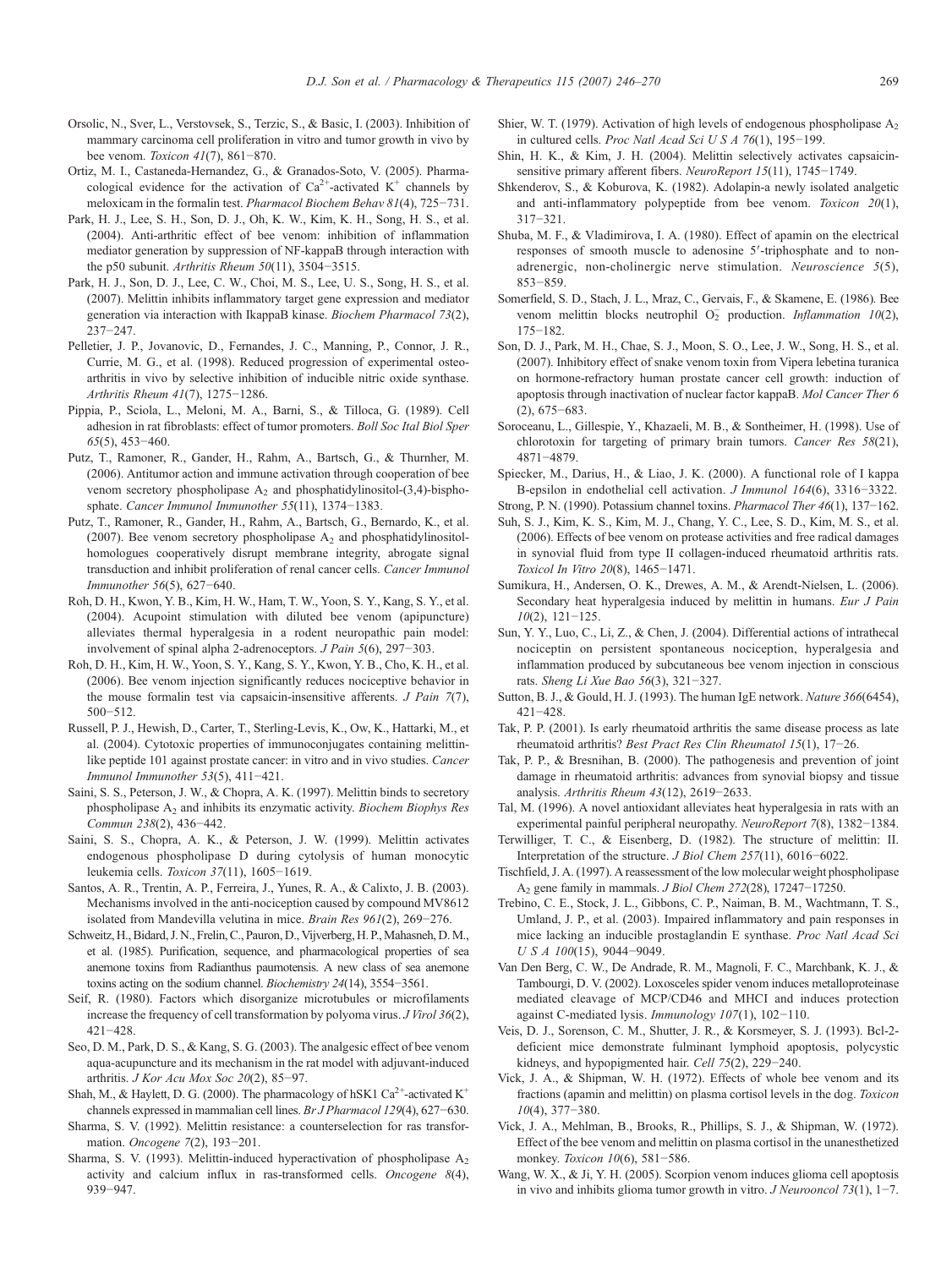- <span id="page-23-0"></span>Orsolic, N., Sver, L., Verstovsek, S., Terzic, S., & Basic, I. (2003). Inhibition of mammary carcinoma cell proliferation in vitro and tumor growth in vivo by bee venom. Toxicon 41(7), 861−870.
- Ortiz, M. I., Castaneda-Hernandez, G., & Granados-Soto, V. (2005). Pharmacological evidence for the activation of  $Ca^{2+}$ -activated K<sup>+</sup> channels by meloxicam in the formalin test. Pharmacol Biochem Behav 81(4), 725−731.
- Park, H. J., Lee, S. H., Son, D. J., Oh, K. W., Kim, K. H., Song, H. S., et al. (2004). Anti-arthritic effect of bee venom: inhibition of inflammation mediator generation by suppression of NF-kappaB through interaction with the p50 subunit. Arthritis Rheum 50(11), 3504−3515.
- Park, H. J., Son, D. J., Lee, C. W., Choi, M. S., Lee, U. S., Song, H. S., et al. (2007). Melittin inhibits inflammatory target gene expression and mediator generation via interaction with IkappaB kinase. Biochem Pharmacol 73(2), 237−247.
- Pelletier, J. P., Jovanovic, D., Fernandes, J. C., Manning, P., Connor, J. R., Currie, M. G., et al. (1998). Reduced progression of experimental osteoarthritis in vivo by selective inhibition of inducible nitric oxide synthase. Arthritis Rheum 41(7), 1275−1286.
- Pippia, P., Sciola, L., Meloni, M. A., Barni, S., & Tilloca, G. (1989). Cell adhesion in rat fibroblasts: effect of tumor promoters. Boll Soc Ital Biol Sper 65(5), 453−460.
- Putz, T., Ramoner, R., Gander, H., Rahm, A., Bartsch, G., & Thurnher, M. (2006). Antitumor action and immune activation through cooperation of bee venom secretory phospholipase  $A_2$  and phosphatidylinositol-(3,4)-bisphosphate. Cancer Immunol Immunother 55(11), 1374−1383.
- Putz, T., Ramoner, R., Gander, H., Rahm, A., Bartsch, G., Bernardo, K., et al. (2007). Bee venom secretory phospholipase  $A_2$  and phosphatidylinositolhomologues cooperatively disrupt membrane integrity, abrogate signal transduction and inhibit proliferation of renal cancer cells. Cancer Immunol Immunother 56(5), 627−640.
- Roh, D. H., Kwon, Y. B., Kim, H. W., Ham, T. W., Yoon, S. Y., Kang, S. Y., et al. (2004). Acupoint stimulation with diluted bee venom (apipuncture) alleviates thermal hyperalgesia in a rodent neuropathic pain model: involvement of spinal alpha 2-adrenoceptors. J Pain 5(6), 297−303.
- Roh, D. H., Kim, H. W., Yoon, S. Y., Kang, S. Y., Kwon, Y. B., Cho, K. H., et al. (2006). Bee venom injection significantly reduces nociceptive behavior in the mouse formalin test via capsaicin-insensitive afferents. J Pain 7(7), 500−512.
- Russell, P. J., Hewish, D., Carter, T., Sterling-Levis, K., Ow, K., Hattarki, M., et al. (2004). Cytotoxic properties of immunoconjugates containing melittinlike peptide 101 against prostate cancer: in vitro and in vivo studies. Cancer Immunol Immunother 53(5), 411−421.
- Saini, S. S., Peterson, J. W., & Chopra, A. K. (1997). Melittin binds to secretory phospholipase  $A_2$  and inhibits its enzymatic activity. Biochem Biophys Res Commun 238(2), 436−442.
- Saini, S. S., Chopra, A. K., & Peterson, J. W. (1999). Melittin activates endogenous phospholipase D during cytolysis of human monocytic leukemia cells. Toxicon 37(11), 1605−1619.
- Santos, A. R., Trentin, A. P., Ferreira, J., Yunes, R. A., & Calixto, J. B. (2003). Mechanisms involved in the anti-nociception caused by compound MV8612 isolated from Mandevilla velutina in mice. Brain Res 961(2), 269−276.
- Schweitz, H., Bidard, J. N., Frelin, C., Pauron, D., Vijverberg, H. P., Mahasneh, D.M., et al. (1985). Purification, sequence, and pharmacological properties of sea anemone toxins from Radianthus paumotensis. A new class of sea anemone toxins acting on the sodium channel. Biochemistry 24(14), 3554−3561.
- Seif, R. (1980). Factors which disorganize microtubules or microfilaments increase the frequency of cell transformation by polyoma virus. J Virol 36(2), 421−428.
- Seo, D. M., Park, D. S., & Kang, S. G. (2003). The analgesic effect of bee venom aqua-acupuncture and its mechanism in the rat model with adjuvant-induced arthritis. J Kor Acu Mox Soc 20(2), 85−97.
- Shah, M., & Haylett, D. G. (2000). The pharmacology of hSK1  $Ca^{2+}$ -activated K<sup>+</sup> channels expressed in mammalian cell lines. Br J Pharmacol 129(4), 627−630.
- Sharma, S. V. (1992). Melittin resistance: a counterselection for ras transformation. Oncogene 7(2), 193−201.
- Sharma, S. V. (1993). Melittin-induced hyperactivation of phospholipase  $A_2$ activity and calcium influx in ras-transformed cells. Oncogene 8(4), 939−947.
- Shier, W. T. (1979). Activation of high levels of endogenous phospholipase  $A_2$ in cultured cells. Proc Natl Acad Sci U S A 76(1), 195−199.
- Shin, H. K., & Kim, J. H. (2004). Melittin selectively activates capsaicinsensitive primary afferent fibers. NeuroReport 15(11), 1745−1749.
- Shkenderov, S., & Koburova, K. (1982). Adolapin-a newly isolated analgetic and anti-inflammatory polypeptide from bee venom. Toxicon 20(1), 317−321.
- Shuba, M. F., & Vladimirova, I. A. (1980). Effect of apamin on the electrical responses of smooth muscle to adenosine 5′-triphosphate and to nonadrenergic, non-cholinergic nerve stimulation. Neuroscience 5(5), 853−859.
- Somerfield, S. D., Stach, J. L., Mraz, C., Gervais, F., & Skamene, E. (1986). Bee venom melittin blocks neutrophil  $O_2^-$  production. Inflammation 10(2), 175−182.
- Son, D. J., Park, M. H., Chae, S. J., Moon, S. O., Lee, J. W., Song, H. S., et al. (2007). Inhibitory effect of snake venom toxin from Vipera lebetina turanica on hormone-refractory human prostate cancer cell growth: induction of apoptosis through inactivation of nuclear factor kappaB. Mol Cancer Ther 6 (2), 675−683.
- Soroceanu, L., Gillespie, Y., Khazaeli, M. B., & Sontheimer, H. (1998). Use of chlorotoxin for targeting of primary brain tumors. Cancer Res 58(21), 4871−4879.
- Spiecker, M., Darius, H., & Liao, J. K. (2000). A functional role of I kappa B-epsilon in endothelial cell activation. J Immunol 164(6), 3316−3322.
- Strong, P. N. (1990). Potassium channel toxins. Pharmacol Ther 46(1), 137−162. Suh, S. J., Kim, K. S., Kim, M. J., Chang, Y. C., Lee, S. D., Kim, M. S., et al. (2006). Effects of bee venom on protease activities and free radical damages in synovial fluid from type II collagen-induced rheumatoid arthritis rats. Toxicol In Vitro 20(8), 1465−1471.
- Sumikura, H., Andersen, O. K., Drewes, A. M., & Arendt-Nielsen, L. (2006). Secondary heat hyperalgesia induced by melittin in humans. Eur J Pain 10(2), 121−125.
- Sun, Y. Y., Luo, C., Li, Z., & Chen, J. (2004). Differential actions of intrathecal nociceptin on persistent spontaneous nociception, hyperalgesia and inflammation produced by subcutaneous bee venom injection in conscious rats. Sheng Li Xue Bao 56(3), 321−327.
- Sutton, B. J., & Gould, H. J. (1993). The human IgE network. Nature 366(6454), 421−428.
- Tak, P. P. (2001). Is early rheumatoid arthritis the same disease process as late rheumatoid arthritis? Best Pract Res Clin Rheumatol 15(1), 17−26.
- Tak, P. P., & Bresnihan, B. (2000). The pathogenesis and prevention of joint damage in rheumatoid arthritis: advances from synovial biopsy and tissue analysis. Arthritis Rheum 43(12), 2619−2633.
- Tal, M. (1996). A novel antioxidant alleviates heat hyperalgesia in rats with an experimental painful peripheral neuropathy. NeuroReport 7(8), 1382−1384.
- Terwilliger, T. C., & Eisenberg, D. (1982). The structure of melittin: II. Interpretation of the structure. J Biol Chem 257(11), 6016−6022.
- Tischfield, J. A. (1997). A reassessment of the low molecular weight phospholipase A2 gene family in mammals. J Biol Chem 272(28), 17247−17250.
- Trebino, C. E., Stock, J. L., Gibbons, C. P., Naiman, B. M., Wachtmann, T. S., Umland, J. P., et al. (2003). Impaired inflammatory and pain responses in mice lacking an inducible prostaglandin E synthase. Proc Natl Acad Sci U S A 100(15), 9044-9049.
- Van Den Berg, C. W., De Andrade, R. M., Magnoli, F. C., Marchbank, K. J., & Tambourgi, D. V. (2002). Loxosceles spider venom induces metalloproteinase mediated cleavage of MCP/CD46 and MHCI and induces protection against C-mediated lysis. Immunology 107(1), 102−110.
- Veis, D. J., Sorenson, C. M., Shutter, J. R., & Korsmeyer, S. J. (1993). Bcl-2 deficient mice demonstrate fulminant lymphoid apoptosis, polycystic kidneys, and hypopigmented hair. Cell 75(2), 229−240.
- Vick, J. A., & Shipman, W. H. (1972). Effects of whole bee venom and its fractions (apamin and melittin) on plasma cortisol levels in the dog. Toxicon 10(4), 377−380.
- Vick, J. A., Mehlman, B., Brooks, R., Phillips, S. J., & Shipman, W. (1972). Effect of the bee venom and melittin on plasma cortisol in the unanesthetized monkey. Toxicon 10(6), 581−586.
- Wang, W. X., & Ji, Y. H. (2005). Scorpion venom induces glioma cell apoptosis in vivo and inhibits glioma tumor growth in vitro. J Neurooncol 73(1), 1−7.